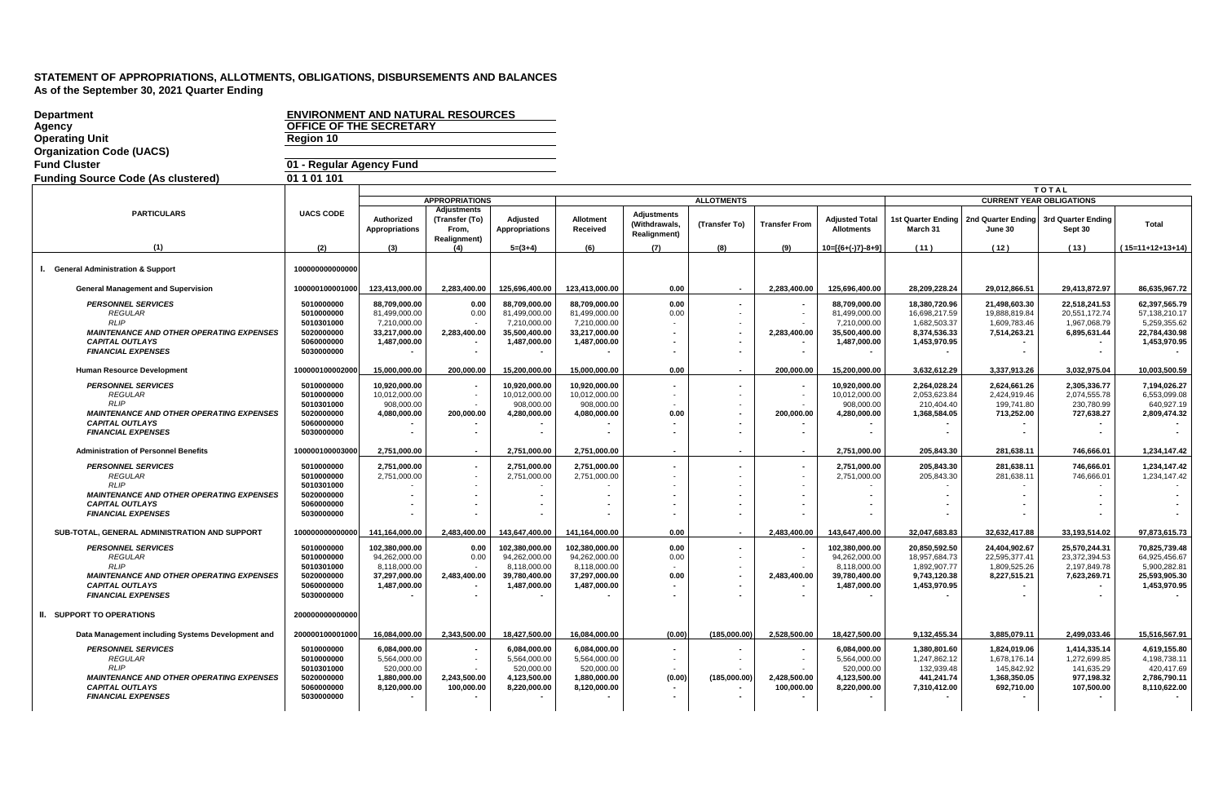| <b>Department</b><br>Agency<br><b>Operating Unit</b><br><b>Organization Code (UACS)</b>                                                                              | <b>ENVIRONMENT AND NATURAL RESOURCES</b><br><b>OFFICE OF THE SECRETARY</b><br><b>Region 10</b> |                                                                                  |                                                                      |                                                                                  |                                                                                  |                                                            |                          |                            |                                                                                  |                                                                                |                                                                          |                                                                        |                                                                                 |
|----------------------------------------------------------------------------------------------------------------------------------------------------------------------|------------------------------------------------------------------------------------------------|----------------------------------------------------------------------------------|----------------------------------------------------------------------|----------------------------------------------------------------------------------|----------------------------------------------------------------------------------|------------------------------------------------------------|--------------------------|----------------------------|----------------------------------------------------------------------------------|--------------------------------------------------------------------------------|--------------------------------------------------------------------------|------------------------------------------------------------------------|---------------------------------------------------------------------------------|
| <b>Fund Cluster</b>                                                                                                                                                  | 01 - Regular Agency Fund                                                                       |                                                                                  |                                                                      |                                                                                  |                                                                                  |                                                            |                          |                            |                                                                                  |                                                                                |                                                                          |                                                                        |                                                                                 |
| <b>Funding Source Code (As clustered)</b>                                                                                                                            | 01 1 01 101                                                                                    |                                                                                  |                                                                      |                                                                                  |                                                                                  |                                                            |                          |                            |                                                                                  |                                                                                |                                                                          |                                                                        |                                                                                 |
|                                                                                                                                                                      |                                                                                                |                                                                                  |                                                                      |                                                                                  |                                                                                  |                                                            |                          |                            |                                                                                  |                                                                                |                                                                          | <b>TOTAL</b>                                                           |                                                                                 |
|                                                                                                                                                                      |                                                                                                |                                                                                  | <b>APPROPRIATIONS</b>                                                |                                                                                  |                                                                                  |                                                            | <b>ALLOTMENTS</b>        |                            |                                                                                  |                                                                                |                                                                          | <b>CURRENT YEAR OBLIGATIONS</b>                                        |                                                                                 |
| <b>PARTICULARS</b>                                                                                                                                                   | <b>UACS CODE</b>                                                                               | Authorized<br><b>Appropriations</b>                                              | <b>Adjustments</b><br>(Transfer (To)<br>From.<br><b>Realignment)</b> | Adjusted<br><b>Appropriations</b>                                                | Allotment<br>Received                                                            | <b>Adiustments</b><br>(Withdrawals.<br><b>Realignment)</b> | (Transfer To)            | <b>Transfer From</b>       | <b>Adjusted Total</b><br><b>Allotments</b>                                       | 1st Quarter Ending<br>March 31                                                 | 2nd Quarter Ending<br>June 30                                            | 3rd Quarter Ending<br>Sept 30                                          | Total                                                                           |
| (1)                                                                                                                                                                  | (2)                                                                                            | (3)                                                                              | (4)                                                                  | $5=(3+4)$                                                                        | (6)                                                                              | (7)                                                        | (8)                      | (9)                        | $10=[(6+(-)7)-8+9]$                                                              | (11)                                                                           | (12)                                                                     | (13)                                                                   | $(15=11+12+13+14)$                                                              |
| I. General Administration & Support                                                                                                                                  | 100000000000000                                                                                |                                                                                  |                                                                      |                                                                                  |                                                                                  |                                                            |                          |                            |                                                                                  |                                                                                |                                                                          |                                                                        |                                                                                 |
| <b>General Management and Supervision</b>                                                                                                                            | 100000100001000                                                                                | 123,413,000.00                                                                   | 2,283,400.00                                                         | 125,696,400.00                                                                   | 123,413,000.00                                                                   | 0.00                                                       |                          | 2,283,400.00               | 125,696,400.00                                                                   | 28,209,228.24                                                                  | 29,012,866.51                                                            | 29,413,872.97                                                          | 86,635,967.72                                                                   |
| <b>PERSONNEL SERVICES</b><br><b>REGULAR</b><br><b>RLIP</b><br><b>MAINTENANCE AND OTHER OPERATING EXPENSES</b><br><b>CAPITAL OUTLAYS</b><br><b>FINANCIAL EXPENSES</b> | 5010000000<br>5010000000<br>5010301000<br>5020000000<br>5060000000<br>5030000000               | 88,709,000.00<br>81.499.000.00<br>7,210,000.00<br>33,217,000.00<br>1,487,000.00  | 0.00<br>0.00<br>2,283,400.00                                         | 88,709,000.00<br>81.499.000.00<br>7,210,000.00<br>35,500,400.00<br>1,487,000.00  | 88,709,000.00<br>81.499.000.00<br>7,210,000.00<br>33,217,000.00<br>1,487,000.00  | 0.00<br>0.00                                               |                          | 2,283,400.00               | 88,709,000.00<br>81.499.000.00<br>7,210,000.00<br>35,500,400.00<br>1,487,000.00  | 18,380,720.96<br>16.698.217.59<br>1,682,503.37<br>8,374,536.33<br>1,453,970.95 | 21,498,603.30<br>19.888.819.84<br>1,609,783.46<br>7,514,263.21           | 22,518,241.53<br>20.551.172.74<br>1,967,068.79<br>6,895,631.44         | 62,397,565.79<br>57.138.210.17<br>5,259,355.62<br>22,784,430.98<br>1,453,970.95 |
|                                                                                                                                                                      |                                                                                                |                                                                                  |                                                                      |                                                                                  |                                                                                  |                                                            |                          |                            |                                                                                  |                                                                                |                                                                          |                                                                        |                                                                                 |
| <b>Human Resource Development</b>                                                                                                                                    | 100000100002000                                                                                | 15.000.000.00                                                                    | 200.000.00                                                           | 15.200.000.00                                                                    | 15.000.000.00                                                                    | 0.00                                                       |                          | 200.000.00                 | 15.200.000.00                                                                    | 3.632.612.29                                                                   | 3,337,913.26                                                             | 3.032.975.04                                                           | 10.003.500.59                                                                   |
| <b>PERSONNEL SERVICES</b><br><b>REGULAR</b><br><b>RLIP</b>                                                                                                           | 5010000000<br>5010000000<br>5010301000                                                         | 10,920,000.00<br>10,012,000.00<br>908.000.00                                     |                                                                      | 10,920,000.00<br>10,012,000.00<br>908.000.00                                     | 10,920,000.00<br>10.012.000.00<br>908.000.00                                     | $\overline{\phantom{a}}$                                   |                          |                            | 10,920,000.00<br>10,012,000.00<br>908.000.00                                     | 2,264,028.24<br>2,053,623.84<br>210.404.40                                     | 2,624,661.26<br>2,424,919.46<br>199.741.80                               | 2,305,336.77<br>2,074,555.78<br>230.780.99                             | 7,194,026.27<br>6,553,099.08<br>640.927.19                                      |
| <b>MAINTENANCE AND OTHER OPERATING EXPENSES</b><br><b>CAPITAL OUTLAYS</b><br><b>FINANCIAL EXPENSES</b>                                                               | 5020000000<br>5060000000<br>5030000000                                                         | 4,080,000.00                                                                     | 200,000.00                                                           | 4,280,000.00                                                                     | 4,080,000.00                                                                     | 0.00                                                       |                          | 200.000.00                 | 4,280,000.00                                                                     | 1,368,584.05                                                                   | 713,252.00                                                               | 727,638.27                                                             | 2,809,474.32                                                                    |
| <b>Administration of Personnel Benefits</b>                                                                                                                          | 100000100003000                                                                                | 2,751,000.00                                                                     | $\overline{\phantom{a}}$                                             | 2,751,000.00                                                                     | 2,751,000.00                                                                     | $\overline{\phantom{a}}$                                   | $\overline{\phantom{a}}$ |                            | 2,751,000.00                                                                     | 205,843.30                                                                     | 281,638.11                                                               | 746,666.01                                                             | 1,234,147.42                                                                    |
| <b>PERSONNEL SERVICES</b><br><b>REGULAR</b><br><b>RLIP</b>                                                                                                           | 5010000000<br>5010000000<br>5010301000                                                         | 2,751,000.00<br>2.751.000.00                                                     |                                                                      | 2,751,000.00<br>2,751,000.00                                                     | 2,751,000.00<br>2,751,000.00                                                     |                                                            |                          |                            | 2,751,000.00<br>2,751,000.00                                                     | 205,843.30<br>205,843.30                                                       | 281,638.11<br>281,638.11                                                 | 746,666.01<br>746,666.01                                               | 1,234,147.42<br>1,234,147.42                                                    |
| <b>MAINTENANCE AND OTHER OPERATING EXPENSES</b><br><b>CAPITAL OUTLAYS</b><br><b>FINANCIAL EXPENSES</b>                                                               | 5020000000<br>5060000000<br>5030000000                                                         |                                                                                  |                                                                      |                                                                                  |                                                                                  |                                                            |                          |                            |                                                                                  |                                                                                |                                                                          |                                                                        |                                                                                 |
| SUB-TOTAL, GENERAL ADMINISTRATION AND SUPPORT                                                                                                                        | 100000000000000                                                                                | 141,164,000.00                                                                   | 2.483.400.00                                                         | 143,647,400.00                                                                   | 141,164,000.00                                                                   | 0.00                                                       | $\overline{\phantom{a}}$ | 2.483.400.00               | 143,647,400.00                                                                   | 32.047.683.83                                                                  | 32,632,417.88                                                            | 33,193,514.02                                                          | 97,873,615.73                                                                   |
| <b>PERSONNEL SERVICES</b><br><b>REGULAR</b><br><b>RLIP</b><br><b>MAINTENANCE AND OTHER OPERATING EXPENSES</b><br><b>CAPITAL OUTLAYS</b><br><b>FINANCIAL EXPENSES</b> | 5010000000<br>5010000000<br>5010301000<br>5020000000<br>5060000000<br>5030000000               | 102,380,000.00<br>94,262,000.00<br>8.118.000.00<br>37,297,000.00<br>1,487,000.00 | 0.00<br>0.00<br>2,483,400.00                                         | 102,380,000.00<br>94,262,000.00<br>8,118,000.00<br>39,780,400.00<br>1,487,000.00 | 102,380,000.00<br>94,262,000.00<br>8.118.000.00<br>37,297,000.00<br>1,487,000.00 | 0.00<br>0.00<br>0.00                                       |                          | 2,483,400.00               | 102,380,000.00<br>94,262,000.00<br>8.118.000.00<br>39,780,400.00<br>1,487,000.00 | 20,850,592.50<br>18,957,684.73<br>1.892.907.77<br>9,743,120.38<br>1,453,970.95 | 24,404,902.67<br>22,595,377.41<br>1,809,525.26<br>8,227,515.21           | 25,570,244.31<br>23,372,394.53<br>2,197,849.78<br>7,623,269.71         | 70,825,739.48<br>64,925,456.67<br>5,900,282.81<br>25,593,905.30<br>1,453,970.95 |
| <b>II. SUPPORT TO OPERATIONS</b>                                                                                                                                     | 200000000000000                                                                                |                                                                                  |                                                                      |                                                                                  |                                                                                  |                                                            |                          |                            |                                                                                  |                                                                                |                                                                          |                                                                        |                                                                                 |
| Data Management including Systems Development and                                                                                                                    | 200000100001000                                                                                | 16,084,000.00                                                                    | 2,343,500.00                                                         | 18,427,500.00                                                                    | 16,084,000.00                                                                    | (0.00)                                                     | (185,000.00              | 2,528,500.00               | 18,427,500.00                                                                    | 9,132,455.34                                                                   | 3,885,079.11                                                             | 2,499,033.46                                                           | 15,516,567.91                                                                   |
| <b>PERSONNEL SERVICES</b><br><b>REGULAR</b><br><b>RLIP</b><br><b>MAINTENANCE AND OTHER OPERATING EXPENSES</b><br><b>CAPITAL OUTLAYS</b><br><b>FINANCIAL EXPENSES</b> | 5010000000<br>5010000000<br>5010301000<br>5020000000<br>5060000000<br>5030000000               | 6,084,000.00<br>5,564,000.00<br>520,000.00<br>1.880.000.00<br>8,120,000.00       | 2.243.500.00<br>100,000.00                                           | 6,084,000.00<br>5,564,000.00<br>520,000.00<br>4.123.500.00<br>8,220,000.00       | 6,084,000.00<br>5,564,000.00<br>520,000.00<br>1.880.000.00<br>8,120,000.00       | (0.00)                                                     | (185,000.00              | 2.428.500.00<br>100,000.00 | 6,084,000.00<br>5,564,000.00<br>520,000.00<br>4.123.500.00<br>8,220,000.00       | 1,380,801.60<br>1,247,862.12<br>132,939.48<br>441.241.74<br>7,310,412.00       | 1,824,019.06<br>1,678,176.14<br>145,842.92<br>1.368.350.05<br>692,710.00 | 1,414,335.14<br>1,272,699.85<br>141,635.29<br>977.198.32<br>107,500.00 | 4,619,155.80<br>4,198,738.11<br>420,417.69<br>2.786.790.11<br>8,110,622.00      |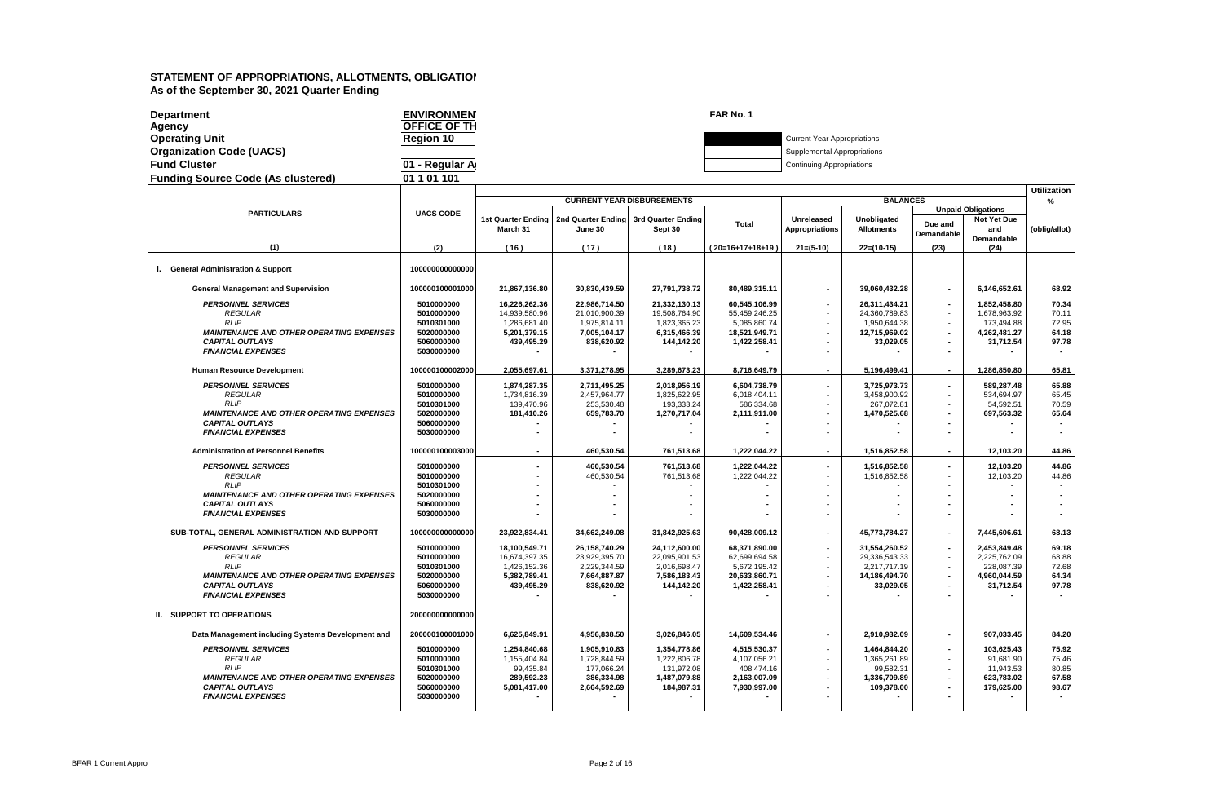| <b>Department</b><br>Agency               | <b>ENVIRONMEN</b><br>OFFICE OF TH |                                                              |                                   | FAR No. 1 |                                    |                      |  |
|-------------------------------------------|-----------------------------------|--------------------------------------------------------------|-----------------------------------|-----------|------------------------------------|----------------------|--|
| <b>Operating Unit</b>                     | Region 10                         |                                                              |                                   |           | <b>Current Year Appropriations</b> |                      |  |
| <b>Organization Code (UACS)</b>           |                                   |                                                              |                                   |           | Supplemental Appropriations        |                      |  |
| <b>Fund Cluster</b>                       | 01 - Regular A                    |                                                              |                                   |           | <b>Continuing Appropriations</b>   |                      |  |
| <b>Funding Source Code (As clustered)</b> | 01 1 01 101                       |                                                              |                                   |           |                                    |                      |  |
|                                           |                                   |                                                              |                                   |           |                                    |                      |  |
|                                           |                                   |                                                              | <b>CURRENT YEAR DISBURSEMENTS</b> |           |                                    | <b>BALANCES</b>      |  |
| <b>PARTICULARS</b>                        | <b>UACS CODE</b>                  | 1of Quarter Ending   2nd Quarter Ending   2nd Quarter Ending |                                   |           | <b>Ilgralenced</b>                 | <b>Ilinghiimatad</b> |  |

|                                                   |                  |                          |                                       | CONNEINT TEAN DISBONSEMENTS |                    |                          | DALANGES           |                              |                                                 |               |
|---------------------------------------------------|------------------|--------------------------|---------------------------------------|-----------------------------|--------------------|--------------------------|--------------------|------------------------------|-------------------------------------------------|---------------|
| <b>PARTICULARS</b>                                | <b>UACS CODE</b> | 1st Quarter Ending       | 2nd Quarter Ending 3rd Quarter Ending |                             |                    | <b>Unreleased</b>        | <b>Unobligated</b> |                              | <b>Unpaid Obligations</b><br><b>Not Yet Due</b> |               |
|                                                   |                  | March 31                 | June 30                               | Sept 30                     | Total              | <b>Appropriations</b>    | <b>Allotments</b>  | Due and<br><b>Demandable</b> | and                                             | (oblig/allot) |
| (1)                                               | (2)              | (16)                     | (17)                                  | (18)                        | $(20=16+17+18+19)$ | $21=(5-10)$              | $22=(10-15)$       | (23)                         | <b>Demandable</b><br>(24)                       |               |
|                                                   |                  |                          |                                       |                             |                    |                          |                    |                              |                                                 |               |
| I. General Administration & Support               | 100000000000000  |                          |                                       |                             |                    |                          |                    |                              |                                                 |               |
| <b>General Management and Supervision</b>         | 100000100001000  | 21,867,136.80            | 30,830,439.59                         | 27,791,738.72               | 80,489,315.11      | $\overline{\phantom{a}}$ | 39,060,432.28      | $\sim$                       | 6,146,652.61                                    | 68.92         |
| <b>PERSONNEL SERVICES</b>                         | 5010000000       | 16,226,262.36            | 22,986,714.50                         | 21,332,130.13               | 60,545,106.99      | $\overline{a}$           | 26,311,434.21      | $\sim$                       | 1,852,458.80                                    | 70.34         |
| <b>REGULAR</b>                                    | 5010000000       | 14,939,580.96            | 21,010,900.39                         | 19,508,764.90               | 55,459,246.25      |                          | 24,360,789.83      | $\sim$                       | 1,678,963.92                                    | 70.11         |
| <b>RLIP</b>                                       | 5010301000       | 1,286,681.40             | 1,975,814.11                          | 1,823,365.23                | 5,085,860.74       |                          | 1,950,644.38       |                              | 173,494.88                                      | 72.95         |
| <b>MAINTENANCE AND OTHER OPERATING EXPENSES</b>   | 5020000000       | 5,201,379.15             | 7,005,104.17                          | 6,315,466.39                | 18,521,949.71      |                          | 12,715,969.02      | $\sim$                       | 4,262,481.27                                    | 64.18         |
| <b>CAPITAL OUTLAYS</b>                            | 5060000000       | 439,495.29               | 838,620.92                            | 144,142.20                  | 1,422,258.41       |                          | 33,029.05          | $\blacksquare$               | 31,712.54                                       | 97.78         |
| <b>FINANCIAL EXPENSES</b>                         | 5030000000       |                          |                                       |                             |                    |                          |                    | $\blacksquare$               |                                                 |               |
|                                                   |                  |                          |                                       |                             |                    |                          |                    |                              |                                                 |               |
| <b>Human Resource Development</b>                 | 100000100002000  | 2,055,697.61             | 3,371,278.95                          | 3,289,673.23                | 8,716,649.79       | $\overline{\phantom{a}}$ | 5,196,499.41       | $\sim$                       | 1,286,850.80                                    | 65.81         |
| <b>PERSONNEL SERVICES</b>                         | 5010000000       | 1,874,287.35             | 2.711.495.25                          | 2.018.956.19                | 6.604.738.79       |                          | 3.725.973.73       | $\sim$                       | 589.287.48                                      | 65.88         |
| <b>REGULAR</b>                                    | 5010000000       | 1,734,816.39             | 2,457,964.77                          | 1,825,622.95                | 6,018,404.11       |                          | 3,458,900.92       | $\sim$                       | 534,694.97                                      | 65.45         |
| <b>RLIP</b>                                       | 5010301000       | 139.470.96               | 253,530.48                            | 193.333.24                  | 586,334.68         |                          | 267.072.81         |                              | 54,592.51                                       | 70.59         |
| <b>MAINTENANCE AND OTHER OPERATING EXPENSES</b>   | 5020000000       | 181,410.26               | 659,783.70                            | 1,270,717.04                | 2,111,911.00       |                          | 1,470,525.68       | $\overline{\phantom{a}}$     | 697,563.32                                      | 65.64         |
| <b>CAPITAL OUTLAYS</b>                            | 5060000000       |                          |                                       |                             |                    |                          |                    |                              |                                                 |               |
| <b>FINANCIAL EXPENSES</b>                         | 5030000000       |                          |                                       |                             |                    |                          |                    | $\blacksquare$               |                                                 |               |
|                                                   |                  |                          |                                       |                             |                    |                          |                    |                              |                                                 |               |
| <b>Administration of Personnel Benefits</b>       | 100000100003000  | $\overline{\phantom{a}}$ | 460.530.54                            | 761,513.68                  | 1,222,044.22       | ٠                        | 1,516,852.58       | $\sim$                       | 12.103.20                                       | 44.86         |
| <b>PERSONNEL SERVICES</b>                         | 5010000000       |                          | 460,530.54                            | 761,513.68                  | 1,222,044.22       |                          | 1,516,852.58       | $\sim$                       | 12,103.20                                       | 44.86         |
| <b>REGULAR</b>                                    | 5010000000       |                          | 460,530.54                            | 761,513.68                  | 1,222,044.22       |                          | 1,516,852.58       | $\sim$                       | 12,103.20                                       | 44.86         |
| <b>RLIP</b>                                       | 5010301000       |                          |                                       |                             |                    |                          |                    |                              |                                                 |               |
| <b>MAINTENANCE AND OTHER OPERATING EXPENSES</b>   | 5020000000       |                          |                                       |                             |                    |                          |                    |                              |                                                 |               |
| <b>CAPITAL OUTLAYS</b>                            | 5060000000       |                          |                                       |                             |                    |                          |                    |                              |                                                 |               |
| <b>FINANCIAL EXPENSES</b>                         | 5030000000       |                          |                                       |                             |                    |                          |                    |                              |                                                 |               |
| SUB-TOTAL, GENERAL ADMINISTRATION AND SUPPORT     | 100000000000000  | 23,922,834.41            | 34,662,249.08                         | 31,842,925.63               | 90,428,009.12      |                          | 45,773,784.27      | $\overline{\phantom{a}}$     | 7,445,606.61                                    | 68.13         |
|                                                   |                  |                          |                                       |                             |                    |                          |                    |                              |                                                 |               |
| <b>PERSONNEL SERVICES</b>                         | 5010000000       | 18,100,549.71            | 26,158,740.29                         | 24,112,600.00               | 68,371,890.00      | $\overline{\phantom{a}}$ | 31,554,260.52      | $\sim$                       | 2,453,849.48                                    | 69.18         |
| <b>REGULAR</b>                                    | 5010000000       | 16.674.397.35            | 23.929.395.70                         | 22.095.901.53               | 62.699.694.58      |                          | 29.336.543.33      | $\overline{\phantom{a}}$     | 2.225.762.09                                    | 68.88         |
| <b>RLIP</b>                                       | 5010301000       | 1,426,152.36             | 2,229,344.59                          | 2,016,698.47                | 5,672,195.42       |                          | 2,217,717.19       | $\sim$                       | 228,087.39                                      | 72.68         |
| <b>MAINTENANCE AND OTHER OPERATING EXPENSES</b>   | 5020000000       | 5,382,789.41             | 7,664,887.87                          | 7,586,183.43                | 20,633,860.71      |                          | 14,186,494.70      | $\overline{\phantom{a}}$     | 4,960,044.59                                    | 64.34         |
| <b>CAPITAL OUTLAYS</b>                            | 5060000000       | 439,495.29               | 838,620.92                            | 144,142.20                  | 1,422,258.41       |                          | 33,029.05          | $\overline{\phantom{a}}$     | 31,712.54                                       | 97.78         |
| <b>FINANCIAL EXPENSES</b>                         | 5030000000       |                          |                                       |                             |                    |                          |                    |                              |                                                 |               |
| <b>II. SUPPORT TO OPERATIONS</b>                  | 200000000000000  |                          |                                       |                             |                    |                          |                    |                              |                                                 |               |
| Data Management including Systems Development and | 200000100001000  | 6,625,849.91             | 4,956,838.50                          | 3,026,846.05                | 14,609,534.46      |                          | 2,910,932.09       | $\sim$                       | 907,033.45                                      | 84.20         |
|                                                   |                  |                          |                                       |                             |                    |                          |                    |                              |                                                 |               |
| <b>PERSONNEL SERVICES</b>                         | 5010000000       | 1,254,840.68             | 1,905,910.83                          | 1,354,778.86                | 4,515,530.37       |                          | 1,464,844.20       | $\sim$                       | 103,625.43                                      | 75.92         |
| <b>REGULAR</b>                                    | 5010000000       | 1,155,404.84             | 1,728,844.59                          | 1,222,806.78                | 4,107,056.21       |                          | 1,365,261.89       | $\sim$                       | 91,681.90                                       | 75.46         |
| <b>RLIP</b>                                       | 5010301000       | 99,435.84                | 177,066.24                            | 131,972.08                  | 408,474.16         |                          | 99,582.31          | $\sim$                       | 11,943.53                                       | 80.85         |
| <b>MAINTENANCE AND OTHER OPERATING EXPENSES</b>   | 5020000000       | 289,592.23               | 386,334.98                            | 1,487,079.88                | 2,163,007.09       |                          | 1,336,709.89       |                              | 623,783.02                                      | 67.58         |
| <b>CAPITAL OUTLAYS</b>                            | 5060000000       | 5,081,417.00             | 2,664,592.69                          | 184,987.31                  | 7,930,997.00       |                          | 109,378.00         | $\blacksquare$               | 179.625.00                                      | 98.67         |
| <b>FINANCIAL EXPENSES</b>                         | 5030000000       |                          |                                       |                             |                    |                          |                    |                              |                                                 |               |
|                                                   |                  |                          |                                       |                             |                    |                          |                    |                              |                                                 |               |
|                                                   |                  |                          |                                       |                             |                    |                          |                    |                              |                                                 |               |

**Utilization %**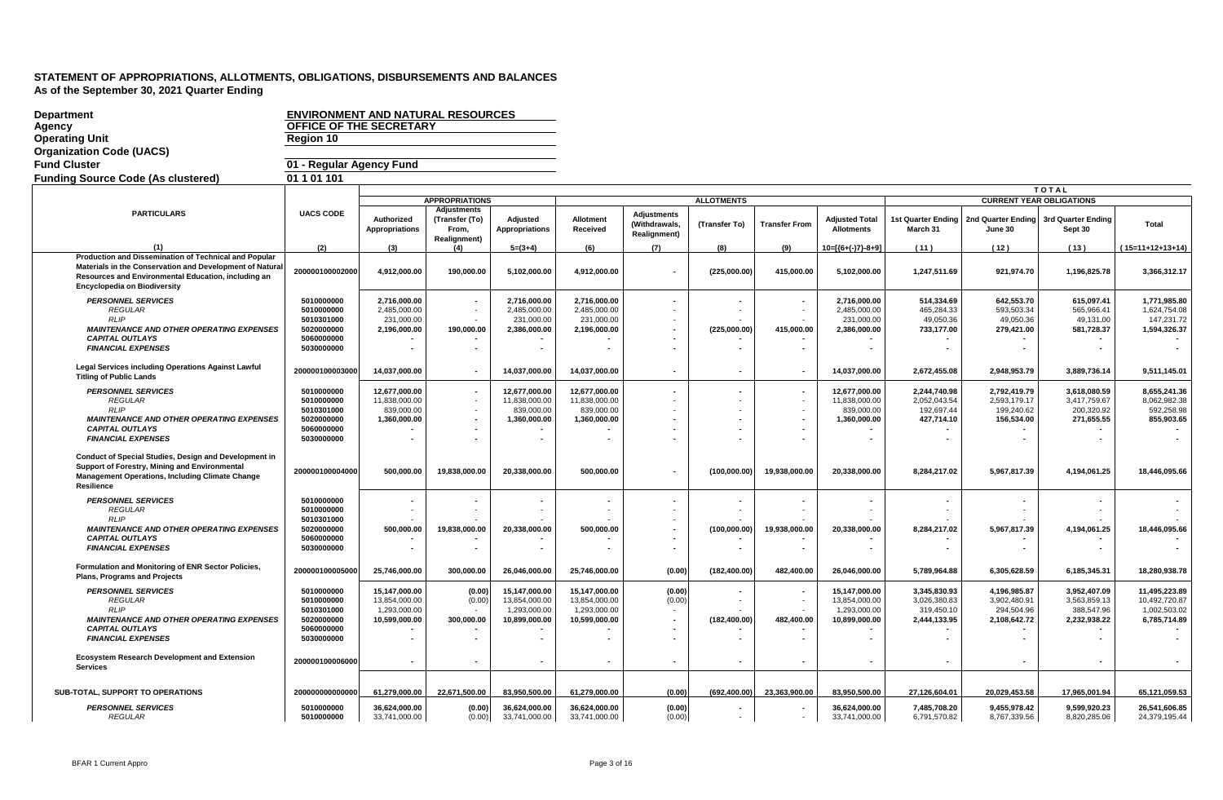| <b>Department</b><br>Agency<br><b>Operating Unit</b>                                                                                                                                                           | <b>ENVIRONMENT AND NATURAL RESOURCES</b><br>OFFICE OF THE SECRETARY<br>Region 10 |                                |                                                                      |                                   |                                |                                                            |                   |                      |                                     |                              |                                                    |                                 |                                |
|----------------------------------------------------------------------------------------------------------------------------------------------------------------------------------------------------------------|----------------------------------------------------------------------------------|--------------------------------|----------------------------------------------------------------------|-----------------------------------|--------------------------------|------------------------------------------------------------|-------------------|----------------------|-------------------------------------|------------------------------|----------------------------------------------------|---------------------------------|--------------------------------|
| <b>Organization Code (UACS)</b>                                                                                                                                                                                |                                                                                  |                                |                                                                      |                                   |                                |                                                            |                   |                      |                                     |                              |                                                    |                                 |                                |
| <b>Fund Cluster</b>                                                                                                                                                                                            | 01 - Regular Agency Fund                                                         |                                |                                                                      |                                   |                                |                                                            |                   |                      |                                     |                              |                                                    |                                 |                                |
| <b>Funding Source Code (As clustered)</b>                                                                                                                                                                      | 01 1 01 101                                                                      |                                |                                                                      |                                   |                                |                                                            |                   |                      |                                     |                              |                                                    |                                 |                                |
|                                                                                                                                                                                                                |                                                                                  |                                |                                                                      |                                   |                                |                                                            |                   |                      |                                     |                              |                                                    | TOTAL                           |                                |
|                                                                                                                                                                                                                |                                                                                  |                                | <b>APPROPRIATIONS</b>                                                |                                   |                                |                                                            | <b>ALLOTMENTS</b> |                      |                                     |                              |                                                    | <b>CURRENT YEAR OBLIGATIONS</b> |                                |
| <b>PARTICULARS</b>                                                                                                                                                                                             | <b>UACS CODE</b>                                                                 | Authorized<br>Appropriations   | <b>Adjustments</b><br>(Transfer (To)<br>From,<br><b>Realignment)</b> | Adjusted<br><b>Appropriations</b> | Allotment<br>Received          | <b>Adiustments</b><br>(Withdrawals,<br><b>Realignment)</b> | (Transfer To)     | <b>Transfer From</b> | Adjusted Total<br><b>Allotments</b> | March 31                     | 1st Quarter Ending   2nd Quarter Ending<br>June 30 | 3rd Quarter Ending<br>Sept 30   | Total                          |
| (1)                                                                                                                                                                                                            | (2)                                                                              | (3)                            | (4)                                                                  | $5=(3+4)$                         | (6)                            | (7)                                                        | (8)               | (9)                  | $10=[(6+(-)7)-8+9]$                 | (11)                         | (12)                                               | (13)                            | $(15=11+12+13+14)$             |
| Production and Dissemination of Technical and Popular<br>Materials in the Conservation and Development of Natura<br>Resources and Environmental Education, including an<br><b>Encyclopedia on Biodiversity</b> | 200000100002000                                                                  | 4,912,000.00                   | 190,000.00                                                           | 5,102,000.00                      | 4,912,000.00                   |                                                            | (225,000.00)      | 415,000.00           | 5,102,000.00                        | 1,247,511.69                 | 921,974.70                                         | 1,196,825.78                    | 3,366,312.17                   |
| <b>PERSONNEL SERVICES</b>                                                                                                                                                                                      | 5010000000                                                                       | 2,716,000.00                   |                                                                      | 2,716,000.00                      | 2,716,000.00                   |                                                            |                   |                      | 2,716,000.00                        | 514,334.69                   | 642,553.70                                         | 615,097.41                      | 1,771,985.80                   |
| <b>REGULAR</b>                                                                                                                                                                                                 | 5010000000                                                                       | 2,485,000.00                   |                                                                      | 2,485,000.00                      | 2,485,000.00                   |                                                            |                   |                      | 2,485,000.00                        | 465,284.33                   | 593,503.34                                         | 565,966.41                      | 1,624,754.08                   |
| <b>RLIP</b><br><b>MAINTENANCE AND OTHER OPERATING EXPENSES</b>                                                                                                                                                 | 5010301000<br>5020000000                                                         | 231,000.00<br>2,196,000.00     | 190,000.00                                                           | 231,000.00<br>2,386,000.00        | 231,000.00<br>2,196,000.00     |                                                            | (225,000.00)      | 415,000.00           | 231,000.00<br>2,386,000.00          | 49,050.36<br>733,177.00      | 49,050.36<br>279,421.00                            | 49,131.00<br>581,728.37         | 147,231.72<br>1,594,326.37     |
| <b>CAPITAL OUTLAYS</b>                                                                                                                                                                                         | 5060000000                                                                       |                                |                                                                      |                                   |                                |                                                            |                   |                      |                                     |                              |                                                    |                                 |                                |
| <b>FINANCIAL EXPENSES</b>                                                                                                                                                                                      | 5030000000                                                                       |                                |                                                                      |                                   |                                |                                                            |                   |                      |                                     |                              |                                                    |                                 |                                |
| <b>Legal Services including Operations Against Lawful</b><br><b>Titling of Public Lands</b>                                                                                                                    | 200000100003000                                                                  | 14,037,000.00                  |                                                                      | 14,037,000.00                     | 14,037,000.00                  |                                                            |                   |                      | 14,037,000.00                       | 2,672,455.08                 | 2,948,953.79                                       | 3,889,736.14                    | 9,511,145.01                   |
| <b>PERSONNEL SERVICES</b>                                                                                                                                                                                      | 5010000000                                                                       | 12,677,000.00                  |                                                                      | 12,677,000.00                     | 12,677,000.00                  |                                                            |                   |                      | 12,677,000.00                       | 2,244,740.98                 | 2,792,419.79                                       | 3,618,080.59                    | 8,655,241.36                   |
| <b>REGULAR</b>                                                                                                                                                                                                 | 5010000000                                                                       | 11,838,000.00                  |                                                                      | 11,838,000.00                     | 11,838,000.00                  |                                                            |                   |                      | 11,838,000.00                       | 2,052,043.54                 | 2,593,179.17                                       | 3,417,759.67                    | 8,062,982.38                   |
| <b>RLIP</b>                                                                                                                                                                                                    | 5010301000                                                                       | 839,000.00                     |                                                                      | 839,000.00                        | 839,000.00                     |                                                            |                   |                      | 839,000.00                          | 192,697.44                   | 199,240.62                                         | 200,320.92                      | 592,258.98                     |
| <b>MAINTENANCE AND OTHER OPERATING EXPENSES</b><br><b>CAPITAL OUTLAYS</b>                                                                                                                                      | 5020000000<br>5060000000                                                         | 1,360,000.00                   |                                                                      | 1,360,000.00                      | 1,360,000.00                   |                                                            | $\overline{a}$    |                      | 1,360,000.00                        | 427,714.10                   | 156,534.00                                         | 271,655.55                      | 855,903.65                     |
| <b>FINANCIAL EXPENSES</b>                                                                                                                                                                                      | 5030000000                                                                       |                                |                                                                      |                                   |                                |                                                            |                   |                      |                                     |                              |                                                    |                                 |                                |
| Conduct of Special Studies, Design and Development in<br>Support of Forestry, Mining and Environmental<br><b>Management Operations, Including Climate Change</b><br>Resilience                                 | 200000100004000                                                                  | 500,000.00                     | 19,838,000.00                                                        | 20,338,000.00                     | 500,000.00                     |                                                            | (100,000.00)      | 19,938,000.00        | 20,338,000.00                       | 8,284,217.02                 | 5,967,817.39                                       | 4,194,061.25                    | 18,446,095.66                  |
| <b>PERSONNEL SERVICES</b>                                                                                                                                                                                      | 5010000000                                                                       |                                |                                                                      |                                   |                                |                                                            |                   |                      |                                     |                              |                                                    |                                 |                                |
| <b>REGULAR</b>                                                                                                                                                                                                 | 5010000000                                                                       |                                |                                                                      |                                   |                                |                                                            |                   |                      |                                     |                              |                                                    |                                 |                                |
| <b>RLIP</b>                                                                                                                                                                                                    | 5010301000                                                                       |                                |                                                                      |                                   |                                |                                                            |                   |                      |                                     |                              |                                                    |                                 |                                |
| <b>MAINTENANCE AND OTHER OPERATING EXPENSES</b><br><b>CAPITAL OUTLAYS</b>                                                                                                                                      | 5020000000<br>5060000000                                                         | 500,000.00                     | 19,838,000.00                                                        | 20,338,000.00                     | 500,000.00                     |                                                            | (100,000.00)      | 19,938,000.00        | 20,338,000.00                       | 8,284,217.02                 | 5,967,817.39                                       | 4,194,061.25                    | 18,446,095.66                  |
| <b>FINANCIAL EXPENSES</b>                                                                                                                                                                                      | 5030000000                                                                       |                                |                                                                      |                                   |                                |                                                            |                   |                      | $\overline{\phantom{a}}$            |                              |                                                    |                                 |                                |
| Formulation and Monitoring of ENR Sector Policies,<br>Plans, Programs and Projects                                                                                                                             | 200000100005000                                                                  | 25,746,000.00                  | 300,000.00                                                           | 26,046,000.00                     | 25,746,000.00                  | (0.00)                                                     | (182, 400.00)     | 482,400.00           | 26,046,000.00                       | 5,789,964.88                 | 6,305,628.59                                       | 6,185,345.31                    | 18,280,938.78                  |
| <b>PERSONNEL SERVICES</b>                                                                                                                                                                                      | 5010000000                                                                       | 15,147,000.00                  | (0.00)                                                               | 15,147,000.00                     | 15,147,000.00                  | (0.00)                                                     |                   |                      | 15,147,000.00                       | 3,345,830.93                 | 4,196,985.87                                       | 3,952,407.09                    | 11,495,223.89                  |
| <b>REGULAR</b>                                                                                                                                                                                                 | 5010000000                                                                       | 13,854,000.00                  | (0.00)                                                               | 13,854,000.00                     | 13,854,000.00                  | (0.00)                                                     |                   |                      | 13,854,000.00                       | 3,026,380.83                 | 3,902,480.91                                       | 3,563,859.13                    | 10,492,720.87                  |
| <b>RLIP</b>                                                                                                                                                                                                    | 5010301000                                                                       | 1,293,000.00                   |                                                                      | 1,293,000.00                      | 1,293,000.00                   |                                                            |                   |                      | 1,293,000.00                        | 319.450.10                   | 294.504.96                                         | 388.547.96                      | 1,002,503.02                   |
| <b>MAINTENANCE AND OTHER OPERATING EXPENSES</b><br><b>CAPITAL OUTLAYS</b>                                                                                                                                      | 5020000000<br>5060000000                                                         | 10,599,000.00                  | 300,000.00                                                           | 10,899,000.00                     | 10,599,000.00                  |                                                            | (182, 400.00)     | 482,400.00           | 10,899,000.00                       | 2,444,133.95                 | 2,108,642.72                                       | 2,232,938.22                    | 6,785,714.89                   |
| <b>FINANCIAL EXPENSES</b>                                                                                                                                                                                      | 5030000000                                                                       |                                |                                                                      |                                   |                                |                                                            |                   |                      | $\overline{\phantom{a}}$            |                              |                                                    |                                 |                                |
| <b>Ecosystem Research Development and Extension</b><br><b>Services</b>                                                                                                                                         | 200000100006000                                                                  |                                |                                                                      |                                   |                                |                                                            |                   |                      |                                     |                              | $\sim$                                             |                                 |                                |
| SUB-TOTAL, SUPPORT TO OPERATIONS                                                                                                                                                                               | 200000000000000                                                                  | 61,279,000.00                  | 22,671,500.00                                                        | 83,950,500.00                     | 61,279,000.00                  | (0.00)                                                     | (692, 400.00)     | 23,363,900.00        | 83,950,500.00                       | 27,126,604.01                | 20,029,453.58                                      | 17,965,001.94                   | 65,121,059.53                  |
| <b>PERSONNEL SERVICES</b><br>REGULAR                                                                                                                                                                           | 5010000000<br>5010000000                                                         | 36,624,000.00<br>33,741,000.00 | (0.00)<br>(0.00)                                                     | 36.624.000.00<br>33,741,000.00    | 36,624,000.00<br>33,741,000.00 | (0.00)<br>(0.00)                                           | $\sim$            | ÷.                   | 36,624,000.00<br>33,741,000.00      | 7,485,708.20<br>6,791,570.82 | 9,455,978.42<br>8,767,339.56                       | 9,599,920.23<br>8,820,285.06    | 26,541,606.85<br>24,379,195.44 |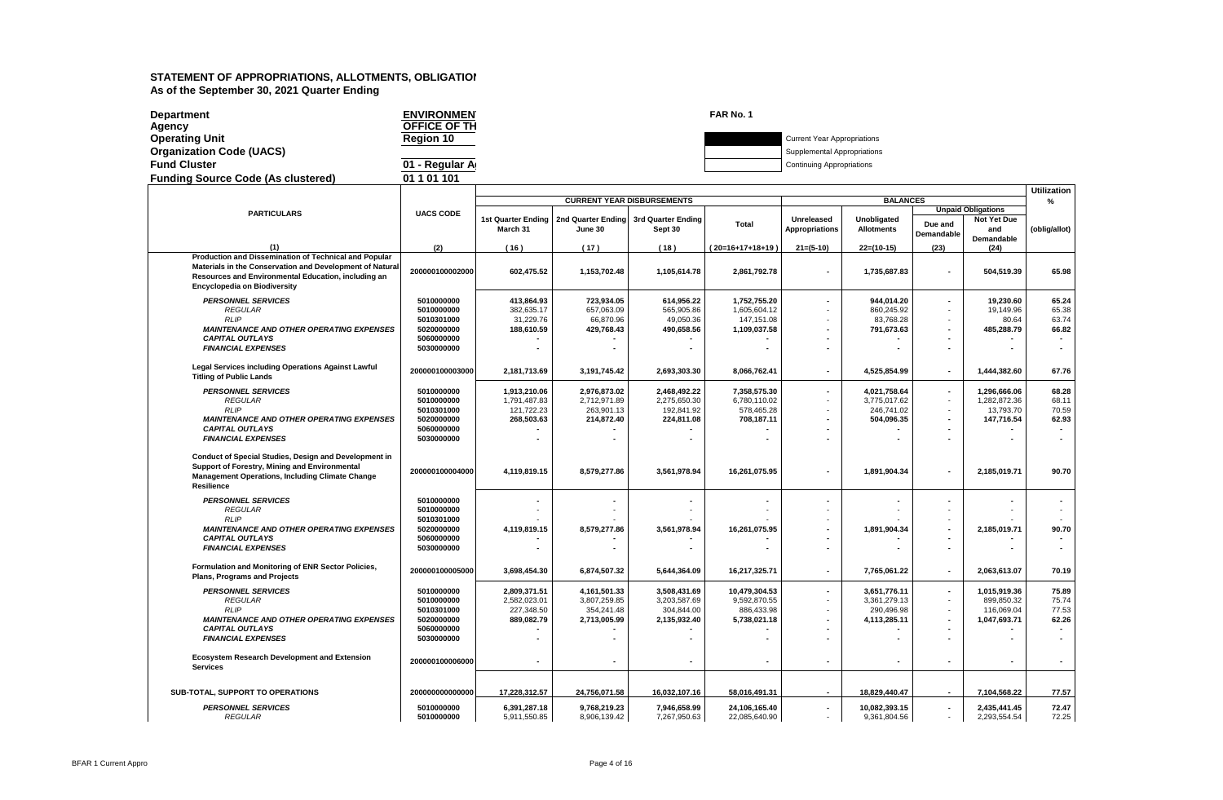| <b>Department</b>                         | <b>ENVIRONMEN</b> | FAR No. 1 |                                    |
|-------------------------------------------|-------------------|-----------|------------------------------------|
| Agency                                    | OFFICE OF TH      |           |                                    |
| <b>Operating Unit</b>                     | <b>Region 10</b>  |           | <b>Current Year Appropriations</b> |
| <b>Organization Code (UACS)</b>           |                   |           | Supplemental Appropriations        |
| <b>Fund Cluster</b>                       | 01 - Regular A    |           | <b>Continuing Appropriations</b>   |
| <b>Funding Source Code (As clustered)</b> | 01 1 01 101       |           |                                    |
|                                           |                   |           |                                    |

|                                                                                                        |                          |                                |                                                  |                            |                             |                                     |                                  |                          |                           | <b>Utilization</b> |
|--------------------------------------------------------------------------------------------------------|--------------------------|--------------------------------|--------------------------------------------------|----------------------------|-----------------------------|-------------------------------------|----------------------------------|--------------------------|---------------------------|--------------------|
|                                                                                                        |                          |                                | <b>CURRENT YEAR DISBURSEMENTS</b>                |                            |                             |                                     | <b>BALANCES</b>                  |                          |                           | %                  |
| <b>PARTICULARS</b>                                                                                     | <b>UACS CODE</b>         |                                |                                                  |                            |                             |                                     |                                  |                          | <b>Unpaid Obligations</b> |                    |
|                                                                                                        |                          | 1st Quarter Ending<br>March 31 | 2nd Quarter Ending 3rd Quarter Ending<br>June 30 | Sept 30                    | <b>Total</b>                | <b>Unreleased</b><br>Appropriations | Unobligated<br><b>Allotments</b> | Due and                  | <b>Not Yet Due</b><br>and | (oblig/allot)      |
|                                                                                                        |                          |                                |                                                  |                            |                             |                                     |                                  | Demandable               | <b>Demandable</b>         |                    |
| (1)                                                                                                    | (2)                      | (16)                           | (17)                                             | (18)                       | (20=16+17+18+19)            | $21=(5-10)$                         | $22=(10-15)$                     | (23)                     | (24)                      |                    |
| Production and Dissemination of Technical and Popular                                                  |                          |                                |                                                  |                            |                             |                                     |                                  |                          |                           |                    |
| Materials in the Conservation and Development of Natural                                               | 200000100002000          | 602,475.52                     | 1,153,702.48                                     | 1,105,614.78               | 2,861,792.78                | $\blacksquare$                      | 1,735,687.83                     | $\overline{\phantom{a}}$ | 504,519.39                | 65.98              |
| Resources and Environmental Education, including an<br><b>Encyclopedia on Biodiversity</b>             |                          |                                |                                                  |                            |                             |                                     |                                  |                          |                           |                    |
|                                                                                                        |                          |                                |                                                  |                            |                             |                                     |                                  |                          |                           |                    |
| <b>PERSONNEL SERVICES</b>                                                                              | 5010000000               | 413,864.93                     | 723,934.05                                       | 614,956.22                 | 1,752,755.20                |                                     | 944,014.20                       | $\blacksquare$           | 19,230.60                 | 65.24              |
| REGULAR<br><b>RLIP</b>                                                                                 | 5010000000<br>5010301000 | 382,635.17<br>31,229.76        | 657,063.09<br>66,870.96                          | 565,905.86<br>49,050.36    | 1,605,604.12<br>147, 151.08 |                                     | 860,245.92<br>83,768.28          |                          | 19,149.96<br>80.64        | 65.38<br>63.74     |
| <b>MAINTENANCE AND OTHER OPERATING EXPENSES</b>                                                        | 5020000000               | 188,610.59                     | 429,768.43                                       | 490,658.56                 | 1,109,037.58                |                                     | 791,673.63                       |                          | 485,288.79                | 66.82              |
| <b>CAPITAL OUTLAYS</b>                                                                                 | 5060000000               |                                |                                                  |                            |                             |                                     |                                  |                          |                           | $\blacksquare$     |
| <b>FINANCIAL EXPENSES</b>                                                                              | 5030000000               |                                |                                                  |                            |                             |                                     |                                  | $\overline{\phantom{a}}$ |                           | $\blacksquare$     |
|                                                                                                        |                          |                                |                                                  |                            |                             |                                     |                                  |                          |                           |                    |
| <b>Legal Services including Operations Against Lawful</b><br><b>Titling of Public Lands</b>            | 200000100003000          | 2,181,713.69                   | 3,191,745.42                                     | 2.693.303.30               | 8,066,762.41                | $\blacksquare$                      | 4,525,854.99                     | $\overline{\phantom{a}}$ | 1,444,382.60              | 67.76              |
|                                                                                                        |                          |                                |                                                  |                            |                             |                                     |                                  |                          |                           |                    |
| <b>PERSONNEL SERVICES</b>                                                                              | 5010000000               | 1,913,210.06                   | 2,976,873.02                                     | 2,468,492.22               | 7,358,575.30                | $\overline{\phantom{a}}$            | 4,021,758.64                     | $\sim$                   | 1,296,666.06              | 68.28              |
| <b>REGULAR</b><br><b>RLIP</b>                                                                          | 5010000000<br>5010301000 | 1,791,487.83<br>121,722.23     | 2,712,971.89<br>263,901.13                       | 2,275,650.30<br>192,841.92 | 6,780,110.02<br>578,465.28  |                                     | 3,775,017.62<br>246,741.02       | $\sim$<br>$\sim$         | 1,282,872.36<br>13,793.70 | 68.11<br>70.59     |
| <b>MAINTENANCE AND OTHER OPERATING EXPENSES</b>                                                        | 5020000000               | 268,503.63                     | 214,872.40                                       | 224,811.08                 | 708,187.11                  |                                     | 504,096.35                       | $\blacksquare$           | 147,716.54                | 62.93              |
| <b>CAPITAL OUTLAYS</b>                                                                                 | 5060000000               |                                |                                                  |                            |                             |                                     |                                  |                          |                           |                    |
| <b>FINANCIAL EXPENSES</b>                                                                              | 5030000000               |                                |                                                  |                            |                             |                                     |                                  |                          |                           |                    |
|                                                                                                        |                          |                                |                                                  |                            |                             |                                     |                                  |                          |                           |                    |
| Conduct of Special Studies, Design and Development in<br>Support of Forestry, Mining and Environmental |                          |                                |                                                  |                            |                             |                                     |                                  |                          |                           |                    |
| <b>Management Operations, Including Climate Change</b>                                                 | 200000100004000          | 4,119,819.15                   | 8,579,277.86                                     | 3,561,978.94               | 16,261,075.95               | $\overline{\phantom{a}}$            | 1,891,904.34                     | $\blacksquare$           | 2,185,019.71              | 90.70              |
| Resilience                                                                                             |                          |                                |                                                  |                            |                             |                                     |                                  |                          |                           |                    |
| <b>PERSONNEL SERVICES</b>                                                                              | 5010000000               |                                |                                                  |                            |                             |                                     |                                  |                          |                           |                    |
| <b>REGULAR</b>                                                                                         | 5010000000               |                                |                                                  |                            |                             |                                     |                                  |                          |                           |                    |
| <b>RLIP</b>                                                                                            | 5010301000               |                                |                                                  |                            |                             |                                     |                                  |                          |                           |                    |
| <b>MAINTENANCE AND OTHER OPERATING EXPENSES</b>                                                        | 5020000000               | 4,119,819.15                   | 8,579,277.86                                     | 3,561,978.94               | 16,261,075.95               |                                     | 1,891,904.34                     | $\blacksquare$           | 2,185,019.71              | 90.70              |
| <b>CAPITAL OUTLAYS</b><br><b>FINANCIAL EXPENSES</b>                                                    | 5060000000<br>5030000000 |                                |                                                  |                            |                             |                                     |                                  |                          |                           |                    |
|                                                                                                        |                          |                                |                                                  |                            |                             |                                     |                                  |                          |                           |                    |
| Formulation and Monitoring of ENR Sector Policies,                                                     | 200000100005000          | 3,698,454.30                   | 6,874,507.32                                     | 5,644,364.09               | 16,217,325.71               | $\blacksquare$                      | 7,765,061.22                     | $\sim$                   | 2,063,613.07              | 70.19              |
| <b>Plans, Programs and Projects</b>                                                                    |                          |                                |                                                  |                            |                             |                                     |                                  |                          |                           |                    |
| <b>PERSONNEL SERVICES</b>                                                                              | 5010000000               | 2,809,371.51                   | 4,161,501.33                                     | 3,508,431.69               | 10,479,304.53               |                                     | 3,651,776.11                     | $\blacksquare$           | 1,015,919.36              | 75.89              |
| <b>REGULAR</b>                                                                                         | 5010000000               | 2,582,023.01                   | 3,807,259.85                                     | 3,203,587.69               | 9,592,870.55                |                                     | 3,361,279.13                     | $\sim$                   | 899,850.32                | 75.74              |
| <b>RLIP</b>                                                                                            | 5010301000               | 227,348.50                     | 354,241.48                                       | 304,844.00                 | 886,433.98                  |                                     | 290,496.98                       | $\sim$                   | 116,069.04                | 77.53              |
| <b>MAINTENANCE AND OTHER OPERATING EXPENSES</b><br><b>CAPITAL OUTLAYS</b>                              | 5020000000<br>5060000000 | 889,082.79                     | 2,713,005.99                                     | 2,135,932.40               | 5,738,021.18                |                                     | 4,113,285.11                     | $\blacksquare$           | 1,047,693.71              | 62.26              |
| <b>FINANCIAL EXPENSES</b>                                                                              | 5030000000               |                                |                                                  |                            |                             |                                     |                                  |                          |                           |                    |
|                                                                                                        |                          |                                |                                                  |                            |                             |                                     |                                  |                          |                           |                    |
| <b>Ecosystem Research Development and Extension</b>                                                    | 200000100006000          | $\blacksquare$                 |                                                  |                            |                             |                                     | ٠                                |                          |                           |                    |
| <b>Services</b>                                                                                        |                          |                                |                                                  |                            |                             |                                     |                                  |                          |                           |                    |
|                                                                                                        |                          |                                |                                                  |                            |                             |                                     |                                  |                          |                           |                    |
| SUB-TOTAL, SUPPORT TO OPERATIONS                                                                       | 200000000000000          | 17,228,312.57                  | 24,756,071.58                                    | 16,032,107.16              | 58,016,491.31               | $\blacksquare$                      | 18,829,440.47                    | $\blacksquare$           | 7,104,568.22              | 77.57              |
| <b>PERSONNEL SERVICES</b>                                                                              | 5010000000               | 6,391,287.18                   | 9,768,219.23                                     | 7,946,658.99               | 24,106,165.40               | $\overline{\phantom{a}}$            | 10,082,393.15                    | $\sim$                   | 2,435,441.45              | 72.47              |
| <b>REGULAR</b>                                                                                         | 5010000000               | 5,911,550.85                   | 8,906,139.42                                     | 7,267,950.63               | 22,085,640.90               | $\overline{a}$                      | 9,361,804.56                     | $\sim$                   | 2,293,554.54              | 72.25              |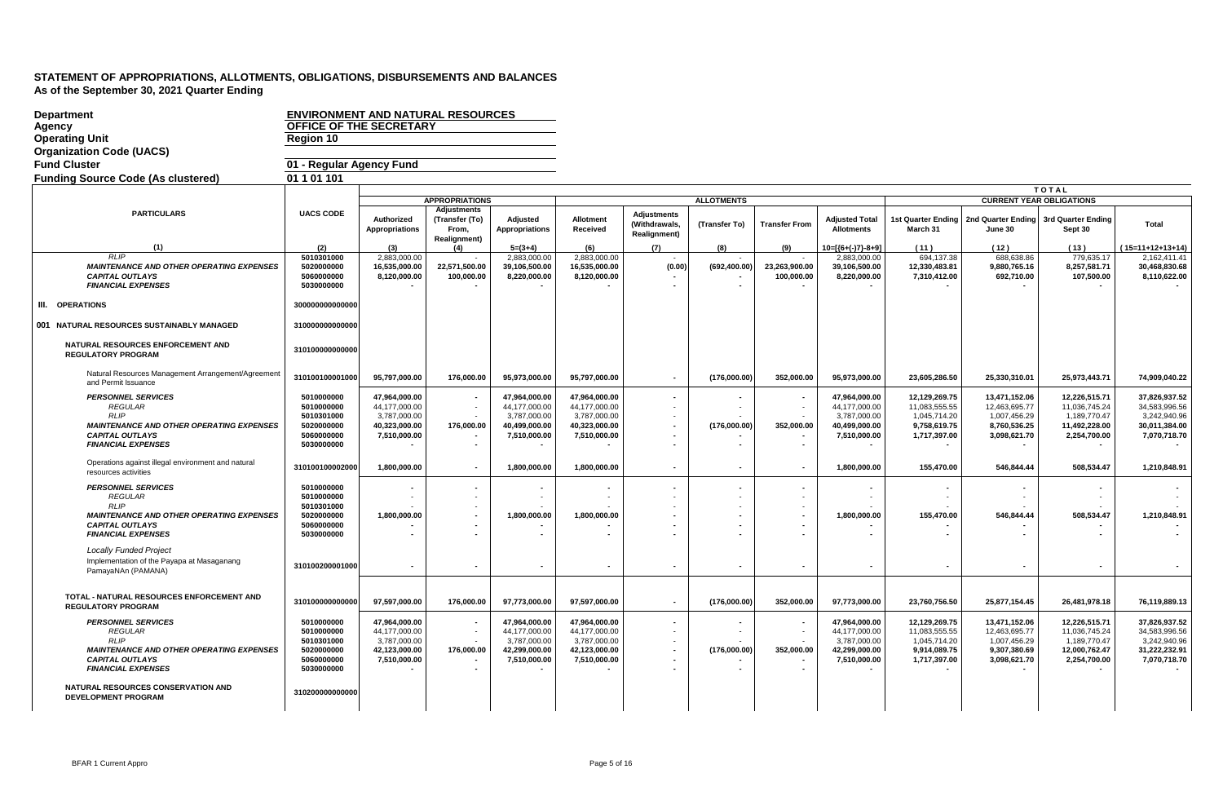| <b>Department</b><br>Agency<br><b>Operating Unit</b><br><b>Organization Code (UACS)</b>                                                                                                                                                  | <b>ENVIRONMENT AND NATURAL RESOURCES</b><br><b>OFFICE OF THE SECRETARY</b><br>Region 10             |                                                                                 |                                                        |                                                                                 |                                                                                 |                                                                |                   |                             |                                                                                 |                                                                                |                                                                                |                                                                                 |                                                                                 |
|------------------------------------------------------------------------------------------------------------------------------------------------------------------------------------------------------------------------------------------|-----------------------------------------------------------------------------------------------------|---------------------------------------------------------------------------------|--------------------------------------------------------|---------------------------------------------------------------------------------|---------------------------------------------------------------------------------|----------------------------------------------------------------|-------------------|-----------------------------|---------------------------------------------------------------------------------|--------------------------------------------------------------------------------|--------------------------------------------------------------------------------|---------------------------------------------------------------------------------|---------------------------------------------------------------------------------|
| <b>Fund Cluster</b>                                                                                                                                                                                                                      | 01 - Regular Agency Fund                                                                            |                                                                                 |                                                        |                                                                                 |                                                                                 |                                                                |                   |                             |                                                                                 |                                                                                |                                                                                |                                                                                 |                                                                                 |
| <b>Funding Source Code (As clustered)</b>                                                                                                                                                                                                | 01 1 01 101                                                                                         |                                                                                 |                                                        |                                                                                 |                                                                                 |                                                                |                   |                             |                                                                                 |                                                                                |                                                                                |                                                                                 |                                                                                 |
|                                                                                                                                                                                                                                          |                                                                                                     |                                                                                 |                                                        |                                                                                 |                                                                                 |                                                                |                   |                             |                                                                                 |                                                                                |                                                                                | <b>TOTAL</b>                                                                    |                                                                                 |
|                                                                                                                                                                                                                                          |                                                                                                     |                                                                                 | <b>APPROPRIATIONS</b>                                  |                                                                                 |                                                                                 |                                                                | <b>ALLOTMENTS</b> |                             |                                                                                 |                                                                                |                                                                                | <b>CURRENT YEAR OBLIGATIONS</b>                                                 |                                                                                 |
| <b>PARTICULARS</b>                                                                                                                                                                                                                       | <b>UACS CODE</b>                                                                                    | Authorized<br><b>Appropriations</b>                                             | Adjustments<br>(Transfer (To)<br>From.<br>Realignment) | Adjusted<br><b>Appropriations</b>                                               | Allotment<br>Received                                                           | <b>Adiustments</b><br>(Withdrawals,<br><b>Realignment</b> )    | (Transfer To)     | <b>Transfer From</b>        | <b>Adjusted Total</b><br><b>Allotments</b>                                      | <b>1st Quarter Ending</b><br>March 31                                          | June 30                                                                        | 2nd Quarter Ending 3rd Quarter Ending<br>Sept 30                                | Total                                                                           |
| (1)                                                                                                                                                                                                                                      | (2)                                                                                                 | (3)                                                                             | (4)                                                    | $5=(3+4)$                                                                       | (6)                                                                             | (7)                                                            | (8)               | (9)                         | $10=[(6+(-)7)-8+9]$                                                             | (11)                                                                           | (12)                                                                           | (13)                                                                            | $(15=11+12+13+14)$                                                              |
| RLIP<br><b>MAINTENANCE AND OTHER OPERATING EXPENSES</b><br><b>CAPITAL OUTLAYS</b><br><b>FINANCIAL EXPENSES</b>                                                                                                                           | 5010301000<br>5020000000<br>5060000000<br>5030000000                                                | 2.883.000.00<br>16,535,000.00<br>8,120,000.00                                   | 22,571,500.00<br>100,000.00                            | 2.883.000.00<br>39,106,500.00<br>8,220,000.00                                   | 2.883.000.00<br>16,535,000.00<br>8,120,000.00                                   | (0.00)                                                         | (692, 400.00)     | 23,263,900.00<br>100,000.00 | 2.883.000.00<br>39,106,500.00<br>8,220,000.00                                   | 694.137.38<br>12,330,483.81<br>7,310,412.00                                    | 688,638.86<br>9,880,765.16<br>692,710.00                                       | 779,635.17<br>8,257,581.71<br>107,500.00                                        | 2.162.411.41<br>30,468,830.68<br>8,110,622.00                                   |
| III. OPERATIONS                                                                                                                                                                                                                          | 300000000000000                                                                                     |                                                                                 |                                                        |                                                                                 |                                                                                 |                                                                |                   |                             |                                                                                 |                                                                                |                                                                                |                                                                                 |                                                                                 |
| 001 NATURAL RESOURCES SUSTAINABLY MANAGED                                                                                                                                                                                                | 310000000000000                                                                                     |                                                                                 |                                                        |                                                                                 |                                                                                 |                                                                |                   |                             |                                                                                 |                                                                                |                                                                                |                                                                                 |                                                                                 |
| NATURAL RESOURCES ENFORCEMENT AND<br><b>REGULATORY PROGRAM</b>                                                                                                                                                                           | 310100000000000                                                                                     |                                                                                 |                                                        |                                                                                 |                                                                                 |                                                                |                   |                             |                                                                                 |                                                                                |                                                                                |                                                                                 |                                                                                 |
| Natural Resources Management Arrangement/Agreement<br>and Permit Issuance                                                                                                                                                                | 310100100001000                                                                                     | 95,797,000.00                                                                   | 176,000.00                                             | 95,973,000.00                                                                   | 95,797,000.00                                                                   | $\sim$                                                         | (176,000.00)      | 352,000.00                  | 95,973,000.00                                                                   | 23,605,286.50                                                                  | 25,330,310.01                                                                  | 25,973,443.71                                                                   | 74,909,040.22                                                                   |
| <b>PERSONNEL SERVICES</b><br><b>REGULAR</b><br><b>RLIP</b><br><b>MAINTENANCE AND OTHER OPERATING EXPENSES</b><br><b>CAPITAL OUTLAYS</b><br><b>FINANCIAL EXPENSES</b>                                                                     | 5010000000<br>5010000000<br>5010301000<br>5020000000<br>5060000000<br>5030000000                    | 47,964,000.00<br>44,177,000.00<br>3,787,000.00<br>40,323,000.00<br>7,510,000.00 | 176,000.00<br>$\overline{\phantom{a}}$                 | 47,964,000.00<br>44,177,000.00<br>3,787,000.00<br>40,499,000.00<br>7,510,000.00 | 47,964,000.00<br>44,177,000.00<br>3,787,000.00<br>40,323,000.00<br>7,510,000.00 | $\blacksquare$<br>٠<br>$\blacksquare$                          | (176,000.00)      | 352,000.00                  | 47,964,000.00<br>44,177,000.00<br>3,787,000.00<br>40,499,000.00<br>7,510,000.00 | 12,129,269.75<br>11,083,555.55<br>1,045,714.20<br>9,758,619.75<br>1,717,397.00 | 13,471,152.06<br>12,463,695.77<br>1,007,456.29<br>8,760,536.25<br>3,098,621.70 | 12,226,515.71<br>11,036,745.24<br>1,189,770.47<br>11,492,228.00<br>2,254,700.00 | 37,826,937.52<br>34,583,996.56<br>3,242,940.96<br>30,011,384.00<br>7,070,718.70 |
| Operations against illegal environment and natural<br>resources activities                                                                                                                                                               | 310100100002000                                                                                     | 1,800,000.00                                                                    |                                                        | 1,800,000.00                                                                    | 1,800,000.00                                                                    | $\overline{\phantom{a}}$                                       |                   |                             | 1,800,000.00                                                                    | 155,470.00                                                                     | 546,844.44                                                                     | 508,534.47                                                                      | 1,210,848.91                                                                    |
| <b>PERSONNEL SERVICES</b><br><b>REGULAR</b><br><b>RLIP</b><br><b>MAINTENANCE AND OTHER OPERATING EXPENSES</b><br><b>CAPITAL OUTLAYS</b><br><b>FINANCIAL EXPENSES</b>                                                                     | 5010000000<br>5010000000<br>5010301000<br>5020000000<br>5060000000<br>5030000000                    | 1,800,000.00                                                                    |                                                        | 1,800,000.00                                                                    | 1,800,000.00                                                                    |                                                                |                   |                             | 1,800,000.00                                                                    | 155,470.00                                                                     | 546,844.44                                                                     | 508,534.47                                                                      | 1,210,848.91                                                                    |
| <b>Locally Funded Project</b><br>Implementation of the Payapa at Masaganang<br>PamayaNAn (PAMANA)                                                                                                                                        | 310100200001000                                                                                     | $\blacksquare$                                                                  | $\overline{\phantom{a}}$                               |                                                                                 |                                                                                 | $\sim$                                                         |                   |                             |                                                                                 |                                                                                | $\blacksquare$                                                                 |                                                                                 |                                                                                 |
| TOTAL - NATURAL RESOURCES ENFORCEMENT AND<br><b>REGULATORY PROGRAM</b>                                                                                                                                                                   | 310100000000000                                                                                     | 97,597,000.00                                                                   | 176.000.00                                             | 97,773,000.00                                                                   | 97,597,000.00                                                                   |                                                                | (176,000.00)      | 352,000.00                  | 97,773,000.00                                                                   | 23,760,756.50                                                                  | 25,877,154.45                                                                  | 26,481,978.18                                                                   | 76,119,889.13                                                                   |
| <b>PERSONNEL SERVICES</b><br><b>REGULAR</b><br><b>RLIP</b><br><b>MAINTENANCE AND OTHER OPERATING EXPENSES</b><br><b>CAPITAL OUTLAYS</b><br><b>FINANCIAL EXPENSES</b><br>NATURAL RESOURCES CONSERVATION AND<br><b>DEVELOPMENT PROGRAM</b> | 5010000000<br>5010000000<br>5010301000<br>5020000000<br>5060000000<br>5030000000<br>310200000000000 | 47,964,000.00<br>44,177,000.00<br>3,787,000.00<br>42,123,000.00<br>7,510,000.00 | $\sim$<br>176,000.00                                   | 47.964.000.00<br>44,177,000.00<br>3,787,000.00<br>42,299,000.00<br>7,510,000.00 | 47.964.000.00<br>44,177,000.00<br>3,787,000.00<br>42,123,000.00<br>7,510,000.00 | $\sim$<br>$\sim$<br>$\blacksquare$<br>$\overline{\phantom{0}}$ | (176,000.00)      | 352,000.00                  | 47,964,000.00<br>44,177,000.00<br>3,787,000.00<br>42,299,000.00<br>7,510,000.00 | 12.129.269.75<br>11,083,555.55<br>1,045,714.20<br>9,914,089.75<br>1,717,397.00 | 13,471,152.06<br>12,463,695.77<br>1,007,456.29<br>9,307,380.69<br>3,098,621.70 | 12.226.515.71<br>11,036,745.24<br>1,189,770.47<br>12,000,762.47<br>2,254,700.00 | 37.826.937.52<br>34,583,996.56<br>3,242,940.96<br>31,222,232.91<br>7,070,718.70 |
|                                                                                                                                                                                                                                          |                                                                                                     |                                                                                 |                                                        |                                                                                 |                                                                                 |                                                                |                   |                             |                                                                                 |                                                                                |                                                                                |                                                                                 |                                                                                 |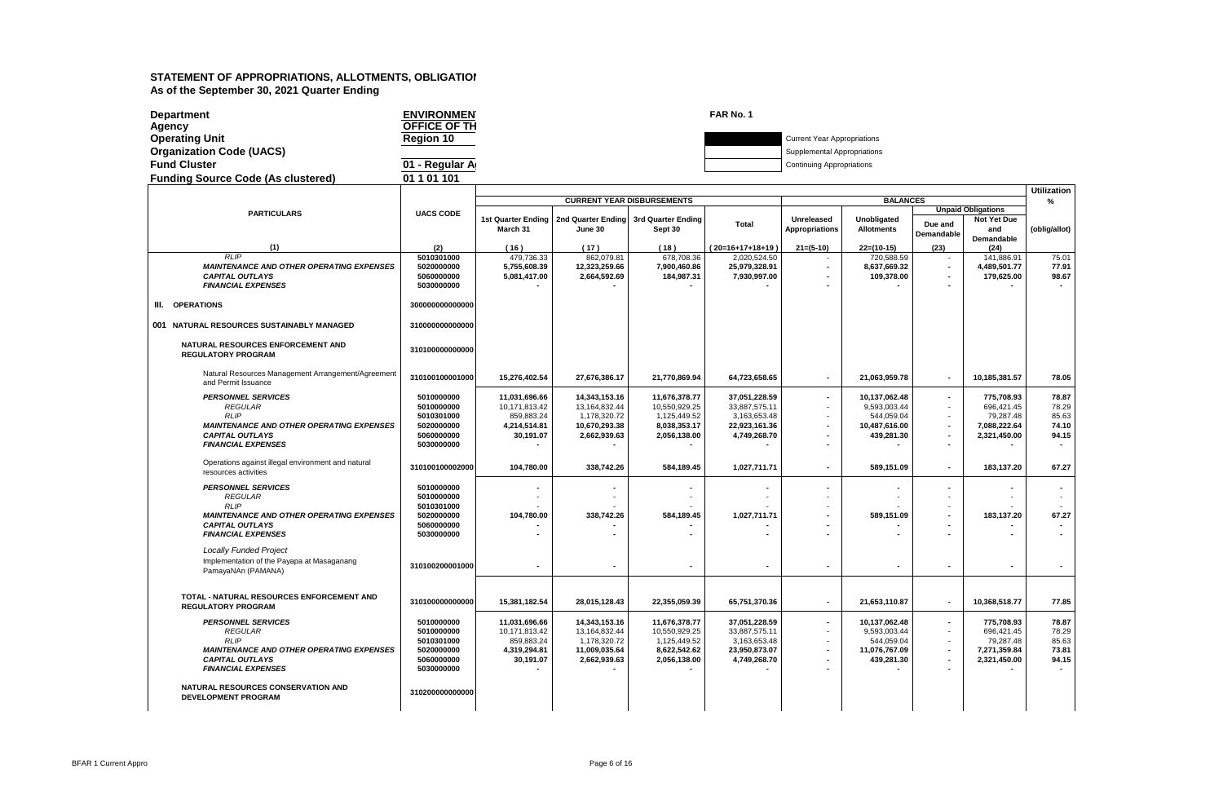| <b>Department</b>                         | <b>ENVIRONMEN</b> | FAR No. 1                          |
|-------------------------------------------|-------------------|------------------------------------|
| Aqencv                                    | OFFICE OF TH      |                                    |
| <b>Operating Unit</b>                     | <b>Region 10</b>  | <b>Current Year Appropriations</b> |
| <b>Organization Code (UACS)</b>           |                   | Supplemental Appropriations        |
| <b>Fund Cluster</b>                       | 01 - Regular A    | <b>Continuing Appropriations</b>   |
| <b>Funding Source Code (As clustered)</b> | 01 1 01 101       |                                    |

|                                                                            |                          |               |                                                                         |                                   |                  |                          |                    |                          |                                          | <b>Utilization</b>       |
|----------------------------------------------------------------------------|--------------------------|---------------|-------------------------------------------------------------------------|-----------------------------------|------------------|--------------------------|--------------------|--------------------------|------------------------------------------|--------------------------|
|                                                                            |                          |               |                                                                         | <b>CURRENT YEAR DISBURSEMENTS</b> |                  |                          | <b>BALANCES</b>    |                          |                                          | $\frac{9}{6}$            |
| <b>PARTICULARS</b>                                                         | <b>UACS CODE</b>         |               |                                                                         |                                   |                  | Unreleased               | <b>Unobligated</b> |                          | <b>Unpaid Obligations</b><br>Not Yet Due |                          |
|                                                                            |                          | March 31      | 1st Quarter Ending   2nd Quarter Ending   3rd Quarter Ending<br>June 30 | Sept 30                           | <b>Total</b>     | <b>Appropriations</b>    | <b>Allotments</b>  | Due and                  | and                                      | (oblig/allot)            |
|                                                                            |                          |               |                                                                         |                                   |                  |                          |                    | Demandable               | Demandable                               |                          |
| (1)                                                                        | (2)                      | (16)          | (17)                                                                    | (18)                              | (20=16+17+18+19) | $21 = (5-10)$            | $22=(10-15)$       | (23)                     | (24)                                     |                          |
| RLIP                                                                       | 5010301000               | 479,736.33    | 862,079.81                                                              | 678,708.36                        | 2,020,524.50     |                          | 720.588.59         |                          | 141,886.91                               | 75.01                    |
| <b>MAINTENANCE AND OTHER OPERATING EXPENSES</b>                            | 5020000000               | 5,755,608.39  | 12,323,259.66                                                           | 7,900,460.86                      | 25,979,328.91    | $\overline{\phantom{a}}$ | 8,637,669.32       | $\blacksquare$           | 4,489,501.77                             | 77.91                    |
| <b>CAPITAL OUTLAYS</b>                                                     | 5060000000               | 5,081,417.00  | 2,664,592.69                                                            | 184,987.31                        | 7,930,997.00     |                          | 109,378.00         |                          | 179,625.00                               | 98.67                    |
| <b>FINANCIAL EXPENSES</b>                                                  | 5030000000               |               |                                                                         |                                   |                  |                          |                    |                          |                                          |                          |
| <b>OPERATIONS</b><br>III.                                                  | 300000000000000          |               |                                                                         |                                   |                  |                          |                    |                          |                                          |                          |
|                                                                            |                          |               |                                                                         |                                   |                  |                          |                    |                          |                                          |                          |
| 001 NATURAL RESOURCES SUSTAINABLY MANAGED                                  | 310000000000000          |               |                                                                         |                                   |                  |                          |                    |                          |                                          |                          |
| NATURAL RESOURCES ENFORCEMENT AND<br><b>REGULATORY PROGRAM</b>             | 310100000000000          |               |                                                                         |                                   |                  |                          |                    |                          |                                          |                          |
| Natural Resources Management Arrangement/Agreement<br>and Permit Issuance  | 310100100001000          | 15,276,402.54 | 27,676,386.17                                                           | 21,770,869.94                     | 64,723,658.65    |                          | 21.063.959.78      | $\blacksquare$           | 10.185.381.57                            | 78.05                    |
| <b>PERSONNEL SERVICES</b>                                                  | 5010000000               | 11,031,696.66 | 14,343,153.16                                                           | 11,676,378.77                     | 37,051,228.59    | $\overline{\phantom{a}}$ | 10,137,062.48      | $\blacksquare$           | 775,708.93                               | 78.87                    |
| <b>REGULAR</b>                                                             | 5010000000               | 10,171,813.42 | 13,164,832.44                                                           | 10,550,929.25                     | 33,887,575.11    |                          | 9,593,003.44       | $\sim$                   | 696,421.45                               | 78.29                    |
| <b>RLIP</b>                                                                | 5010301000               | 859.883.24    | 1.178.320.72                                                            | 1.125.449.52                      | 3.163.653.48     |                          | 544.059.04         | $\blacksquare$           | 79.287.48                                | 85.63                    |
| <b>MAINTENANCE AND OTHER OPERATING EXPENSES</b>                            | 5020000000               | 4,214,514.81  | 10,670,293.38                                                           | 8,038,353.17                      | 22,923,161.36    |                          | 10,487,616.00      | $\overline{\phantom{a}}$ | 7,088,222.64                             | 74.10                    |
| <b>CAPITAL OUTLAYS</b>                                                     | 5060000000               | 30,191.07     | 2,662,939.63                                                            | 2,056,138.00                      | 4,749,268.70     |                          | 439,281.30         | $\blacksquare$           | 2,321,450.00                             | 94.15                    |
| <b>FINANCIAL EXPENSES</b>                                                  | 5030000000               |               |                                                                         |                                   |                  |                          |                    |                          |                                          | $\overline{\phantom{a}}$ |
| Operations against illegal environment and natural<br>resources activities | 310100100002000          | 104,780.00    | 338,742.26                                                              | 584,189.45                        | 1,027,711.71     |                          | 589,151.09         | $\blacksquare$           | 183,137.20                               | 67.27                    |
| <b>PERSONNEL SERVICES</b>                                                  | 5010000000               |               |                                                                         |                                   |                  |                          |                    |                          |                                          |                          |
| <b>REGULAR</b>                                                             | 5010000000               |               |                                                                         |                                   |                  |                          |                    |                          |                                          |                          |
| <b>RLIP</b>                                                                | 5010301000               |               |                                                                         |                                   |                  |                          |                    |                          |                                          |                          |
| <b>MAINTENANCE AND OTHER OPERATING EXPENSES</b>                            | 5020000000               | 104.780.00    | 338.742.26                                                              | 584.189.45                        | 1,027,711.71     |                          | 589,151.09         | $\overline{\phantom{a}}$ | 183.137.20                               | 67.27                    |
| <b>CAPITAL OUTLAYS</b>                                                     | 5060000000               |               |                                                                         |                                   |                  |                          |                    |                          |                                          |                          |
| <b>FINANCIAL EXPENSES</b>                                                  | 5030000000               |               |                                                                         |                                   |                  |                          |                    |                          |                                          |                          |
| <b>Locally Funded Project</b>                                              |                          |               |                                                                         |                                   |                  |                          |                    |                          |                                          |                          |
| Implementation of the Payapa at Masaganang                                 | 310100200001000          |               |                                                                         |                                   |                  |                          | $\overline{a}$     | $\overline{a}$           | $\overline{\phantom{a}}$                 | $\sim$                   |
| PamayaNAn (PAMANA)                                                         |                          |               |                                                                         |                                   |                  |                          |                    |                          |                                          |                          |
| TOTAL - NATURAL RESOURCES ENFORCEMENT AND                                  |                          |               |                                                                         |                                   |                  |                          |                    |                          |                                          |                          |
| <b>REGULATORY PROGRAM</b>                                                  | 310100000000000          | 15.381.182.54 | 28,015,128.43                                                           | 22,355,059.39                     | 65,751,370.36    | $\overline{\phantom{a}}$ | 21,653,110.87      | $\blacksquare$           | 10.368.518.77                            | 77.85                    |
| <b>PERSONNEL SERVICES</b>                                                  | 5010000000               | 11,031,696.66 | 14,343,153.16                                                           | 11,676,378.77                     | 37,051,228.59    | ٠                        | 10,137,062.48      | $\overline{\phantom{a}}$ | 775,708.93                               | 78.87                    |
| <b>REGULAR</b>                                                             | 5010000000               | 10,171,813.42 | 13,164,832.44                                                           | 10,550,929.25                     | 33,887,575.11    |                          | 9.593.003.44       | $\sim$                   | 696.421.45                               | 78.29                    |
| <b>RLIP</b>                                                                | 5010301000               | 859.883.24    | 1,178,320.72                                                            | 1,125,449.52                      | 3,163,653.48     |                          | 544.059.04         | $\blacksquare$           | 79.287.48                                | 85.63                    |
| <b>MAINTENANCE AND OTHER OPERATING EXPENSES</b>                            | 5020000000               | 4,319,294.81  | 11,009,035.64                                                           | 8,622,542.62                      | 23,950,873.07    |                          | 11,076,767.09      | $\blacksquare$           | 7,271,359.84                             | 73.81                    |
| <b>CAPITAL OUTLAYS</b><br><b>FINANCIAL EXPENSES</b>                        | 5060000000<br>5030000000 | 30,191.07     | 2,662,939.63                                                            | 2,056,138.00                      | 4,749,268.70     |                          | 439,281.30         | $\overline{\phantom{a}}$ | 2,321,450.00                             | 94.15                    |
|                                                                            |                          |               |                                                                         |                                   |                  |                          |                    |                          |                                          |                          |
| NATURAL RESOURCES CONSERVATION AND<br><b>DEVELOPMENT PROGRAM</b>           | 310200000000000          |               |                                                                         |                                   |                  |                          |                    |                          |                                          |                          |
|                                                                            |                          |               |                                                                         |                                   |                  |                          |                    |                          |                                          |                          |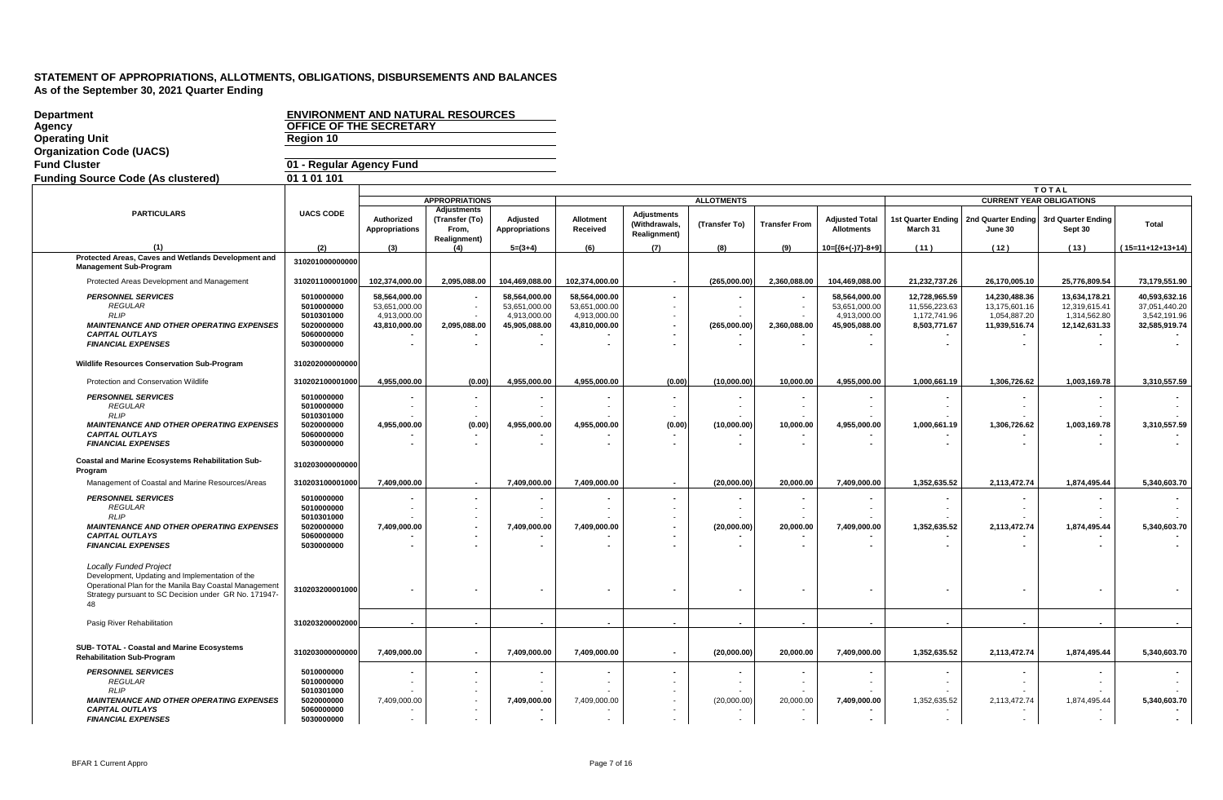| Department                                                                                                                                 | <b>ENVIRONMENT AND NATURAL RESOURCES</b> |                                                |                                                                      |                                                |                                                |                                                            |                   |                          |                                                |                                                |                                                |                                                  |                                                |
|--------------------------------------------------------------------------------------------------------------------------------------------|------------------------------------------|------------------------------------------------|----------------------------------------------------------------------|------------------------------------------------|------------------------------------------------|------------------------------------------------------------|-------------------|--------------------------|------------------------------------------------|------------------------------------------------|------------------------------------------------|--------------------------------------------------|------------------------------------------------|
| Agency                                                                                                                                     | OFFICE OF THE SECRETARY                  |                                                |                                                                      |                                                |                                                |                                                            |                   |                          |                                                |                                                |                                                |                                                  |                                                |
| <b>Operating Unit</b>                                                                                                                      | Region 10                                |                                                |                                                                      |                                                |                                                |                                                            |                   |                          |                                                |                                                |                                                |                                                  |                                                |
| <b>Organization Code (UACS)</b>                                                                                                            |                                          |                                                |                                                                      |                                                |                                                |                                                            |                   |                          |                                                |                                                |                                                |                                                  |                                                |
| <b>Fund Cluster</b>                                                                                                                        | 01 - Regular Agency Fund                 |                                                |                                                                      |                                                |                                                |                                                            |                   |                          |                                                |                                                |                                                |                                                  |                                                |
| <b>Funding Source Code (As clustered)</b>                                                                                                  | 01 1 01 101                              |                                                |                                                                      |                                                |                                                |                                                            |                   |                          |                                                |                                                |                                                |                                                  |                                                |
|                                                                                                                                            |                                          |                                                |                                                                      |                                                |                                                |                                                            |                   |                          |                                                |                                                |                                                | <b>TOTAL</b>                                     |                                                |
|                                                                                                                                            |                                          |                                                | <b>APPROPRIATIONS</b>                                                |                                                |                                                |                                                            | <b>ALLOTMENTS</b> |                          |                                                |                                                |                                                | <b>CURRENT YEAR OBLIGATIONS</b>                  |                                                |
| <b>PARTICULARS</b>                                                                                                                         | <b>UACS CODE</b>                         | Authorized<br>Appropriations                   | <b>Adjustments</b><br>(Transfer (To)<br>From,<br><b>Realignment)</b> | Adjusted<br>Appropriations                     | <b>Allotment</b><br>Received                   | <b>Adjustments</b><br>(Withdrawals,<br><b>Realignment)</b> | (Transfer To)     | <b>Transfer From</b>     | <b>Adjusted Total</b><br><b>Allotments</b>     | <b>1st Quarter Ending</b><br>March 31          | June 30                                        | 2nd Quarter Ending 3rd Quarter Ending<br>Sept 30 | Total                                          |
| (1)                                                                                                                                        | (2)                                      | (3)                                            | (4)                                                                  | $5=(3+4)$                                      | (6)                                            | (7)                                                        | (8)               | (9)                      | 10=[{6+(-)7}-8+9]                              | (11)                                           | (12)                                           | (13)                                             | $(15=11+12+13+14)$                             |
| Protected Areas, Caves and Wetlands Development and<br><b>Management Sub-Program</b>                                                       | 310201000000000                          |                                                |                                                                      |                                                |                                                |                                                            |                   |                          |                                                |                                                |                                                |                                                  |                                                |
| Protected Areas Development and Management                                                                                                 | 310201100001000                          | 102,374,000.00                                 | 2,095,088.00                                                         | 104,469,088.00                                 | 102,374,000.00                                 | $\overline{\phantom{a}}$                                   | (265,000.00)      | 2,360,088.00             | 104,469,088.00                                 | 21,232,737.26                                  | 26,170,005.10                                  | 25,776,809.54                                    | 73,179,551.90                                  |
| <b>PERSONNEL SERVICES</b><br><b>REGULAR</b><br><b>RLIP</b>                                                                                 | 5010000000<br>5010000000<br>5010301000   | 58,564,000.00<br>53,651,000.00<br>4,913,000.00 |                                                                      | 58,564,000.00<br>53,651,000.00<br>4,913,000.00 | 58,564,000.00<br>53,651,000.00<br>4,913,000.00 |                                                            |                   |                          | 58,564,000.00<br>53,651,000.00<br>4,913,000.00 | 12,728,965.59<br>11,556,223.63<br>1,172,741.96 | 14,230,488.36<br>13,175,601.16<br>1,054,887.20 | 13,634,178.21<br>12,319,615.41<br>1,314,562.80   | 40,593,632.16<br>37,051,440.20<br>3,542,191.96 |
| <b>MAINTENANCE AND OTHER OPERATING EXPENSES</b>                                                                                            | 5020000000                               | 43,810,000.00                                  | 2,095,088.00                                                         | 45,905,088.00                                  | 43,810,000.00                                  |                                                            | (265,000.00)      | 2,360,088.00             | 45,905,088.00                                  | 8,503,771.67                                   | 11,939,516.74                                  | 12,142,631.33                                    | 32,585,919.74                                  |
| <b>CAPITAL OUTLAYS</b><br><b>FINANCIAL EXPENSES</b>                                                                                        | 5060000000<br>5030000000                 | $\blacksquare$                                 |                                                                      |                                                |                                                |                                                            |                   |                          |                                                |                                                |                                                |                                                  |                                                |
| <b>Wildlife Resources Conservation Sub-Program</b>                                                                                         | 310202000000000                          |                                                |                                                                      |                                                |                                                |                                                            |                   |                          |                                                |                                                |                                                |                                                  |                                                |
| Protection and Conservation Wildlife                                                                                                       | 310202100001000                          | 4,955,000.00                                   | (0.00)                                                               | 4,955,000.00                                   | 4,955,000.00                                   | (0.00)                                                     | (10,000.00)       | 10,000.00                | 4,955,000.00                                   | 1,000,661.19                                   | 1,306,726.62                                   | 1,003,169.78                                     | 3,310,557.59                                   |
| <b>PERSONNEL SERVICES</b><br><b>REGULAR</b>                                                                                                | 5010000000<br>5010000000                 |                                                |                                                                      |                                                |                                                |                                                            |                   | $\overline{\phantom{a}}$ |                                                |                                                |                                                |                                                  |                                                |
| <b>RLIP</b>                                                                                                                                | 5010301000                               |                                                |                                                                      |                                                |                                                |                                                            |                   |                          |                                                |                                                |                                                |                                                  |                                                |
| <b>MAINTENANCE AND OTHER OPERATING EXPENSES</b><br><b>CAPITAL OUTLAYS</b>                                                                  | 5020000000<br>5060000000                 | 4,955,000.00                                   | (0.00)                                                               | 4,955,000.00                                   | 4,955,000.00                                   | (0.00)                                                     | (10,000.00)       | 10,000.00                | 4,955,000.00                                   | 1,000,661.19                                   | 1,306,726.62                                   | 1,003,169.78                                     | 3,310,557.59                                   |
| <b>FINANCIAL EXPENSES</b>                                                                                                                  | 5030000000                               |                                                |                                                                      |                                                |                                                |                                                            |                   |                          |                                                |                                                |                                                |                                                  |                                                |
| Coastal and Marine Ecosystems Rehabilitation Sub-<br>Program                                                                               | 310203000000000                          |                                                |                                                                      |                                                |                                                |                                                            |                   |                          |                                                |                                                |                                                |                                                  |                                                |
| Management of Coastal and Marine Resources/Areas                                                                                           | 310203100001000                          | 7.409.000.00                                   |                                                                      | 7.409.000.00                                   | 7.409.000.00                                   |                                                            | (20,000.00)       | 20.000.00                | 7,409,000.00                                   | 1,352,635.52                                   | 2,113,472.74                                   | 1,874,495.44                                     | 5,340,603.70                                   |
| <b>PERSONNEL SERVICES</b>                                                                                                                  | 5010000000                               |                                                |                                                                      |                                                |                                                |                                                            |                   |                          |                                                |                                                |                                                |                                                  |                                                |
| <b>REGULAR</b><br><b>RLIP</b>                                                                                                              | 5010000000<br>5010301000                 |                                                |                                                                      |                                                |                                                |                                                            |                   | ÷.                       |                                                |                                                |                                                |                                                  |                                                |
| <b>MAINTENANCE AND OTHER OPERATING EXPENSES</b>                                                                                            | 5020000000                               | 7,409,000.00                                   |                                                                      | 7,409,000.00                                   | 7,409,000.00                                   |                                                            | (20,000.00)       | 20,000.00                | 7,409,000.00                                   | 1,352,635.52                                   | 2,113,472.74                                   | 1,874,495.44                                     | 5,340,603.70                                   |
| <b>CAPITAL OUTLAYS</b>                                                                                                                     | 5060000000                               |                                                |                                                                      |                                                |                                                |                                                            |                   |                          |                                                |                                                |                                                |                                                  |                                                |
| <b>FINANCIAL EXPENSES</b>                                                                                                                  | 5030000000                               |                                                |                                                                      |                                                |                                                |                                                            |                   |                          |                                                |                                                |                                                |                                                  |                                                |
| <b>Locally Funded Project</b><br>Development, Updating and Implementation of the<br>Operational Plan for the Manila Bay Coastal Management |                                          |                                                |                                                                      |                                                |                                                |                                                            |                   |                          |                                                |                                                |                                                |                                                  |                                                |
| Strategy pursuant to SC Decision under GR No. 171947-<br>$\overline{AB}$                                                                   | 310203200001000                          | $\overline{\phantom{a}}$                       |                                                                      | $\blacksquare$                                 |                                                | $\overline{\phantom{a}}$                                   |                   | $\overline{\phantom{a}}$ |                                                |                                                |                                                |                                                  |                                                |
| Pasig River Rehabilitation                                                                                                                 | 310203200002000                          | $\overline{\phantom{a}}$                       |                                                                      |                                                |                                                | $\overline{\phantom{a}}$                                   |                   |                          | $\blacksquare$                                 | $\overline{\phantom{a}}$                       |                                                |                                                  |                                                |
| SUB- TOTAL - Coastal and Marine Ecosystems<br><b>Rehabilitation Sub-Program</b>                                                            | 310203000000000                          | 7,409,000.00                                   |                                                                      | 7,409,000.00                                   | 7,409,000.00                                   |                                                            | (20,000.00)       | 20,000.00                | 7,409,000.00                                   | 1,352,635.52                                   | 2,113,472.74                                   | 1,874,495.44                                     | 5,340,603.70                                   |
| <b>PERSONNEL SERVICES</b><br><b>REGULAR</b>                                                                                                | 5010000000<br>5010000000                 |                                                |                                                                      |                                                |                                                |                                                            |                   |                          |                                                |                                                |                                                |                                                  |                                                |
| <b>RLIP</b><br><b>MAINTENANCE AND OTHER OPERATING EXPENSES</b>                                                                             | 5010301000<br>5020000000                 | 7,409,000.00                                   |                                                                      | 7,409,000.00                                   | 7,409,000.00                                   |                                                            | (20,000.00)       | 20,000.00                | 7,409,000.00                                   | 1,352,635.52                                   | 2,113,472.74                                   | 1,874,495.44                                     | 5,340,603.70                                   |
| <b>CAPITAL OUTLAYS</b><br><b>FINANCIAL EXPENSES</b>                                                                                        | 5060000000<br>5030000000                 |                                                |                                                                      |                                                |                                                |                                                            |                   |                          |                                                |                                                |                                                |                                                  |                                                |
|                                                                                                                                            |                                          | $\sim$                                         |                                                                      | $\overline{\phantom{a}}$                       |                                                | $\sim$                                                     |                   | ٠                        |                                                | $\sim$                                         | $\sim$                                         | $\sim$                                           |                                                |

┑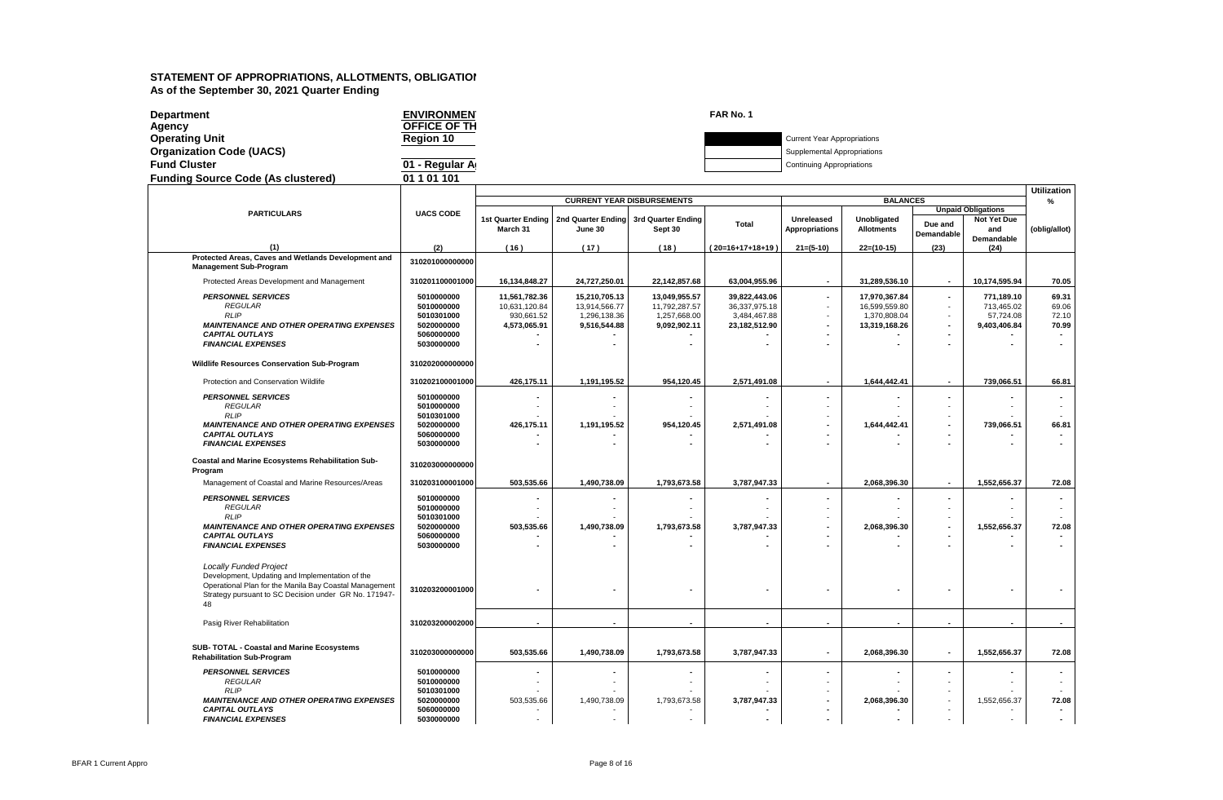| <b>Department</b>                         | <b>ENVIRONMEN</b> | FAR No. 1                  |                                    |
|-------------------------------------------|-------------------|----------------------------|------------------------------------|
| Agency                                    | OFFICE OF TH      |                            |                                    |
| <b>Operating Unit</b>                     | <b>Region 10</b>  |                            | <b>Current Year Appropriations</b> |
| <b>Organization Code (UACS)</b>           |                   |                            | Supplemental Appropriations        |
| <b>Fund Cluster</b>                       | 01 - Regular A    |                            | <b>Continuing Appropriations</b>   |
| <b>Funding Source Code (As clustered)</b> | 01 1 01 101       |                            |                                    |
|                                           |                   |                            |                                    |
|                                           |                   | CUBBENT VEAD DICDUBCEMENTS | <b>DAI</b>                         |

|                                                                                                           |                          |                             |                               |                                       |                               |                                                      |                               |                                            |                                          | <b>Utilization</b> |
|-----------------------------------------------------------------------------------------------------------|--------------------------|-----------------------------|-------------------------------|---------------------------------------|-------------------------------|------------------------------------------------------|-------------------------------|--------------------------------------------|------------------------------------------|--------------------|
|                                                                                                           |                          |                             |                               | <b>CURRENT YEAR DISBURSEMENTS</b>     |                               |                                                      | <b>BALANCES</b>               |                                            |                                          | %                  |
| <b>PARTICULARS</b>                                                                                        | <b>UACS CODE</b>         | <b>1st Quarter Ending</b>   |                               | 2nd Quarter Ending 3rd Quarter Ending |                               | Unreleased                                           | Unobligated                   |                                            | <b>Unpaid Obligations</b><br>Not Yet Due |                    |
|                                                                                                           |                          | March 31                    | June 30                       | Sept 30                               | Total                         | <b>Appropriations</b>                                | <b>Allotments</b>             | Due and<br>Demandable                      | and                                      | (oblig/allot)      |
|                                                                                                           |                          |                             |                               |                                       |                               |                                                      |                               |                                            | Demandable                               |                    |
| (1)<br>Protected Areas, Caves and Wetlands Development and                                                | (2)                      | (16)                        | (17)                          | (18)                                  | (20=16+17+18+19)              | $21 = (5-10)$                                        | $22=(10-15)$                  | (23)                                       | (24)                                     |                    |
| <b>Management Sub-Program</b>                                                                             | 310201000000000          |                             |                               |                                       |                               |                                                      |                               |                                            |                                          |                    |
| Protected Areas Development and Management                                                                | 310201100001000          | 16,134,848.27               | 24,727,250.01                 | 22,142,857.68                         | 63,004,955.96                 | $\sim$                                               | 31,289,536.10                 | $\sim$                                     | 10,174,595.94                            | 70.05              |
| <b>PERSONNEL SERVICES</b>                                                                                 | 5010000000               | 11,561,782.36               | 15,210,705.13                 | 13,049,955.57                         | 39,822,443.06                 | $\blacksquare$                                       | 17,970,367.84                 | $\sim$                                     | 771,189.10                               | 69.31              |
| REGULAR<br><b>RLIP</b>                                                                                    | 5010000000<br>5010301000 | 10,631,120.84<br>930,661.52 | 13,914,566.77<br>1,296,138.36 | 11,792,287.57<br>1,257,668.00         | 36,337,975.18<br>3,484,467.88 | $\sim$<br>٠                                          | 16,599,559.80<br>1,370,808.04 | $\sim$<br>$\blacksquare$                   | 713,465.02<br>57,724.08                  | 69.06<br>72.10     |
| <b>MAINTENANCE AND OTHER OPERATING EXPENSES</b>                                                           | 5020000000               | 4,573,065.91                | 9,516,544.88                  | 9,092,902.11                          | 23,182,512.90                 |                                                      | 13,319,168.26                 | $\overline{\phantom{a}}$                   | 9,403,406.84                             | 70.99              |
| <b>CAPITAL OUTLAYS</b>                                                                                    | 5060000000               |                             |                               |                                       |                               |                                                      |                               | $\blacksquare$                             |                                          |                    |
| <b>FINANCIAL EXPENSES</b>                                                                                 | 5030000000               |                             |                               |                                       |                               |                                                      |                               |                                            |                                          |                    |
| Wildlife Resources Conservation Sub-Program                                                               | 310202000000000          |                             |                               |                                       |                               |                                                      |                               |                                            |                                          |                    |
| Protection and Conservation Wildlife                                                                      | 310202100001000          | 426.175.11                  | 1.191.195.52                  | 954.120.45                            | 2.571.491.08                  | $\blacksquare$                                       | 1,644,442.41                  | $\sim$                                     | 739.066.51                               | 66.81              |
| <b>PERSONNEL SERVICES</b>                                                                                 | 5010000000               |                             |                               |                                       |                               | ٠                                                    |                               | $\blacksquare$                             |                                          |                    |
| <b>REGULAR</b>                                                                                            | 5010000000               |                             |                               |                                       |                               |                                                      | ٠                             | $\sim$                                     |                                          |                    |
| <b>RLIP</b><br><b>MAINTENANCE AND OTHER OPERATING EXPENSES</b>                                            | 5010301000<br>5020000000 | 426,175.11                  | 1,191,195.52                  | 954,120.45                            | 2,571,491.08                  | $\overline{\phantom{a}}$                             | 1,644,442.41                  | $\sim$<br>$\overline{\phantom{a}}$         | 739,066.51                               | 66.81              |
| <b>CAPITAL OUTLAYS</b>                                                                                    | 5060000000               |                             |                               |                                       |                               |                                                      |                               |                                            |                                          | $\blacksquare$     |
| <b>FINANCIAL EXPENSES</b>                                                                                 | 5030000000               |                             |                               |                                       |                               |                                                      |                               |                                            |                                          |                    |
| Coastal and Marine Ecosystems Rehabilitation Sub-<br>Program                                              | 310203000000000          |                             |                               |                                       |                               |                                                      |                               |                                            |                                          |                    |
| Management of Coastal and Marine Resources/Areas                                                          | 310203100001000          | 503,535.66                  | 1.490.738.09                  | 1,793,673.58                          | 3.787.947.33                  | $\blacksquare$                                       | 2,068,396.30                  | $\blacksquare$                             | 1.552.656.37                             | 72.08              |
| <b>PERSONNEL SERVICES</b>                                                                                 | 5010000000               |                             |                               |                                       |                               | $\overline{\phantom{a}}$                             | $\blacksquare$                | $\blacksquare$                             |                                          |                    |
| <b>REGULAR</b>                                                                                            | 5010000000               |                             |                               |                                       |                               |                                                      | ٠                             | $\sim$                                     |                                          |                    |
| <b>RLIP</b>                                                                                               | 5010301000               |                             |                               |                                       |                               |                                                      |                               | $\sim$                                     |                                          |                    |
| <b>MAINTENANCE AND OTHER OPERATING EXPENSES</b><br><b>CAPITAL OUTLAYS</b>                                 | 5020000000<br>5060000000 | 503,535.66                  | 1,490,738.09                  | 1,793,673.58                          | 3,787,947.33                  | $\overline{\phantom{a}}$<br>$\overline{\phantom{a}}$ | 2,068,396.30                  | $\overline{a}$<br>$\overline{\phantom{a}}$ | 1,552,656.37                             | 72.08              |
| <b>FINANCIAL EXPENSES</b>                                                                                 | 5030000000               |                             |                               |                                       |                               |                                                      |                               |                                            |                                          |                    |
|                                                                                                           |                          |                             |                               |                                       |                               |                                                      |                               |                                            |                                          |                    |
| <b>Locally Funded Project</b>                                                                             |                          |                             |                               |                                       |                               |                                                      |                               |                                            |                                          |                    |
| Development, Updating and Implementation of the<br>Operational Plan for the Manila Bay Coastal Management |                          |                             |                               |                                       |                               |                                                      |                               |                                            |                                          |                    |
| Strategy pursuant to SC Decision under GR No. 171947-                                                     | 310203200001000          |                             | $\overline{a}$                |                                       |                               | $\overline{\phantom{a}}$                             |                               |                                            |                                          |                    |
| 48                                                                                                        |                          |                             |                               |                                       |                               |                                                      |                               |                                            |                                          |                    |
|                                                                                                           | 310203200002000          |                             | $\overline{\phantom{a}}$      | $\overline{\phantom{a}}$              |                               | $\overline{\phantom{a}}$                             | $\overline{\phantom{a}}$      | $\overline{\phantom{a}}$                   | $\overline{\phantom{a}}$                 | $\blacksquare$     |
| Pasig River Rehabilitation                                                                                |                          |                             |                               |                                       |                               |                                                      |                               |                                            |                                          |                    |
| SUB- TOTAL - Coastal and Marine Ecosystems                                                                |                          |                             |                               |                                       |                               |                                                      |                               |                                            |                                          |                    |
| <b>Rehabilitation Sub-Program</b>                                                                         | 310203000000000          | 503,535.66                  | 1,490,738.09                  | 1,793,673.58                          | 3,787,947.33                  | $\blacksquare$                                       | 2,068,396.30                  | $\blacksquare$                             | 1,552,656.37                             | 72.08              |
| <b>PERSONNEL SERVICES</b>                                                                                 | 5010000000               |                             |                               |                                       |                               |                                                      |                               | $\blacksquare$                             |                                          |                    |
| <b>REGULAR</b>                                                                                            | 5010000000               |                             |                               |                                       |                               |                                                      |                               | $\sim$                                     |                                          |                    |
| <b>RLIP</b>                                                                                               | 5010301000               |                             |                               |                                       |                               |                                                      |                               | $\sim$                                     |                                          |                    |
| <b>MAINTENANCE AND OTHER OPERATING EXPENSES</b><br><b>CAPITAL OUTLAYS</b>                                 | 5020000000<br>5060000000 | 503,535.66                  | 1,490,738.09                  | 1,793,673.58                          | 3,787,947.33                  | $\overline{\phantom{a}}$<br>$\overline{\phantom{a}}$ | 2,068,396.30                  | $\sim$<br>$\sim$                           | 1,552,656.37                             | 72.08              |
| <b>FINANCIAL EXPENSES</b>                                                                                 | 5030000000               |                             |                               |                                       |                               |                                                      |                               | $\sim$                                     |                                          |                    |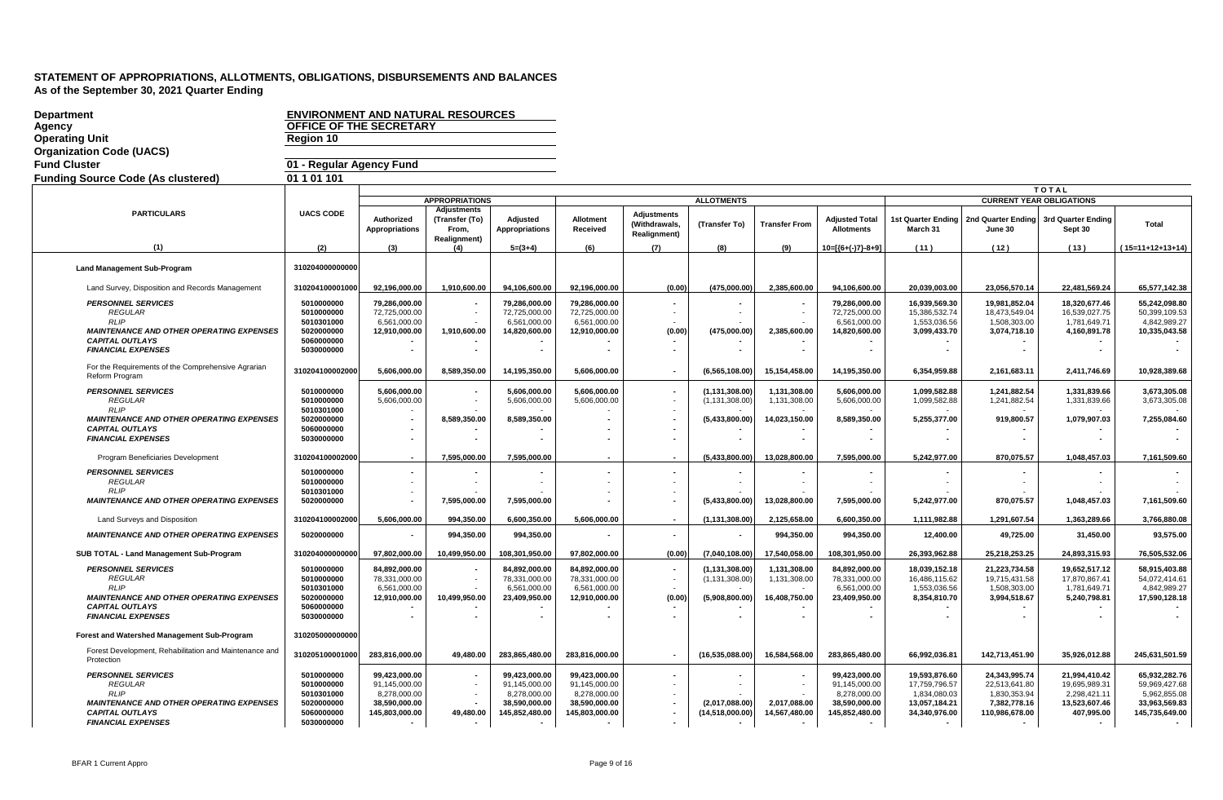| <b>Department</b>                                                           |                          | <b>ENVIRONMENT AND NATURAL RESOURCES</b>   |                                             |                                   |                               |                                                             |                   |                      |                                            |                                |                               |                                 |                               |
|-----------------------------------------------------------------------------|--------------------------|--------------------------------------------|---------------------------------------------|-----------------------------------|-------------------------------|-------------------------------------------------------------|-------------------|----------------------|--------------------------------------------|--------------------------------|-------------------------------|---------------------------------|-------------------------------|
| Agency                                                                      | OFFICE OF THE SECRETARY  |                                            |                                             |                                   |                               |                                                             |                   |                      |                                            |                                |                               |                                 |                               |
| <b>Operating Unit</b>                                                       | Region 10                |                                            |                                             |                                   |                               |                                                             |                   |                      |                                            |                                |                               |                                 |                               |
| <b>Organization Code (UACS)</b>                                             |                          |                                            |                                             |                                   |                               |                                                             |                   |                      |                                            |                                |                               |                                 |                               |
| <b>Fund Cluster</b>                                                         | 01 - Regular Agency Fund |                                            |                                             |                                   |                               |                                                             |                   |                      |                                            |                                |                               |                                 |                               |
| <b>Funding Source Code (As clustered)</b>                                   | 01 1 01 101              |                                            |                                             |                                   |                               |                                                             |                   |                      |                                            |                                |                               |                                 |                               |
|                                                                             |                          |                                            |                                             |                                   |                               |                                                             |                   |                      |                                            |                                |                               | <b>TOTAL</b>                    |                               |
|                                                                             |                          |                                            | <b>APPROPRIATIONS</b><br><b>Adjustments</b> |                                   |                               |                                                             | <b>ALLOTMENTS</b> |                      |                                            |                                |                               | <b>CURRENT YEAR OBLIGATIONS</b> |                               |
| <b>PARTICULARS</b>                                                          | <b>UACS CODE</b>         | <b>Authorized</b><br><b>Appropriations</b> | (Transfer (To)<br>From,<br>Realignment)     | <b>Adjusted</b><br>Appropriations | <b>Allotment</b><br>Received  | <b>Adjustments</b><br>(Withdrawals,<br><b>Realignment</b> ) | (Transfer To)     | <b>Transfer From</b> | <b>Adiusted Total</b><br><b>Allotments</b> | 1st Quarter Ending<br>March 31 | 2nd Quarter Ending<br>June 30 | 3rd Quarter Ending<br>Sept 30   | Total                         |
| (1)                                                                         | (2)                      | (3)                                        | (4)                                         | $5=(3+4)$                         | (6)                           | (7)                                                         | (8)               | (9)                  | $10=[(6+(-7)-8+9)]$                        | (11)                           | (12)                          | (13)                            | (15=11+12+13+14)              |
| <b>Land Management Sub-Program</b>                                          | 310204000000000          |                                            |                                             |                                   |                               |                                                             |                   |                      |                                            |                                |                               |                                 |                               |
| Land Survey, Disposition and Records Management                             | 310204100001000          | 92,196,000.00                              | 1,910,600.00                                | 94,106,600.00                     | 92,196,000.00                 | (0.00)                                                      | (475,000.00)      | 2,385,600.00         | 94,106,600.00                              | 20,039,003.00                  | 23,056,570.14                 | 22,481,569.24                   | 65,577,142.38                 |
| <b>PERSONNEL SERVICES</b>                                                   | 5010000000               | 79,286,000.00                              |                                             | 79,286,000.00                     | 79,286,000.00                 |                                                             |                   |                      | 79,286,000.00                              | 16,939,569.30                  | 19,981,852.04                 | 18,320,677.46                   | 55,242,098.80                 |
| <b>REGULAR</b><br><b>RLIP</b>                                               | 5010000000<br>5010301000 | 72,725,000.00<br>6,561,000.00              |                                             | 72,725,000.00<br>6,561,000.00     | 72,725,000.00<br>6,561,000.00 |                                                             |                   |                      | 72,725,000.00<br>6,561,000.00              | 15,386,532.74<br>1,553,036.56  | 18,473,549.04<br>1,508,303.00 | 16,539,027.75<br>1,781,649.71   | 50,399,109.53<br>4,842,989.27 |
| <b>MAINTENANCE AND OTHER OPERATING EXPENSES</b>                             | 5020000000               | 12,910,000.00                              | 1,910,600.00                                | 14,820,600.00                     | 12,910,000.00                 | (0.00)                                                      | (475,000.00)      | 2,385,600.00         | 14,820,600.00                              | 3,099,433.70                   | 3,074,718.10                  | 4,160,891.78                    | 10,335,043.58                 |
| <b>CAPITAL OUTLAYS</b><br><b>FINANCIAL EXPENSES</b>                         | 5060000000<br>5030000000 | $\overline{\phantom{a}}$                   |                                             |                                   |                               |                                                             |                   |                      |                                            | $\overline{\phantom{a}}$       |                               |                                 |                               |
| For the Requirements of the Comprehensive Agrarian<br><b>Reform Program</b> | 310204100002000          | 5,606,000.00                               | 8,589,350.00                                | 14,195,350.00                     | 5,606,000.00                  | $\overline{\phantom{a}}$                                    | (6, 565, 108.00)  | 15,154,458.00        | 14,195,350.00                              | 6,354,959.88                   | 2,161,683.11                  | 2,411,746.69                    | 10,928,389.68                 |
| <b>PERSONNEL SERVICES</b>                                                   | 5010000000               | 5,606,000.00                               |                                             | 5,606,000.00                      | 5.606.000.00                  |                                                             | (1, 131, 308.00)  | 1,131,308.00         | 5,606,000.00                               | 1,099,582.88                   | 1,241,882.54                  | 1,331,839.66                    | 3,673,305.08                  |
| <b>REGULAR</b>                                                              | 5010000000               | 5,606,000.00                               |                                             | 5,606,000.00                      | 5,606,000.00                  |                                                             | (1, 131, 308.00)  | 1,131,308.00         | 5,606,000.00                               | 1,099,582.88                   | 1,241,882.54                  | 1,331,839.66                    | 3,673,305.08                  |
| <b>RLIP</b><br><b>MAINTENANCE AND OTHER OPERATING EXPENSES</b>              | 5010301000<br>5020000000 |                                            | 8,589,350.00                                | 8,589,350.00                      |                               |                                                             | (5,433,800.00)    | 14,023,150.00        | 8,589,350.00                               | 5,255,377.00                   | 919,800.57                    | 1,079,907.03                    | 7,255,084.60                  |
| <b>CAPITAL OUTLAYS</b>                                                      | 5060000000               |                                            |                                             |                                   |                               |                                                             |                   |                      |                                            |                                |                               |                                 |                               |
| <b>FINANCIAL EXPENSES</b>                                                   | 5030000000               | $\blacksquare$                             |                                             |                                   |                               |                                                             |                   |                      |                                            |                                |                               |                                 |                               |
| Program Beneficiaries Development                                           | 310204100002000          | $\blacksquare$                             | 7,595,000.00                                | 7,595,000.00                      |                               |                                                             | (5,433,800.00)    | 13,028,800.00        | 7,595,000.00                               | 5,242,977.00                   | 870.075.57                    | 1,048,457.03                    | 7,161,509.60                  |
| <b>PERSONNEL SERVICES</b>                                                   | 5010000000               | $\blacksquare$                             |                                             |                                   |                               |                                                             |                   |                      |                                            |                                |                               |                                 |                               |
| <b>REGULAR</b><br><b>RLIP</b>                                               | 5010000000<br>5010301000 | $\sim$                                     |                                             |                                   |                               |                                                             |                   |                      |                                            |                                |                               |                                 |                               |
| <b>MAINTENANCE AND OTHER OPERATING EXPENSES</b>                             | 5020000000               | $\overline{\phantom{a}}$                   | 7,595,000.00                                | 7,595,000.00                      |                               |                                                             | (5,433,800.00)    | 13,028,800.00        | 7,595,000.00                               | 5,242,977.00                   | 870,075.57                    | 1,048,457.03                    | 7,161,509.60                  |
|                                                                             |                          |                                            |                                             |                                   |                               |                                                             |                   |                      |                                            |                                |                               |                                 |                               |
| Land Surveys and Disposition                                                | 310204100002000          | 5,606,000.00                               | 994,350.00                                  | 6,600,350.00                      | 5,606,000.00                  |                                                             | (1, 131, 308.00)  | 2,125,658.00         | 6,600,350.00                               | 1,111,982.88                   | 1.291.607.54                  | 1,363,289.66                    | 3,766,880.08                  |
| <b>MAINTENANCE AND OTHER OPERATING EXPENSES</b>                             | 5020000000               | $\blacksquare$                             | 994,350.00                                  | 994,350.00                        |                               | $\sim$                                                      |                   | 994,350.00           | 994,350.00                                 | 12,400.00                      | 49,725.00                     | 31,450.00                       | 93,575.00                     |
| SUB TOTAL - Land Management Sub-Program                                     | 31020400000000           | 97,802,000.00                              | 10,499,950.00                               | 108,301,950.00                    | 97.802.000.00                 | (0.00)                                                      | (7,040,108.00)    | 17,540,058.00        | 108,301,950.00                             | 26.393.962.88                  | 25,218,253.25                 | 24,893,315.93                   | 76.505.532.06                 |
| <b>PERSONNEL SERVICES</b>                                                   | 5010000000               | 84,892,000.00                              |                                             | 84,892,000.00                     | 84,892,000.00                 |                                                             | (1, 131, 308.00)  | 1,131,308.00         | 84,892,000.00                              | 18,039,152.18                  | 21,223,734.58                 | 19,652,517.12                   | 58,915,403.88                 |
| <b>REGULAR</b><br><b>RLIP</b>                                               | 5010000000               | 78,331,000.00                              |                                             | 78,331,000.00                     | 78,331,000.00                 |                                                             | (1, 131, 308.00)  | 1,131,308.00         | 78,331,000.00                              | 16,486,115.62                  | 19,715,431.58                 | 17,870,867.41                   | 54,072,414.61                 |
| <b>MAINTENANCE AND OTHER OPERATING EXPENSES</b>                             | 5010301000<br>5020000000 | 6,561,000.00<br>12,910,000.00              | 10,499,950.00                               | 6,561,000.00<br>23,409,950.00     | 6,561,000.00<br>12,910,000.00 | (0.00)                                                      | (5,908,800.00)    | 16,408,750.00        | 6,561,000.00<br>23,409,950.00              | 1,553,036.56<br>8,354,810.70   | 1,508,303.00<br>3,994,518.67  | 1,781,649.71<br>5,240,798.81    | 4,842,989.27<br>17,590,128.18 |
| <b>CAPITAL OUTLAYS</b>                                                      | 5060000000               |                                            |                                             |                                   |                               |                                                             |                   |                      |                                            |                                |                               |                                 |                               |
| <b>FINANCIAL EXPENSES</b>                                                   | 5030000000               |                                            |                                             |                                   |                               |                                                             |                   |                      |                                            |                                |                               |                                 | $\sim$                        |
| Forest and Watershed Management Sub-Program                                 | 310205000000000          |                                            |                                             |                                   |                               |                                                             |                   |                      |                                            |                                |                               |                                 |                               |
| Forest Development, Rehabilitation and Maintenance and<br>Protection        | 310205100001000          | 283,816,000.00                             | 49,480.00                                   | 283,865,480.00                    | 283,816,000.00                |                                                             | (16,535,088.00)   | 16,584,568.00        | 283,865,480.00                             | 66,992,036.81                  | 142,713,451.90                | 35,926,012.88                   | 245,631,501.59                |
| <b>PERSONNEL SERVICES</b>                                                   | 5010000000               | 99,423,000.00                              |                                             | 99,423,000.00                     | 99,423,000.00                 |                                                             |                   |                      | 99,423,000.00                              | 19,593,876.60                  | 24,343,995.74                 | 21,994,410.42                   | 65,932,282.76                 |
| <b>REGULAR</b><br><b>RLIP</b>                                               | 5010000000               | 91,145,000.00                              |                                             | 91,145,000.00                     | 91,145,000.00                 |                                                             |                   |                      | 91,145,000.00                              | 17,759,796.57                  | 22,513,641.80                 | 19,695,989.31                   | 59,969,427.68                 |
| <b>MAINTENANCE AND OTHER OPERATING EXPENSES</b>                             | 5010301000<br>5020000000 | 8,278,000.00<br>38,590,000.00              |                                             | 8,278,000.00<br>38,590,000.00     | 8,278,000.00<br>38.590.000.00 |                                                             | (2.017.088.00)    | 2.017.088.00         | 8,278,000.00<br>38.590.000.00              | 1,834,080.03<br>13,057,184.21  | 1,830,353.94<br>7,382,778.16  | 2,298,421.11<br>13,523,607.46   | 5,962,855.08<br>33,963,569.83 |
| <b>CAPITAL OUTLAYS</b>                                                      | 5060000000               | 145,803,000.00                             | 49,480.00                                   | 145,852,480.00                    | 145,803,000.00                |                                                             | (14,518,000.00)   | 14,567,480.00        | 145,852,480.00                             | 34,340,976.00                  | 110,986,678.00                | 407,995.00                      | 145,735,649.00                |
| <b>FINANCIAL EXPENSES</b>                                                   | 5030000000               | $\blacksquare$                             |                                             | $\sim$                            | $\blacksquare$                | $\blacksquare$                                              |                   | $\sim$               |                                            | $\overline{\phantom{a}}$       | $\blacksquare$                | $\sim$                          |                               |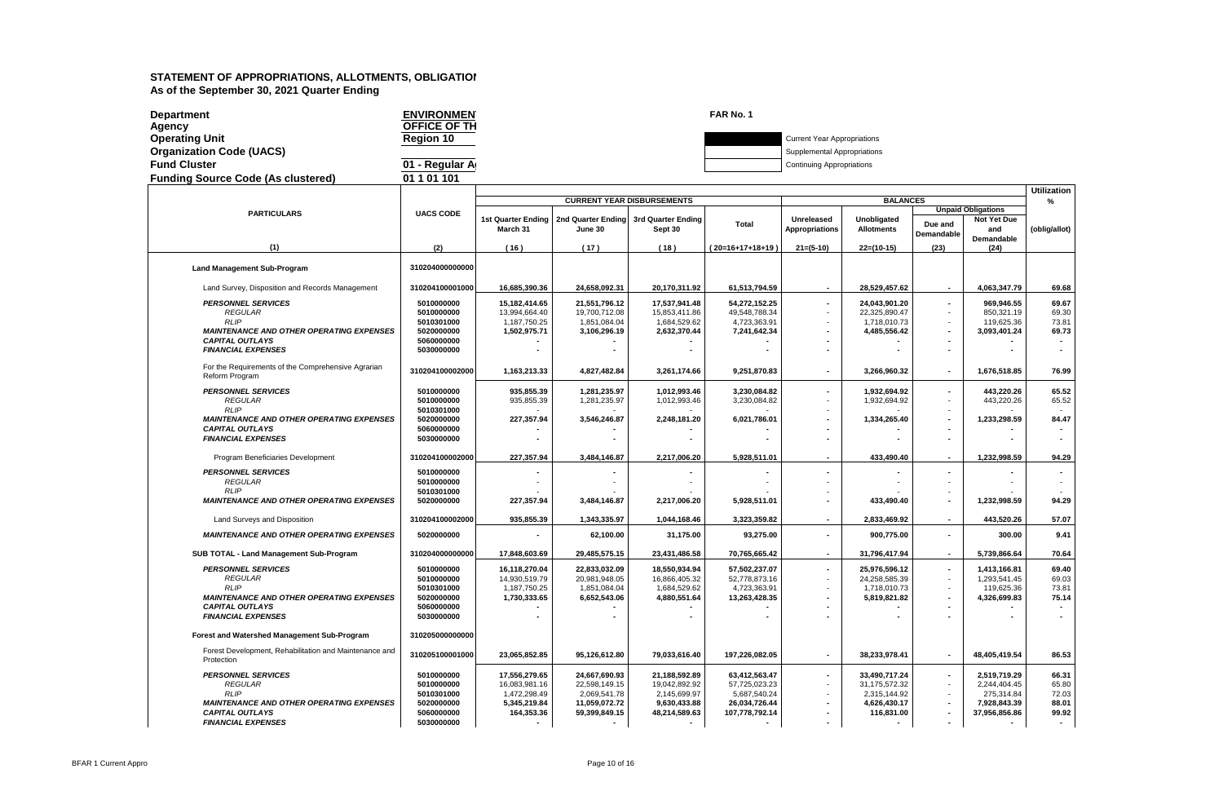| <b>Department</b>                         | <b>ENVIRONMEN</b> | FAR No. 1                          |
|-------------------------------------------|-------------------|------------------------------------|
| Agency                                    | OFFICE OF TH      |                                    |
| <b>Operating Unit</b>                     | <b>Region 10</b>  | <b>Current Year Appropriations</b> |
| <b>Organization Code (UACS)</b>           |                   | Supplemental Appropriations        |
| <b>Fund Cluster</b>                       | 01 - Regular A    | <b>Continuing Appropriations</b>   |
| <b>Funding Source Code (As clustered)</b> | 01 1 01 101       |                                    |
|                                           |                   |                                    |

|                                                                                                                                                                      |                                                                                  |                                                                                                          |                                                                                            |                                                                                           |                                                                                   |                                                                                               |                                                                                                          |                                                                                                          |                                                                                       | Utilization                                                          |
|----------------------------------------------------------------------------------------------------------------------------------------------------------------------|----------------------------------------------------------------------------------|----------------------------------------------------------------------------------------------------------|--------------------------------------------------------------------------------------------|-------------------------------------------------------------------------------------------|-----------------------------------------------------------------------------------|-----------------------------------------------------------------------------------------------|----------------------------------------------------------------------------------------------------------|----------------------------------------------------------------------------------------------------------|---------------------------------------------------------------------------------------|----------------------------------------------------------------------|
|                                                                                                                                                                      |                                                                                  |                                                                                                          | <b>CURRENT YEAR DISBURSEMENTS</b>                                                          |                                                                                           |                                                                                   |                                                                                               | <b>BALANCES</b>                                                                                          |                                                                                                          |                                                                                       | %                                                                    |
| <b>PARTICULARS</b>                                                                                                                                                   | <b>UACS CODE</b>                                                                 | 1st Quarter Ending<br>March 31                                                                           | 2nd Quarter Ending 3rd Quarter Ending<br>June 30                                           | Sept 30                                                                                   | Total                                                                             | Unreleased<br><b>Appropriations</b>                                                           | Unobligated<br><b>Allotments</b>                                                                         | Due and<br>Demandable                                                                                    | <b>Unpaid Obligations</b><br><b>Not Yet Due</b><br>and<br>Demandable                  | (oblig/allot)                                                        |
| (1)                                                                                                                                                                  | (2)                                                                              | (16)                                                                                                     | (17)                                                                                       | (18)                                                                                      | (20=16+17+18+19)                                                                  | $21=(5-10)$                                                                                   | $22=(10-15)$                                                                                             | (23)                                                                                                     | (24)                                                                                  |                                                                      |
| <b>Land Management Sub-Program</b>                                                                                                                                   | 310204000000000                                                                  |                                                                                                          |                                                                                            |                                                                                           |                                                                                   |                                                                                               |                                                                                                          |                                                                                                          |                                                                                       |                                                                      |
| Land Survey, Disposition and Records Management                                                                                                                      | 310204100001000                                                                  | 16,685,390.36                                                                                            | 24,658,092.31                                                                              | 20,170,311.92                                                                             | 61,513,794.59                                                                     | $\overline{\phantom{a}}$                                                                      | 28,529,457.62                                                                                            | $\sim$                                                                                                   | 4,063,347.79                                                                          | 69.68                                                                |
| <b>PERSONNEL SERVICES</b><br><b>REGULAR</b><br><b>RLIP</b><br><b>MAINTENANCE AND OTHER OPERATING EXPENSES</b><br><b>CAPITAL OUTLAYS</b><br><b>FINANCIAL EXPENSES</b> | 5010000000<br>5010000000<br>5010301000<br>5020000000<br>5060000000<br>5030000000 | 15,182,414.65<br>13.994.664.40<br>1,187,750.25<br>1,502,975.71                                           | 21,551,796.12<br>19.700.712.08<br>1,851,084.04<br>3,106,296.19                             | 17,537,941.48<br>15.853.411.86<br>1,684,529.62<br>2,632,370.44                            | 54,272,152.25<br>49,548,788.34<br>4,723,363.91<br>7,241,642.34                    | $\blacksquare$<br>٠<br>$\blacksquare$<br>$\overline{\phantom{a}}$<br>$\overline{\phantom{a}}$ | 24,043,901.20<br>22.325.890.47<br>1,718,010.73<br>4,485,556.42                                           | $\blacksquare$<br>$\sim$<br>$\sim$<br>$\blacksquare$<br>$\overline{\phantom{a}}$                         | 969,946.55<br>850,321.19<br>119,625.36<br>3,093,401.24                                | 69.67<br>69.30<br>73.81<br>69.73<br>$\blacksquare$<br>$\blacksquare$ |
| For the Requirements of the Comprehensive Agrarian<br>Reform Program                                                                                                 | 310204100002000                                                                  | 1,163,213.33                                                                                             | 4,827,482.84                                                                               | 3,261,174.66                                                                              | 9,251,870.83                                                                      | ٠                                                                                             | 3,266,960.32                                                                                             | $\blacksquare$                                                                                           | 1,676,518.85                                                                          | 76.99                                                                |
| <b>PERSONNEL SERVICES</b><br><b>REGULAR</b><br><b>RLIP</b>                                                                                                           | 5010000000<br>5010000000<br>5010301000                                           | 935,855.39<br>935,855.39                                                                                 | 1,281,235.97<br>1,281,235.97                                                               | 1,012,993.46<br>1,012,993.46                                                              | 3,230,084.82<br>3,230,084.82                                                      | $\blacksquare$<br>$\overline{\phantom{a}}$                                                    | 1,932,694.92<br>1,932,694.92                                                                             | $\blacksquare$<br>$\sim$<br>$\sim$<br>$\blacksquare$                                                     | 443,220.26<br>443,220.26                                                              | 65.52<br>65.52                                                       |
| <b>MAINTENANCE AND OTHER OPERATING EXPENSES</b><br><b>CAPITAL OUTLAYS</b><br><b>FINANCIAL EXPENSES</b>                                                               | 5020000000<br>5060000000<br>5030000000                                           | 227,357.94                                                                                               | 3,546,246.87                                                                               | 2,248,181.20                                                                              | 6,021,786.01                                                                      | $\overline{\phantom{a}}$<br>٠<br>$\overline{a}$                                               | 1,334,265.40                                                                                             | $\overline{\phantom{a}}$<br>$\overline{a}$                                                               | 1,233,298.59                                                                          | 84.47                                                                |
| Program Beneficiaries Development                                                                                                                                    | 310204100002000                                                                  | 227,357.94                                                                                               | 3,484,146.87                                                                               | 2,217,006.20                                                                              | 5,928,511.01                                                                      | $\overline{\phantom{a}}$                                                                      | 433,490.40                                                                                               | $\sim$                                                                                                   | 1,232,998.59                                                                          | 94.29                                                                |
| <b>PERSONNEL SERVICES</b><br><b>REGULAR</b><br><b>RLIP</b><br><b>MAINTENANCE AND OTHER OPERATING EXPENSES</b>                                                        | 5010000000<br>5010000000<br>5010301000<br>5020000000                             | 227,357.94                                                                                               | 3,484,146.87                                                                               | 2,217,006.20                                                                              | 5,928,511.01                                                                      | $\overline{\phantom{a}}$                                                                      | 433,490.40                                                                                               | $\overline{\phantom{a}}$<br>$\sim$<br>$\overline{\phantom{a}}$<br>$\blacksquare$                         | 1,232,998.59                                                                          | 94.29                                                                |
| Land Surveys and Disposition                                                                                                                                         | 310204100002000                                                                  | 935,855.39                                                                                               | 1,343,335.97                                                                               | 1,044,168.46                                                                              | 3,323,359.82                                                                      | $\blacksquare$                                                                                | 2,833,469.92                                                                                             | $\sim$                                                                                                   | 443,520.26                                                                            | 57.07                                                                |
| <b>MAINTENANCE AND OTHER OPERATING EXPENSES</b>                                                                                                                      | 5020000000                                                                       | $\blacksquare$                                                                                           | 62,100.00                                                                                  | 31,175.00                                                                                 | 93,275.00                                                                         | $\blacksquare$                                                                                | 900,775.00                                                                                               | $\blacksquare$                                                                                           | 300.00                                                                                | 9.41                                                                 |
| SUB TOTAL - Land Management Sub-Program                                                                                                                              | 310204000000000                                                                  | 17,848,603.69                                                                                            | 29,485,575.15                                                                              | 23,431,486.58                                                                             | 70,765,665.42                                                                     | $\blacksquare$                                                                                | 31,796,417.94                                                                                            | $\sim$                                                                                                   | 5,739,866.64                                                                          | 70.64                                                                |
| <b>PERSONNEL SERVICES</b><br><b>REGULAR</b><br><b>RLIP</b><br><b>MAINTENANCE AND OTHER OPERATING EXPENSES</b><br><b>CAPITAL OUTLAYS</b><br><b>FINANCIAL EXPENSES</b> | 5010000000<br>5010000000<br>5010301000<br>5020000000<br>5060000000<br>5030000000 | 16,118,270.04<br>14,930,519.79<br>1,187,750.25<br>1,730,333.65                                           | 22,833,032.09<br>20,981,948.05<br>1,851,084.04<br>6,652,543.06                             | 18,550,934.94<br>16,866,405.32<br>1,684,529.62<br>4,880,551.64                            | 57,502,237.07<br>52,778,873.16<br>4,723,363.91<br>13,263,428.35                   | $\blacksquare$<br>$\blacksquare$<br>$\blacksquare$                                            | 25,976,596.12<br>24,258,585.39<br>1,718,010.73<br>5,819,821.82                                           | $\blacksquare$<br>$\omega$<br>÷.<br>$\blacksquare$                                                       | 1,413,166.81<br>1,293,541.45<br>119.625.36<br>4,326,699.83                            | 69.40<br>69.03<br>73.81<br>75.14                                     |
| Forest and Watershed Management Sub-Program                                                                                                                          | 310205000000000                                                                  |                                                                                                          |                                                                                            |                                                                                           |                                                                                   |                                                                                               |                                                                                                          |                                                                                                          |                                                                                       |                                                                      |
| Forest Development, Rehabilitation and Maintenance and<br>Protection                                                                                                 | 310205100001000                                                                  | 23,065,852.85                                                                                            | 95,126,612.80                                                                              | 79,033,616.40                                                                             | 197,226,082.05                                                                    | $\blacksquare$                                                                                | 38,233,978.41                                                                                            | $\blacksquare$                                                                                           | 48,405,419.54                                                                         | 86.53                                                                |
| <b>PERSONNEL SERVICES</b><br><b>REGULAR</b><br><b>RLIP</b><br><b>MAINTENANCE AND OTHER OPERATING EXPENSES</b><br><b>CAPITAL OUTLAYS</b><br><b>FINANCIAL EXPENSES</b> | 5010000000<br>5010000000<br>5010301000<br>5020000000<br>5060000000<br>5030000000 | 17,556,279.65<br>16,083,981.16<br>1.472.298.49<br>5,345,219.84<br>164,353.36<br>$\overline{\phantom{a}}$ | 24,667,690.93<br>22,598,149.15<br>2.069.541.78<br>11,059,072.72<br>59.399.849.15<br>$\sim$ | 21,188,592.89<br>19,042,892.92<br>2.145.699.97<br>9,630,433.88<br>48,214,589.63<br>$\sim$ | 63,412,563.47<br>57,725,023.23<br>5.687.540.24<br>26,034,726.44<br>107,778,792.14 | $\blacksquare$<br>$\blacksquare$<br>$\blacksquare$                                            | 33,490,717.24<br>31,175,572.32<br>2.315.144.92<br>4,626,430.17<br>116.831.00<br>$\overline{\phantom{a}}$ | $\blacksquare$<br>$\sim$<br>÷.<br>$\overline{\phantom{a}}$<br>$\blacksquare$<br>$\overline{\phantom{a}}$ | 2,519,719.29<br>2,244,404.45<br>275.314.84<br>7,928,843.39<br>37,956,856.86<br>$\sim$ | 66.31<br>65.80<br>72.03<br>88.01<br>99.92<br>$\sim$                  |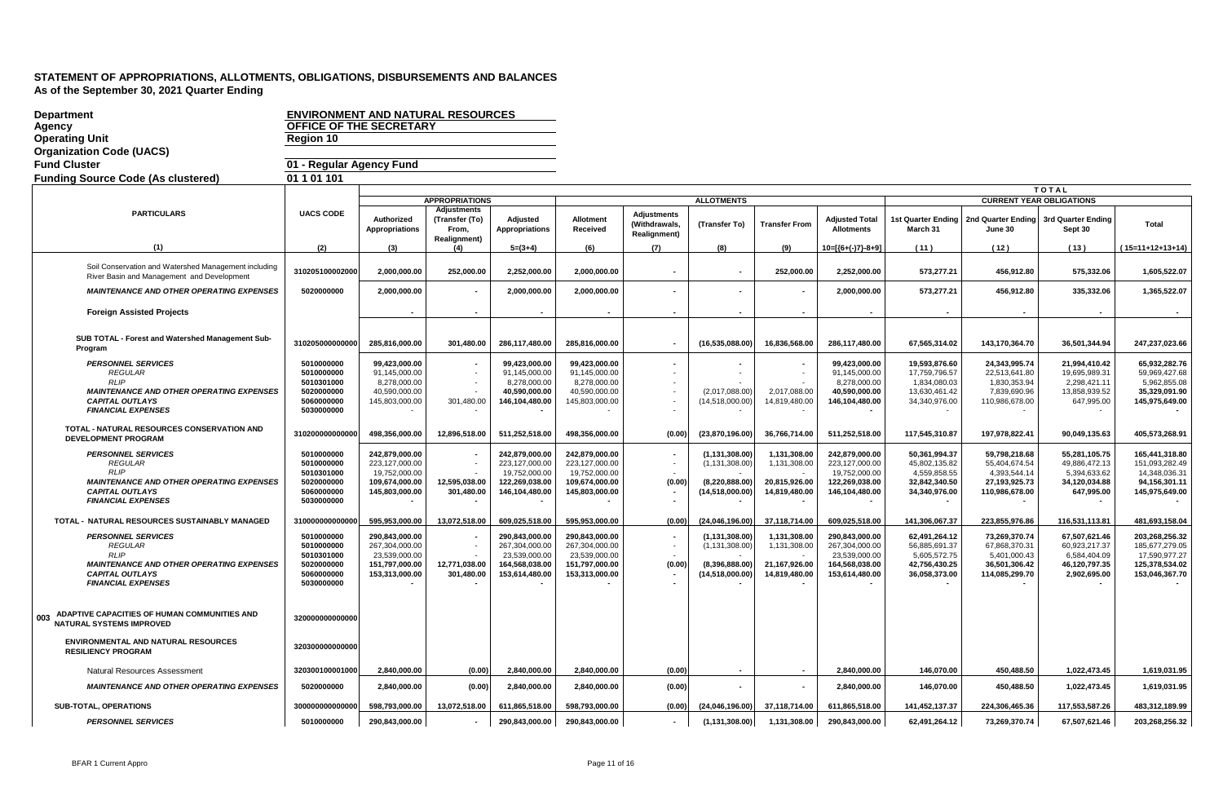| <b>Department</b>                                                                                                                                                    | <b>ENVIRONMENT AND NATURAL RESOURCES</b>                                         |                                                                                       |                                         |                                                                                       |                                                                                       |                                                                |                                                                         |                                                                |                                                                                       |                                                                                  |                                                                                   |                                                                                 |                                                                                       |
|----------------------------------------------------------------------------------------------------------------------------------------------------------------------|----------------------------------------------------------------------------------|---------------------------------------------------------------------------------------|-----------------------------------------|---------------------------------------------------------------------------------------|---------------------------------------------------------------------------------------|----------------------------------------------------------------|-------------------------------------------------------------------------|----------------------------------------------------------------|---------------------------------------------------------------------------------------|----------------------------------------------------------------------------------|-----------------------------------------------------------------------------------|---------------------------------------------------------------------------------|---------------------------------------------------------------------------------------|
| Agency                                                                                                                                                               | OFFICE OF THE SECRETARY                                                          |                                                                                       |                                         |                                                                                       |                                                                                       |                                                                |                                                                         |                                                                |                                                                                       |                                                                                  |                                                                                   |                                                                                 |                                                                                       |
| <b>Operating Unit</b>                                                                                                                                                | Region 10                                                                        |                                                                                       |                                         |                                                                                       |                                                                                       |                                                                |                                                                         |                                                                |                                                                                       |                                                                                  |                                                                                   |                                                                                 |                                                                                       |
| <b>Organization Code (UACS)</b>                                                                                                                                      |                                                                                  |                                                                                       |                                         |                                                                                       |                                                                                       |                                                                |                                                                         |                                                                |                                                                                       |                                                                                  |                                                                                   |                                                                                 |                                                                                       |
| <b>Fund Cluster</b>                                                                                                                                                  | 01 - Regular Agency Fund                                                         |                                                                                       |                                         |                                                                                       |                                                                                       |                                                                |                                                                         |                                                                |                                                                                       |                                                                                  |                                                                                   |                                                                                 |                                                                                       |
| <b>Funding Source Code (As clustered)</b>                                                                                                                            | 01 1 01 101                                                                      |                                                                                       |                                         |                                                                                       |                                                                                       |                                                                |                                                                         |                                                                |                                                                                       |                                                                                  |                                                                                   |                                                                                 |                                                                                       |
|                                                                                                                                                                      |                                                                                  |                                                                                       | <b>APPROPRIATIONS</b>                   |                                                                                       |                                                                                       |                                                                | <b>ALLOTMENTS</b>                                                       |                                                                |                                                                                       |                                                                                  |                                                                                   | <b>TOTAL</b><br><b>CURRENT YEAR OBLIGATIONS</b>                                 |                                                                                       |
| <b>PARTICULARS</b>                                                                                                                                                   | <b>UACS CODE</b>                                                                 |                                                                                       | <b>Adjustments</b>                      |                                                                                       |                                                                                       |                                                                |                                                                         |                                                                |                                                                                       |                                                                                  |                                                                                   |                                                                                 |                                                                                       |
|                                                                                                                                                                      |                                                                                  | Authorized<br><b>Appropriations</b>                                                   | (Transfer (To)<br>From,<br>Realignment) | Adjusted<br><b>Appropriations</b>                                                     | Allotment<br>Received                                                                 | <b>Adjustments</b><br>(Withdrawals,<br><b>Realignment</b> )    | (Transfer To)                                                           | <b>Transfer From</b>                                           | <b>Adjusted Total</b><br><b>Allotments</b>                                            | <b>1st Quarter Ending</b><br>March 31                                            | June 30                                                                           | 2nd Quarter Ending 3rd Quarter Ending<br>Sept 30                                | Total                                                                                 |
| (1)                                                                                                                                                                  | (2)                                                                              | (3)                                                                                   | (4)                                     | $5=(3+4)$                                                                             | (6)                                                                                   | (7)                                                            | (8)                                                                     | (9)                                                            | 10=[{6+(-)7}-8+9]                                                                     | (11)                                                                             | (12)                                                                              | (13)                                                                            | $(15=11+12+13+14)$                                                                    |
| Soil Conservation and Watershed Management including<br>River Basin and Management and Development                                                                   | 310205100002000                                                                  | 2,000,000.00                                                                          | 252,000.00                              | 2,252,000.00                                                                          | 2,000,000.00                                                                          | $\blacksquare$                                                 |                                                                         | 252,000.00                                                     | 2,252,000.00                                                                          | 573,277.21                                                                       | 456,912.80                                                                        | 575,332.06                                                                      | 1,605,522.07                                                                          |
| <b>MAINTENANCE AND OTHER OPERATING EXPENSES</b>                                                                                                                      | 5020000000                                                                       | 2,000,000.00                                                                          |                                         | 2,000,000.00                                                                          | 2,000,000.00                                                                          |                                                                |                                                                         |                                                                | 2,000,000.00                                                                          | 573,277.21                                                                       | 456,912.80                                                                        | 335,332.06                                                                      | 1,365,522.07                                                                          |
| <b>Foreign Assisted Projects</b>                                                                                                                                     |                                                                                  |                                                                                       |                                         |                                                                                       |                                                                                       |                                                                |                                                                         |                                                                |                                                                                       |                                                                                  |                                                                                   |                                                                                 |                                                                                       |
| SUB TOTAL - Forest and Watershed Management Sub-<br>Program                                                                                                          | 310205000000000                                                                  | 285,816,000.00                                                                        | 301,480.00                              | 286,117,480.00                                                                        | 285,816,000.00                                                                        | $\blacksquare$                                                 | (16,535,088.00)                                                         | 16,836,568.00                                                  | 286,117,480.00                                                                        | 67,565,314.02                                                                    | 143,170,364.70                                                                    | 36,501,344.94                                                                   | 247,237,023.66                                                                        |
| <b>PERSONNEL SERVICES</b><br><b>REGULAR</b><br><b>RLIP</b>                                                                                                           | 5010000000<br>5010000000<br>5010301000                                           | 99,423,000.00<br>91,145,000.00<br>8,278,000.00                                        |                                         | 99,423,000.00<br>91,145,000.00<br>8,278,000.00                                        | 99,423,000.00<br>91,145,000.00<br>8,278,000.00                                        |                                                                |                                                                         |                                                                | 99,423,000.00<br>91,145,000.00<br>8,278,000.00                                        | 19,593,876.60<br>17,759,796.57<br>1,834,080.03                                   | 24,343,995.74<br>22,513,641.80<br>1,830,353.94                                    | 21,994,410.42<br>19,695,989.31<br>2,298,421.11                                  | 65,932,282.76<br>59,969,427.68<br>5,962,855.08                                        |
| <b>MAINTENANCE AND OTHER OPERATING EXPENSES</b><br><b>CAPITAL OUTLAYS</b><br><b>FINANCIAL EXPENSES</b>                                                               | 5020000000<br>5060000000<br>5030000000                                           | 40,590,000.00<br>145,803,000.00                                                       | 301,480.00                              | 40.590.000.00<br>146,104,480.00                                                       | 40,590,000.00<br>145,803,000.00                                                       |                                                                | (2,017,088.00)<br>(14,518,000.00)                                       | 2,017,088.00<br>14,819,480.00                                  | 40.590.000.00<br>146,104,480.00                                                       | 13,630,461.42<br>34,340,976.00                                                   | 7,839,690.96<br>110,986,678.00                                                    | 13,858,939.52<br>647,995.00                                                     | 35,329,091.90<br>145,975,649.00                                                       |
| TOTAL - NATURAL RESOURCES CONSERVATION AND<br><b>DEVELOPMENT PROGRAM</b>                                                                                             | 310200000000000                                                                  | 498,356,000.00                                                                        | 12,896,518.00                           | 511,252,518.00                                                                        | 498,356,000.00                                                                        | (0.00)                                                         | (23,870,196.00)                                                         | 36,766,714.00                                                  | 511,252,518.00                                                                        | 117,545,310.87                                                                   | 197,978,822.41                                                                    | 90,049,135.63                                                                   | 405,573,268.91                                                                        |
| <b>PERSONNEL SERVICES</b><br><b>REGULAR</b><br><b>RLIP</b>                                                                                                           | 5010000000<br>5010000000<br>5010301000                                           | 242,879,000.00<br>223,127,000.00<br>19,752,000.00                                     |                                         | 242,879,000.00<br>223,127,000.00<br>19,752,000.00                                     | 242,879,000.00<br>223,127,000.00<br>19,752,000.00                                     |                                                                | (1, 131, 308.00)<br>(1, 131, 308.00)                                    | 1,131,308.00<br>1,131,308.00                                   | 242,879,000.00<br>223,127,000.00<br>19.752.000.00                                     | 50,361,994.37<br>45,802,135.82<br>4,559,858.55                                   | 59,798,218.68<br>55,404,674.54<br>4,393,544.14                                    | 55,281,105.75<br>49,886,472.13<br>5,394,633.62                                  | 165,441,318.80<br>151,093,282.49<br>14,348,036.31                                     |
| <b>MAINTENANCE AND OTHER OPERATING EXPENSES</b><br><b>CAPITAL OUTLAYS</b><br><b>FINANCIAL EXPENSES</b>                                                               | 5020000000<br>5060000000<br>5030000000                                           | 109,674,000.00<br>145,803,000.00                                                      | 12,595,038.00<br>301,480.00             | 122,269,038.00<br>146,104,480.00                                                      | 109,674,000.00<br>145,803,000.00                                                      | (0.00)                                                         | (8,220,888.00)<br>(14,518,000.00)                                       | 20,815,926.00<br>14,819,480.00                                 | 122,269,038.00<br>146,104,480.00                                                      | 32,842,340.50<br>34,340,976.00                                                   | 27,193,925.73<br>110,986,678.00                                                   | 34,120,034.88<br>647,995.00                                                     | 94,156,301.11<br>145,975,649.00                                                       |
| TOTAL - NATURAL RESOURCES SUSTAINABLY MANAGED                                                                                                                        | 310000000000000                                                                  | 595,953,000.00                                                                        | 13,072,518.00                           | 609,025,518.00                                                                        | 595,953,000.00                                                                        | (0.00)                                                         | (24,046,196.00)                                                         | 37,118,714.00                                                  | 609,025,518.00                                                                        | 141,306,067.37                                                                   | 223,855,976.86                                                                    | 116,531,113.81                                                                  | 481,693,158.04                                                                        |
| <b>PERSONNEL SERVICES</b><br><b>REGULAR</b><br><b>RLIP</b><br><b>MAINTENANCE AND OTHER OPERATING EXPENSES</b><br><b>CAPITAL OUTLAYS</b><br><b>FINANCIAL EXPENSES</b> | 5010000000<br>5010000000<br>5010301000<br>5020000000<br>5060000000<br>5030000000 | 290,843,000.00<br>267,304,000.00<br>23,539,000.00<br>151,797,000.00<br>153,313,000.00 | 12,771,038.00<br>301,480.00             | 290,843,000.00<br>267,304,000.00<br>23.539.000.00<br>164,568,038.00<br>153,614,480.00 | 290,843,000.00<br>267,304,000.00<br>23.539.000.00<br>151,797,000.00<br>153,313,000.00 | $\overline{\phantom{a}}$<br>$\overline{\phantom{a}}$<br>(0.00) | (1,131,308.00)<br>(1, 131, 308.00)<br>(8,396,888.00)<br>(14,518,000.00) | 1,131,308.00<br>1,131,308.00<br>21,167,926.00<br>14,819,480.00 | 290,843,000.00<br>267,304,000.00<br>23.539.000.00<br>164,568,038.00<br>153,614,480.00 | 62,491,264.12<br>56,885,691.37<br>5,605,572.75<br>42,756,430.25<br>36,058,373.00 | 73,269,370.74<br>67,868,370.31<br>5,401,000.43<br>36,501,306.42<br>114,085,299.70 | 67,507,621.46<br>60,923,217.37<br>6,584,404.09<br>46,120,797.35<br>2,902,695.00 | 203,268,256.32<br>185,677,279.05<br>17,590,977.27<br>125,378,534.02<br>153,046,367.70 |
| ADAPTIVE CAPACITIES OF HUMAN COMMUNITIES AND<br>003<br><b>NATURAL SYSTEMS IMPROVED</b>                                                                               | 320000000000000                                                                  |                                                                                       |                                         |                                                                                       |                                                                                       |                                                                |                                                                         |                                                                |                                                                                       |                                                                                  |                                                                                   |                                                                                 |                                                                                       |
| ENVIRONMENTAL AND NATURAL RESOURCES<br><b>RESILIENCY PROGRAM</b>                                                                                                     | 320300000000000                                                                  |                                                                                       |                                         |                                                                                       |                                                                                       |                                                                |                                                                         |                                                                |                                                                                       |                                                                                  |                                                                                   |                                                                                 |                                                                                       |
| Natural Resources Assessment                                                                                                                                         | 320300100001000                                                                  | 2,840,000.00                                                                          | (0.00)                                  | 2,840,000.00                                                                          | 2,840,000.00                                                                          | (0.00)                                                         |                                                                         |                                                                | 2,840,000.00                                                                          | 146,070.00                                                                       | 450,488.50                                                                        | 1,022,473.45                                                                    | 1,619,031.95                                                                          |
| <b>MAINTENANCE AND OTHER OPERATING EXPENSES</b>                                                                                                                      | 5020000000                                                                       | 2,840,000.00                                                                          | (0.00)                                  | 2.840.000.00                                                                          | 2,840,000.00                                                                          | (0.00)                                                         |                                                                         |                                                                | 2,840,000.00                                                                          | 146,070.00                                                                       | 450,488.50                                                                        | 1,022,473.45                                                                    | 1,619,031.95                                                                          |
| <b>SUB-TOTAL, OPERATIONS</b>                                                                                                                                         | 300000000000000                                                                  | 598,793,000.00                                                                        | 13,072,518.00                           | 611,865,518.00                                                                        | 598,793,000.00                                                                        | (0.00)                                                         | (24,046,196.00)                                                         | 37,118,714.00                                                  | 611,865,518.00                                                                        | 141,452,137.37                                                                   | 224,306,465.36                                                                    | 117,553,587.26                                                                  | 483,312,189.99                                                                        |
| <b>PERSONNEL SERVICES</b>                                                                                                                                            | 5010000000                                                                       | 290,843,000.00                                                                        |                                         | 290,843,000.00                                                                        | 290,843,000.00                                                                        | $\blacksquare$                                                 | (1, 131, 308.00)                                                        | 1,131,308.00                                                   | 290,843,000.00                                                                        | 62,491,264.12                                                                    | 73,269,370.74                                                                     | 67,507,621.46                                                                   | 203,268,256.32                                                                        |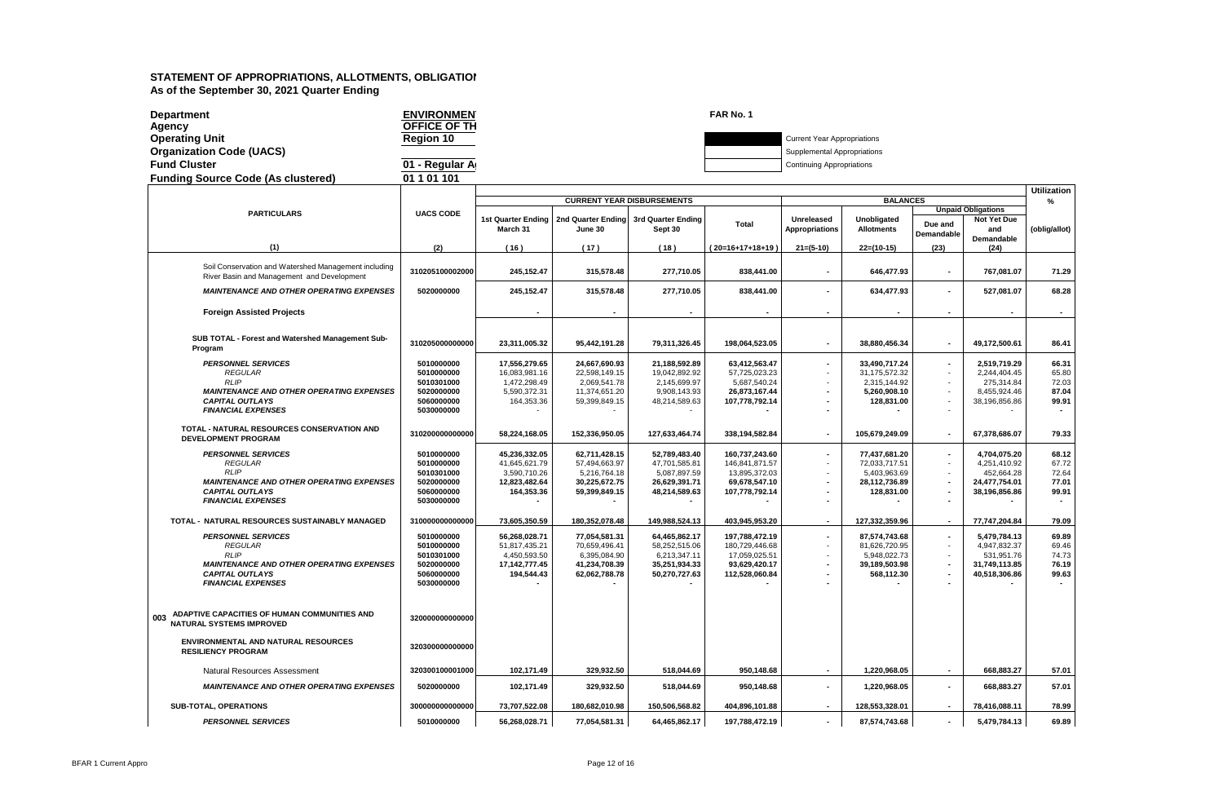| <b>Department</b><br>Agency                                                                        | <b>ENVIRONMEN</b><br>OFFICE OF TH |                                       |                               |                                                  | FAR No. 1                       |                                     |                                  |                                    |                                                               |                    |
|----------------------------------------------------------------------------------------------------|-----------------------------------|---------------------------------------|-------------------------------|--------------------------------------------------|---------------------------------|-------------------------------------|----------------------------------|------------------------------------|---------------------------------------------------------------|--------------------|
| <b>Operating Unit</b>                                                                              | Region 10                         |                                       |                               |                                                  |                                 | <b>Current Year Appropriations</b>  |                                  |                                    |                                                               |                    |
| <b>Organization Code (UACS)</b>                                                                    |                                   |                                       |                               |                                                  |                                 | Supplemental Appropriations         |                                  |                                    |                                                               |                    |
| <b>Fund Cluster</b>                                                                                | 01 - Regular A                    |                                       |                               |                                                  |                                 | <b>Continuing Appropriations</b>    |                                  |                                    |                                                               |                    |
| <b>Funding Source Code (As clustered)</b>                                                          | 01 1 01 101                       |                                       |                               |                                                  |                                 |                                     |                                  |                                    |                                                               |                    |
|                                                                                                    |                                   |                                       |                               |                                                  |                                 |                                     |                                  |                                    |                                                               | <b>Utilization</b> |
|                                                                                                    |                                   |                                       |                               | <b>CURRENT YEAR DISBURSEMENTS</b>                |                                 |                                     | <b>BALANCES</b>                  |                                    |                                                               | $\frac{0}{c}$      |
| <b>PARTICULARS</b>                                                                                 | <b>UACS CODE</b>                  | <b>1st Quarter Ending</b><br>March 31 | June 30                       | 2nd Quarter Ending 3rd Quarter Ending<br>Sept 30 | <b>Total</b>                    | Unreleased<br><b>Appropriations</b> | Unobligated<br><b>Allotments</b> | Due and<br>Demandable              | <b>Unpaid Obligations</b><br>Not Yet Due<br>and<br>Demandable | (oblig/allot)      |
| (1)                                                                                                | (2)                               | (16)                                  | (17)                          | (18)                                             | $(20=16+17+18+19)$              | $21=(5-10)$                         | $22=(10-15)$                     | (23)                               | (24)                                                          |                    |
| Soil Conservation and Watershed Management including<br>River Basin and Management and Development | 310205100002000                   | 245,152.47                            | 315,578.48                    | 277,710.05                                       | 838,441.00                      | $\blacksquare$                      | 646,477.93                       | $\blacksquare$                     | 767,081.07                                                    | 71.29              |
| <b>MAINTENANCE AND OTHER OPERATING EXPENSES</b>                                                    | 5020000000                        | 245,152.47                            | 315,578.48                    | 277,710.05                                       | 838,441.00                      |                                     | 634,477.93                       | $\blacksquare$                     | 527,081.07                                                    | 68.28              |
| <b>Foreign Assisted Projects</b>                                                                   |                                   |                                       |                               |                                                  |                                 |                                     |                                  |                                    |                                                               |                    |
| SUB TOTAL - Forest and Watershed Management Sub-<br>Program                                        | 310205000000000                   | 23,311,005.32                         | 95,442,191.28                 | 79,311,326.45                                    | 198,064,523.05                  |                                     | 38,880,456.34                    | $\overline{\phantom{a}}$           | 49,172,500.61                                                 | 86.41              |
| <b>PERSONNEL SERVICES</b>                                                                          | 5010000000                        | 17,556,279.65                         | 24,667,690.93                 | 21,188,592.89                                    | 63,412,563.47                   |                                     | 33,490,717.24                    | $\blacksquare$                     | 2,519,719.29                                                  | 66.31              |
| <b>REGULAR</b><br><b>RLIP</b>                                                                      | 5010000000<br>5010301000          | 16,083,981.16<br>1,472,298.49         | 22,598,149.15<br>2,069,541.78 | 19,042,892.92<br>2,145,699.97                    | 57,725,023.23<br>5,687,540.24   | $\overline{\phantom{a}}$            | 31,175,572.32<br>2,315,144.92    | $\blacksquare$                     | 2,244,404.45<br>275,314.84                                    | 65.80<br>72.03     |
| <b>MAINTENANCE AND OTHER OPERATING EXPENSES</b>                                                    | 5020000000                        | 5,590,372.31                          | 11,374,651.20                 | 9,908,143.93                                     | 26,873,167.44                   |                                     | 5,260,908.10                     | $\omega$                           | 8,455,924.46                                                  | 87.04              |
| <b>CAPITAL OUTLAYS</b>                                                                             | 5060000000                        | 164,353.36                            | 59,399,849.15                 | 48,214,589.63                                    | 107,778,792.14                  |                                     | 128,831.00                       | $\sim$                             | 38,196,856.86                                                 | 99.91              |
| <b>FINANCIAL EXPENSES</b>                                                                          | 5030000000                        |                                       |                               |                                                  |                                 |                                     |                                  |                                    |                                                               |                    |
| TOTAL - NATURAL RESOURCES CONSERVATION AND<br><b>DEVELOPMENT PROGRAM</b>                           | 310200000000000                   | 58,224,168.05                         | 152,336,950.05                | 127,633,464.74                                   | 338,194,582.84                  |                                     | 105,679,249.09                   | $\blacksquare$                     | 67,378,686.07                                                 | 79.33              |
| <b>PERSONNEL SERVICES</b>                                                                          | 5010000000                        | 45,236,332.05                         | 62,711,428.15                 | 52,789,483.40                                    | 160,737,243.60                  |                                     | 77,437,681.20                    | $\blacksquare$                     | 4,704,075.20                                                  | 68.12              |
| <b>REGULAR</b><br><b>RLIP</b>                                                                      | 5010000000<br>5010301000          | 41,645,621.79<br>3,590,710.26         | 57,494,663.97<br>5,216,764.18 | 47,701,585.81<br>5,087,897.59                    | 146,841,871.57<br>13,895,372.03 |                                     | 72,033,717.51<br>5,403,963.69    | $\sim$                             | 4,251,410.92<br>452,664.28                                    | 67.72<br>72.64     |
| <b>MAINTENANCE AND OTHER OPERATING EXPENSES</b>                                                    | 5020000000                        | 12,823,482.64                         | 30,225,672.75                 | 26,629,391.71                                    | 69,678,547.10                   |                                     | 28,112,736.89                    | $\overline{\phantom{a}}$           | 24,477,754.01                                                 | 77.01              |
| <b>CAPITAL OUTLAYS</b>                                                                             | 5060000000                        | 164,353.36                            | 59,399,849.15                 | 48,214,589.63                                    | 107,778,792.14                  |                                     | 128,831.00                       | $\blacksquare$                     | 38,196,856.86                                                 | 99.91              |
| <b>FINANCIAL EXPENSES</b>                                                                          | 5030000000                        |                                       |                               |                                                  |                                 |                                     |                                  | $\overline{\phantom{a}}$           |                                                               |                    |
| TOTAL - NATURAL RESOURCES SUSTAINABLY MANAGED                                                      | 310000000000000                   | 73,605,350.59                         | 180,352,078.48                | 149,988,524.13                                   | 403,945,953.20                  |                                     | 127,332,359.96                   | $\blacksquare$                     | 77,747,204.84                                                 | 79.09              |
| <b>PERSONNEL SERVICES</b>                                                                          | 5010000000                        | 56,268,028.71                         | 77,054,581.31                 | 64,465,862.17                                    | 197,788,472.19                  |                                     | 87,574,743.68                    | $\blacksquare$                     | 5,479,784.13                                                  | 69.89              |
| <b>REGULAR</b><br><b>RLIP</b>                                                                      | 5010000000                        | 51,817,435.21                         | 70,659,496.41                 | 58,252,515.06                                    | 180,729,446.68                  |                                     | 81,626,720.95                    | $\sim$                             | 4,947,832.37                                                  | 69.46              |
| <b>MAINTENANCE AND OTHER OPERATING EXPENSES</b>                                                    | 5010301000<br>5020000000          | 4,450,593.50<br>17, 142, 777. 45      | 6,395,084.90<br>41,234,708.39 | 6,213,347.11<br>35,251,934.33                    | 17,059,025.51<br>93,629,420.17  | $\overline{\phantom{a}}$            | 5,948,022.73<br>39,189,503.98    | $\sim$<br>$\overline{\phantom{a}}$ | 531,951.76<br>31,749,113.85                                   | 74.73<br>76.19     |
| <b>CAPITAL OUTLAYS</b>                                                                             | 5060000000                        | 194,544.43                            | 62,062,788.78                 | 50,270,727.63                                    | 112,528,060.84                  |                                     | 568,112.30                       | $\blacksquare$                     | 40,518,306.86                                                 | 99.63              |
| <b>FINANCIAL EXPENSES</b>                                                                          | 5030000000                        |                                       |                               |                                                  |                                 |                                     |                                  |                                    |                                                               |                    |
| ADAPTIVE CAPACITIES OF HUMAN COMMUNITIES AND<br>003<br><b>NATURAL SYSTEMS IMPROVED</b>             | 320000000000000                   |                                       |                               |                                                  |                                 |                                     |                                  |                                    |                                                               |                    |
| ENVIRONMENTAL AND NATURAL RESOURCES<br><b>RESILIENCY PROGRAM</b>                                   | 320300000000000                   |                                       |                               |                                                  |                                 |                                     |                                  |                                    |                                                               |                    |
| Natural Resources Assessment                                                                       | 320300100001000                   | 102,171.49                            | 329,932.50                    | 518,044.69                                       | 950,148.68                      |                                     | 1,220,968.05                     | $\blacksquare$                     | 668,883.27                                                    | 57.01              |
| <b>MAINTENANCE AND OTHER OPERATING EXPENSES</b>                                                    | 5020000000                        | 102,171.49                            | 329,932.50                    | 518,044.69                                       | 950,148.68                      | $\blacksquare$                      | 1,220,968.05                     | $\blacksquare$                     | 668,883.27                                                    | 57.01              |
| SUB-TOTAL, OPERATIONS                                                                              | 300000000000000                   | 73,707,522.08                         | 180,682,010.98                | 150,506,568.82                                   | 404,896,101.88                  |                                     | 128,553,328.01                   |                                    | 78,416,088.11                                                 | 78.99              |
| <b>PERSONNEL SERVICES</b>                                                                          | 5010000000                        | 56,268,028.71                         | 77,054,581.31                 | 64,465,862.17                                    | 197,788,472.19                  |                                     | 87,574,743.68                    | $\blacksquare$                     | 5,479,784.13                                                  | 69.89              |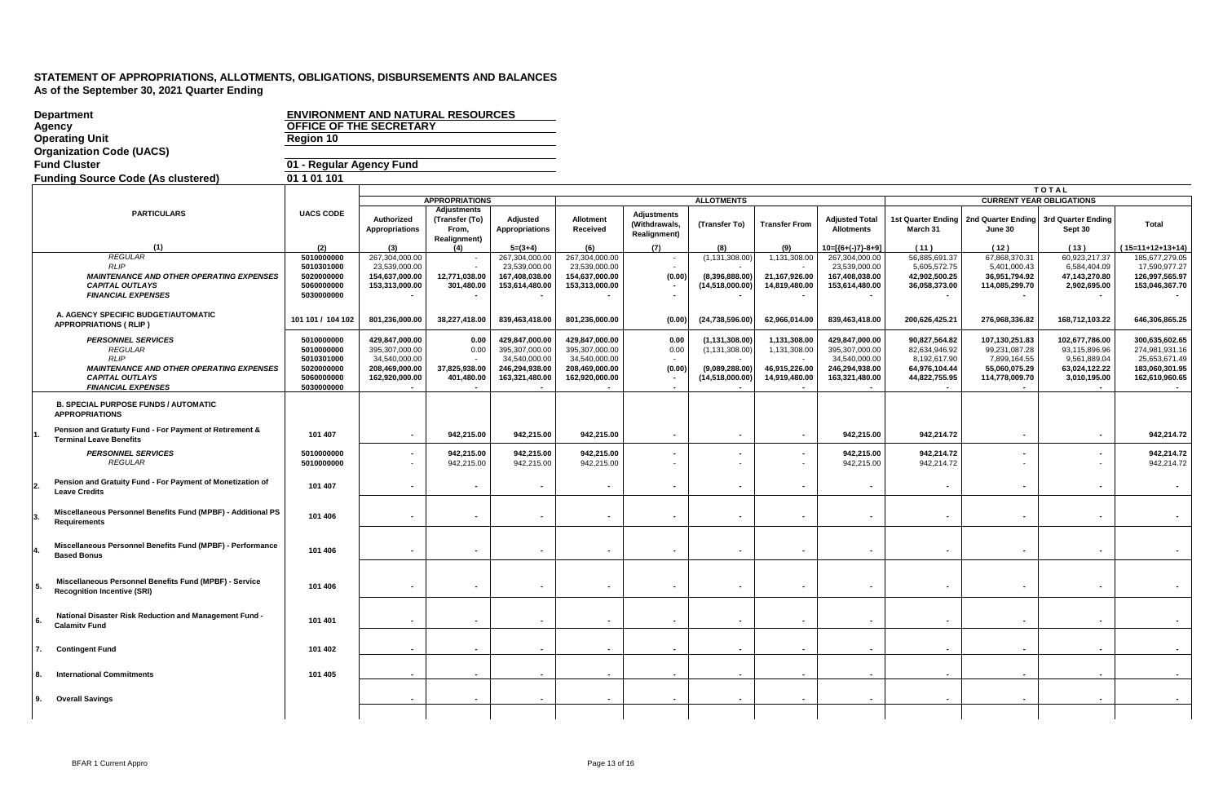|    | <b>Department</b>                                                                                                                                                    | <b>ENVIRONMENT AND NATURAL RESOURCES</b>                                         |                                                                                       |                                                                       |                                                                                       |                                                                                       |                                                            |                                                                           |                                                                |                                                                                       |                                                                                  |                                                                                    |                                                                                  |                                                                                       |
|----|----------------------------------------------------------------------------------------------------------------------------------------------------------------------|----------------------------------------------------------------------------------|---------------------------------------------------------------------------------------|-----------------------------------------------------------------------|---------------------------------------------------------------------------------------|---------------------------------------------------------------------------------------|------------------------------------------------------------|---------------------------------------------------------------------------|----------------------------------------------------------------|---------------------------------------------------------------------------------------|----------------------------------------------------------------------------------|------------------------------------------------------------------------------------|----------------------------------------------------------------------------------|---------------------------------------------------------------------------------------|
|    | <b>Agency</b>                                                                                                                                                        | <b>OFFICE OF THE SECRETARY</b>                                                   |                                                                                       |                                                                       |                                                                                       |                                                                                       |                                                            |                                                                           |                                                                |                                                                                       |                                                                                  |                                                                                    |                                                                                  |                                                                                       |
|    | <b>Operating Unit</b>                                                                                                                                                | Region 10                                                                        |                                                                                       |                                                                       |                                                                                       |                                                                                       |                                                            |                                                                           |                                                                |                                                                                       |                                                                                  |                                                                                    |                                                                                  |                                                                                       |
|    | <b>Organization Code (UACS)</b>                                                                                                                                      |                                                                                  |                                                                                       |                                                                       |                                                                                       |                                                                                       |                                                            |                                                                           |                                                                |                                                                                       |                                                                                  |                                                                                    |                                                                                  |                                                                                       |
|    | <b>Fund Cluster</b>                                                                                                                                                  | 01 - Regular Agency Fund                                                         |                                                                                       |                                                                       |                                                                                       |                                                                                       |                                                            |                                                                           |                                                                |                                                                                       |                                                                                  |                                                                                    |                                                                                  |                                                                                       |
|    | <b>Funding Source Code (As clustered)</b>                                                                                                                            | 01 1 01 101                                                                      |                                                                                       |                                                                       |                                                                                       |                                                                                       |                                                            |                                                                           |                                                                |                                                                                       |                                                                                  |                                                                                    |                                                                                  |                                                                                       |
|    |                                                                                                                                                                      |                                                                                  |                                                                                       |                                                                       |                                                                                       |                                                                                       |                                                            |                                                                           |                                                                |                                                                                       |                                                                                  |                                                                                    | <b>TOTAL</b>                                                                     |                                                                                       |
|    |                                                                                                                                                                      |                                                                                  |                                                                                       | <b>APPROPRIATIONS</b>                                                 |                                                                                       |                                                                                       |                                                            | <b>ALLOTMENTS</b>                                                         |                                                                |                                                                                       |                                                                                  |                                                                                    | <b>CURRENT YEAR OBLIGATIONS</b>                                                  |                                                                                       |
|    | <b>PARTICULARS</b>                                                                                                                                                   | <b>UACS CODE</b>                                                                 | Authorized<br><b>Appropriations</b>                                                   | <b>Adjustments</b><br>(Transfer (To)<br>From,<br><b>Realignment</b> ) | Adjusted<br><b>Appropriations</b>                                                     | Allotment<br>Received                                                                 | <b>Adjustments</b><br>(Withdrawals,<br><b>Realignment)</b> | (Transfer To)                                                             | <b>Transfer From</b>                                           | <b>Adjusted Total</b><br><b>Allotments</b>                                            | <b>1st Quarter Ending</b><br>March 31                                            | 2nd Quarter Ending<br>June 30                                                      | 3rd Quarter Ending<br>Sept 30                                                    | <b>Total</b>                                                                          |
|    | (1)                                                                                                                                                                  | (2)                                                                              | (3)                                                                                   | (4)                                                                   | $5=(3+4)$                                                                             | (6)                                                                                   | (7)                                                        | (8)                                                                       | (9)                                                            | 10=[{6+(-)7}-8+9]                                                                     | (11)                                                                             | (12)                                                                               | (13)                                                                             | $15=11+12+13+14$                                                                      |
|    | <b>REGULAR</b><br><b>RLIP</b><br><b>MAINTENANCE AND OTHER OPERATING EXPENSES</b><br><b>CAPITAL OUTLAYS</b><br><b>FINANCIAL EXPENSES</b>                              | 5010000000<br>5010301000<br>5020000000<br>5060000000<br>5030000000               | 267,304,000.00<br>23,539,000.00<br>154,637,000.00<br>153,313,000.00                   | 12,771,038.00<br>301,480.00                                           | 267,304,000.00<br>23,539,000.00<br>167,408,038.00<br>153,614,480.00                   | 267,304,000.00<br>23,539,000.00<br>154,637,000.00<br>153,313,000.00                   | $\overline{\phantom{a}}$<br>(0.00)                         | (1, 131, 308.00)<br>(8,396,888.00)<br>(14,518,000.00)                     | 1,131,308.00<br>21,167,926.00<br>14,819,480.00                 | 267,304,000.00<br>23,539,000.00<br>167,408,038.00<br>153,614,480.00                   | 56,885,691.37<br>5,605,572.75<br>42,902,500.25<br>36,058,373.00                  | 67,868,370.31<br>5,401,000.43<br>36,951,794.92<br>114,085,299.70                   | 60,923,217.37<br>6,584,404.09<br>47,143,270.80<br>2,902,695.00                   | 185,677,279.05<br>17,590,977.27<br>126,997,565.97<br>153,046,367.70                   |
|    | A. AGENCY SPECIFIC BUDGET/AUTOMATIC<br><b>APPROPRIATIONS (RLIP)</b>                                                                                                  | 101 101 / 104 102                                                                | 801,236,000.00                                                                        | 38,227,418.00                                                         | 839,463,418.00                                                                        | 801,236,000.00                                                                        | (0.00)                                                     | (24, 738, 596.00)                                                         | 62,966,014.00                                                  | 839,463,418.00                                                                        | 200,626,425.21                                                                   | 276,968,336.82                                                                     | 168,712,103.22                                                                   | 646,306,865.25                                                                        |
|    | <b>PERSONNEL SERVICES</b><br><b>REGULAR</b><br><b>RLIP</b><br><b>MAINTENANCE AND OTHER OPERATING EXPENSES</b><br><b>CAPITAL OUTLAYS</b><br><b>FINANCIAL EXPENSES</b> | 5010000000<br>5010000000<br>5010301000<br>5020000000<br>5060000000<br>5030000000 | 429,847,000.00<br>395,307,000.00<br>34,540,000.00<br>208,469,000.00<br>162,920,000.00 | 0.00<br>0.00<br>37,825,938.00<br>401,480.00                           | 429,847,000.00<br>395,307,000.00<br>34,540,000.00<br>246,294,938.00<br>163,321,480.00 | 429.847.000.00<br>395,307,000.00<br>34,540,000.00<br>208,469,000.00<br>162,920,000.00 | 0.00<br>0.00<br>(0.00)                                     | (1, 131, 308.00)<br>(1, 131, 308.00)<br>(9,089,288.00)<br>(14,518,000.00) | 1,131,308.00<br>1,131,308.00<br>46,915,226.00<br>14,919,480.00 | 429,847,000.00<br>395,307,000.00<br>34,540,000.00<br>246,294,938.00<br>163,321,480.00 | 90,827,564.82<br>82,634,946.92<br>8,192,617.90<br>64,976,104.44<br>44,822,755.95 | 107,130,251.83<br>99,231,087.28<br>7,899,164.55<br>55,060,075.29<br>114,778,009.70 | 102,677,786.00<br>93,115,896.96<br>9,561,889.04<br>63,024,122.22<br>3,010,195.00 | 300,635,602.65<br>274,981,931.16<br>25,653,671.49<br>183,060,301.95<br>162,610,960.65 |
|    | <b>B. SPECIAL PURPOSE FUNDS / AUTOMATIC</b><br><b>APPROPRIATIONS</b>                                                                                                 |                                                                                  |                                                                                       |                                                                       |                                                                                       |                                                                                       |                                                            |                                                                           |                                                                |                                                                                       |                                                                                  |                                                                                    |                                                                                  |                                                                                       |
|    | Pension and Gratuity Fund - For Payment of Retirement &<br><b>Terminal Leave Benefits</b>                                                                            | 101 407                                                                          | $\sim$                                                                                | 942,215.00                                                            | 942,215.00                                                                            | 942,215.00                                                                            | $\sim$                                                     | $\blacksquare$                                                            | $\blacksquare$                                                 | 942,215.00                                                                            | 942,214.72                                                                       | $\blacksquare$                                                                     | $\sim$                                                                           | 942,214.72                                                                            |
|    | <b>PERSONNEL SERVICES</b><br><b>REGULAR</b>                                                                                                                          | 5010000000<br>5010000000                                                         | $\overline{\phantom{a}}$<br>$\sim$                                                    | 942,215.00<br>942,215.00                                              | 942,215.00<br>942,215.00                                                              | 942,215.00<br>942,215.00                                                              | $\qquad \qquad \blacksquare$<br>$\blacksquare$             |                                                                           |                                                                | 942,215.00<br>942,215.00                                                              | 942,214.72<br>942,214.72                                                         | $\blacksquare$                                                                     | $\blacksquare$                                                                   | 942,214.72<br>942,214.72                                                              |
|    | Pension and Gratuity Fund - For Payment of Monetization of<br><b>Leave Credits</b>                                                                                   | 101 407                                                                          | $\blacksquare$                                                                        |                                                                       |                                                                                       |                                                                                       | $\blacksquare$                                             |                                                                           |                                                                |                                                                                       | $\overline{\phantom{a}}$                                                         | $\overline{\phantom{a}}$                                                           | $\sim$                                                                           | $\sim$                                                                                |
|    | Miscellaneous Personnel Benefits Fund (MPBF) - Additional PS<br><b>Requirements</b>                                                                                  | 101 406                                                                          | $\blacksquare$                                                                        | $\blacksquare$                                                        |                                                                                       |                                                                                       | ٠                                                          | $\blacksquare$                                                            | $\sim$                                                         |                                                                                       | $\overline{\phantom{a}}$                                                         | $\blacksquare$                                                                     |                                                                                  | $\sim$                                                                                |
|    | Miscellaneous Personnel Benefits Fund (MPBF) - Performance<br><b>Based Bonus</b>                                                                                     | 101 406                                                                          | $\overline{\phantom{a}}$                                                              |                                                                       |                                                                                       |                                                                                       |                                                            |                                                                           |                                                                |                                                                                       |                                                                                  |                                                                                    |                                                                                  |                                                                                       |
|    | Miscellaneous Personnel Benefits Fund (MPBF) - Service<br><b>Recognition Incentive (SRI)</b>                                                                         | 101 406                                                                          | $\overline{\phantom{a}}$                                                              |                                                                       |                                                                                       |                                                                                       | $\overline{\phantom{a}}$                                   |                                                                           |                                                                |                                                                                       |                                                                                  |                                                                                    |                                                                                  |                                                                                       |
| 6. | National Disaster Risk Reduction and Management Fund -<br><b>Calamity Fund</b>                                                                                       | 101 401                                                                          | $\overline{\phantom{a}}$                                                              |                                                                       |                                                                                       |                                                                                       | $\overline{a}$                                             |                                                                           |                                                                |                                                                                       |                                                                                  |                                                                                    |                                                                                  |                                                                                       |
| 7. | <b>Contingent Fund</b>                                                                                                                                               | 101 402                                                                          |                                                                                       |                                                                       |                                                                                       |                                                                                       |                                                            |                                                                           |                                                                |                                                                                       |                                                                                  |                                                                                    |                                                                                  |                                                                                       |
|    | <b>International Commitments</b>                                                                                                                                     | 101 405                                                                          |                                                                                       |                                                                       |                                                                                       |                                                                                       |                                                            |                                                                           |                                                                |                                                                                       |                                                                                  |                                                                                    |                                                                                  |                                                                                       |
| 9. | <b>Overall Savings</b>                                                                                                                                               |                                                                                  |                                                                                       |                                                                       |                                                                                       |                                                                                       |                                                            |                                                                           |                                                                |                                                                                       |                                                                                  |                                                                                    |                                                                                  |                                                                                       |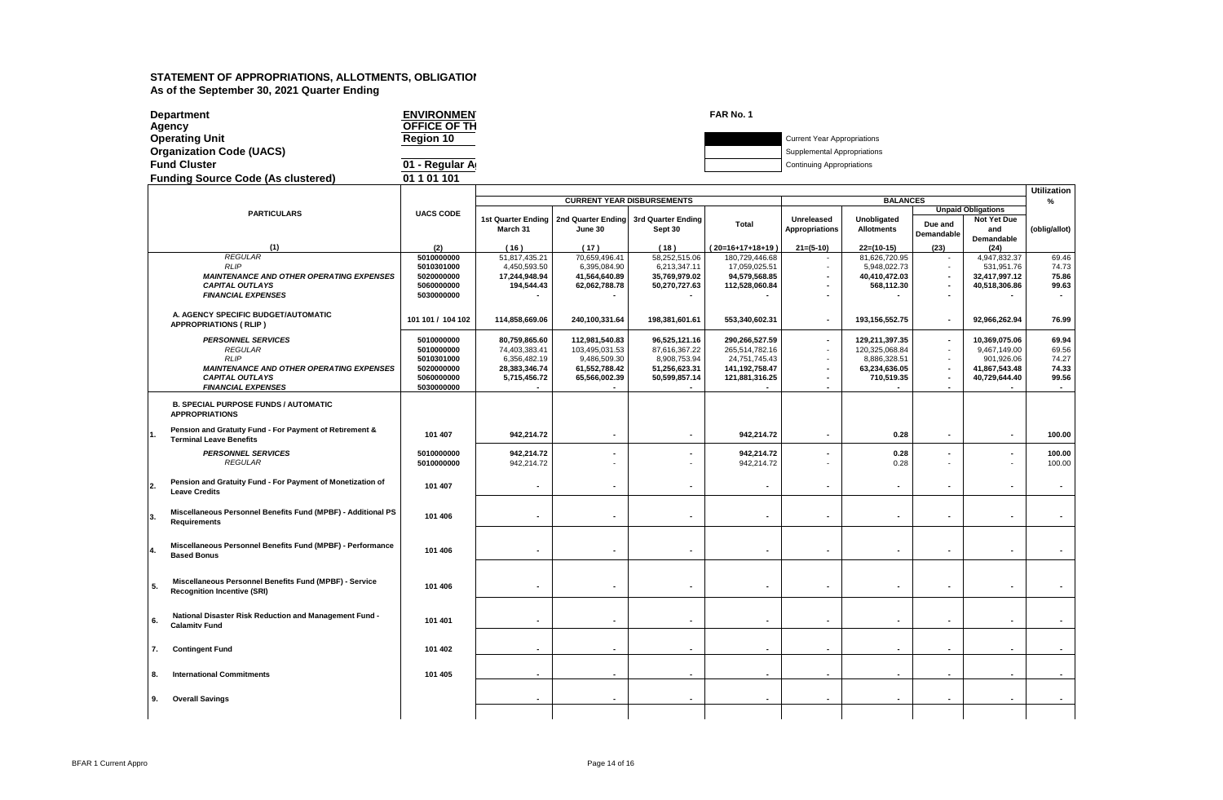| <b>Department</b>                         | <b>ENVIRONMEN</b> | FAR No. 1 |                                    |
|-------------------------------------------|-------------------|-----------|------------------------------------|
| Agency                                    | OFFICE OF TH      |           |                                    |
| <b>Operating Unit</b>                     | <b>Region 10</b>  |           | <b>Current Year Appropriations</b> |
| <b>Organization Code (UACS)</b>           |                   |           | Supplemental Appropriations        |
| <b>Fund Cluster</b>                       | 01 - Regular A    |           | <b>Continuing Appropriations</b>   |
| <b>Funding Source Code (As clustered)</b> | 01 1 01 101       |           |                                    |

|    |                                                                                              |                          |                           |                          |                                       |                          |                          |                          |                          |                           | <b>Utilization</b>       |
|----|----------------------------------------------------------------------------------------------|--------------------------|---------------------------|--------------------------|---------------------------------------|--------------------------|--------------------------|--------------------------|--------------------------|---------------------------|--------------------------|
|    |                                                                                              |                          |                           |                          | <b>CURRENT YEAR DISBURSEMENTS</b>     |                          |                          | <b>BALANCES</b>          |                          |                           | %                        |
|    | <b>PARTICULARS</b>                                                                           | <b>UACS CODE</b>         |                           |                          |                                       |                          |                          |                          |                          | <b>Unpaid Obligations</b> |                          |
|    |                                                                                              |                          | <b>1st Quarter Ending</b> |                          | 2nd Quarter Ending 3rd Quarter Ending | <b>Total</b>             | Unreleased               | Unobligated              | Due and                  | Not Yet Due               |                          |
|    |                                                                                              |                          | March 31                  | June 30                  | Sept 30                               |                          | <b>Appropriations</b>    | <b>Allotments</b>        | Demandable               | and                       | (oblig/allot)            |
|    | (1)                                                                                          | (2)                      | (16)                      | (17)                     | (18)                                  | $(20=16+17+18+19)$       | $21=(5-10)$              | $22=(10-15)$             | (23)                     | Demandable<br>(24)        |                          |
|    | <b>REGULAR</b>                                                                               | 5010000000               | 51,817,435.21             | 70,659,496.41            | 58,252,515.06                         | 180,729,446.68           |                          | 81,626,720.95            |                          | 4,947,832.37              | 69.46                    |
|    | <b>RLIP</b>                                                                                  | 5010301000               | 4,450,593.50              | 6,395,084.90             | 6,213,347.11                          | 17,059,025.51            |                          | 5,948,022.73             | $\sim$                   | 531,951.76                | 74.73                    |
|    | <b>MAINTENANCE AND OTHER OPERATING EXPENSES</b>                                              | 5020000000               | 17,244,948.94             | 41,564,640.89            | 35,769,979.02                         | 94,579,568.85            |                          | 40,410,472.03            | $\blacksquare$           | 32.417.997.12             | 75.86                    |
|    | <b>CAPITAL OUTLAYS</b>                                                                       | 5060000000               | 194,544.43                | 62,062,788.78            | 50.270.727.63                         | 112,528,060.84           |                          | 568,112.30               | $\overline{\phantom{a}}$ | 40,518,306.86             | 99.63                    |
|    | <b>FINANCIAL EXPENSES</b>                                                                    | 5030000000               |                           |                          |                                       |                          |                          |                          | $\overline{\phantom{a}}$ |                           |                          |
|    |                                                                                              |                          |                           |                          |                                       |                          |                          |                          |                          |                           |                          |
|    | A. AGENCY SPECIFIC BUDGET/AUTOMATIC<br><b>APPROPRIATIONS ( RLIP )</b>                        | 101 101 / 104 102        | 114,858,669.06            | 240,100,331.64           | 198,381,601.61                        | 553,340,602.31           | $\blacksquare$           | 193,156,552.75           | $\blacksquare$           | 92.966.262.94             | 76.99                    |
|    | <b>PERSONNEL SERVICES</b>                                                                    | 5010000000               | 80,759,865.60             | 112,981,540.83           | 96,525,121.16                         | 290,266,527.59           | $\overline{\phantom{a}}$ | 129,211,397.35           | $\blacksquare$           | 10,369,075.06             | 69.94                    |
|    | <b>REGULAR</b>                                                                               | 5010000000               | 74,403,383.41             | 103,495,031.53           | 87,616,367.22                         | 265,514,782.16           |                          | 120,325,068.84           | $\sim$                   | 9,467,149.00              | 69.56                    |
|    | <b>RLIP</b>                                                                                  | 5010301000               | 6,356,482.19              | 9,486,509.30             | 8,908,753.94                          | 24,751,745.43            | $\overline{a}$           | 8,886,328.51             | ÷.                       | 901,926.06                | 74.27                    |
|    | <b>MAINTENANCE AND OTHER OPERATING EXPENSES</b>                                              | 5020000000               | 28.383.346.74             | 61.552.788.42            | 51.256.623.31                         | 141.192.758.47           | $\overline{\phantom{a}}$ | 63,234,636.05            | $\overline{\phantom{a}}$ | 41.867.543.48             | 74.33                    |
|    | <b>CAPITAL OUTLAYS</b>                                                                       | 5060000000               | 5,715,456.72              | 65,566,002.39            | 50,599,857.14                         | 121,881,316.25           | $\blacksquare$           | 710,519.35               | $\overline{\phantom{a}}$ | 40,729,644.40             | 99.56                    |
|    | <b>FINANCIAL EXPENSES</b>                                                                    | 5030000000               |                           |                          |                                       |                          | $\blacksquare$           |                          | $\overline{\phantom{a}}$ |                           | $\overline{\phantom{a}}$ |
|    | <b>B. SPECIAL PURPOSE FUNDS / AUTOMATIC</b><br><b>APPROPRIATIONS</b>                         |                          |                           |                          |                                       |                          |                          |                          |                          |                           |                          |
|    | Pension and Gratuity Fund - For Payment of Retirement &<br><b>Terminal Leave Benefits</b>    | 101 407                  | 942,214.72                | $\overline{\phantom{a}}$ | $\overline{\phantom{a}}$              | 942,214.72               | $\overline{\phantom{a}}$ | 0.28                     | $\overline{\phantom{a}}$ | $\sim$                    | 100.00                   |
|    | <b>PERSONNEL SERVICES</b><br><b>REGULAR</b>                                                  | 5010000000<br>5010000000 | 942,214.72<br>942,214.72  |                          |                                       | 942,214.72<br>942,214.72 |                          | 0.28<br>0.28             |                          |                           | 100.00<br>100.00         |
| 2. | Pension and Gratuity Fund - For Payment of Monetization of<br><b>Leave Credits</b>           | 101 407                  |                           |                          |                                       |                          |                          | ٠                        |                          |                           |                          |
|    | Miscellaneous Personnel Benefits Fund (MPBF) - Additional PS                                 | 101 406                  |                           |                          |                                       |                          |                          | $\blacksquare$           |                          |                           |                          |
|    | <b>Requirements</b>                                                                          |                          |                           |                          |                                       |                          |                          |                          |                          |                           |                          |
|    | Miscellaneous Personnel Benefits Fund (MPBF) - Performance<br><b>Based Bonus</b>             | 101 406                  | $\overline{\phantom{a}}$  |                          |                                       | ÷                        |                          | $\overline{a}$           |                          |                           |                          |
| 5. | Miscellaneous Personnel Benefits Fund (MPBF) - Service<br><b>Recognition Incentive (SRI)</b> | 101 406                  | $\blacksquare$            |                          |                                       |                          |                          | $\blacksquare$           |                          |                           |                          |
| 6. | National Disaster Risk Reduction and Management Fund -<br><b>Calamity Fund</b>               | 101 401                  |                           |                          |                                       |                          |                          | $\overline{\phantom{a}}$ |                          |                           |                          |
|    | <b>Contingent Fund</b><br>7.                                                                 | 101 402                  |                           |                          |                                       |                          |                          | $\overline{a}$           |                          |                           |                          |
|    |                                                                                              |                          |                           |                          |                                       |                          |                          |                          |                          |                           |                          |
|    | <b>International Commitments</b><br>8.                                                       | 101 405                  | $\blacksquare$            | $\blacksquare$           |                                       |                          | $\blacksquare$           | $\blacksquare$           | $\overline{\phantom{a}}$ | $\overline{\phantom{a}}$  | $\overline{\phantom{a}}$ |
|    | <b>Overall Savings</b><br>9.                                                                 |                          |                           |                          |                                       |                          |                          |                          |                          |                           |                          |
|    |                                                                                              |                          |                           |                          |                                       |                          |                          |                          |                          |                           |                          |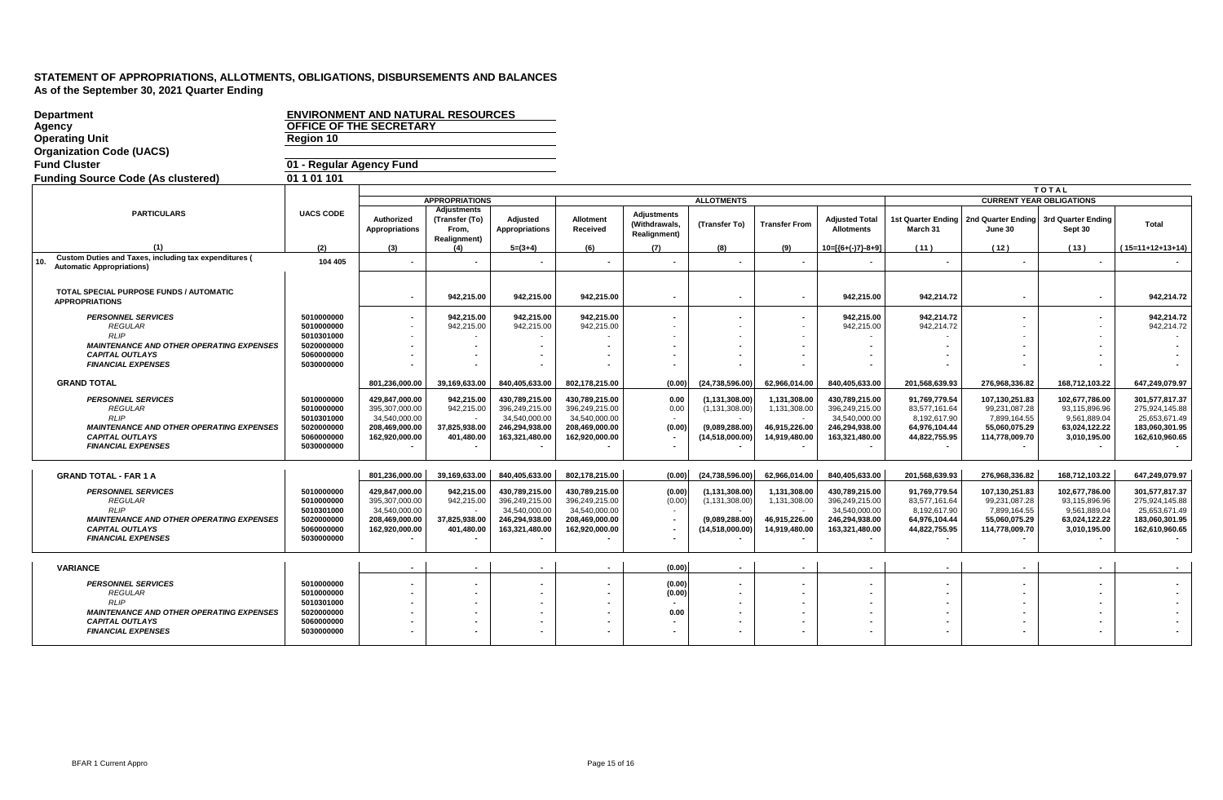| <b>Department</b>                                                         | <b>ENVIRONMENT AND NATURAL RESOURCES</b> |                                 |                                        |                                   |                                 |                                                            |                   |                      |                                            |                                |                                 |                               |                                 |
|---------------------------------------------------------------------------|------------------------------------------|---------------------------------|----------------------------------------|-----------------------------------|---------------------------------|------------------------------------------------------------|-------------------|----------------------|--------------------------------------------|--------------------------------|---------------------------------|-------------------------------|---------------------------------|
| Agency                                                                    | OFFICE OF THE SECRETARY                  |                                 |                                        |                                   |                                 |                                                            |                   |                      |                                            |                                |                                 |                               |                                 |
| <b>Operating Unit</b>                                                     | <b>Region 10</b>                         |                                 |                                        |                                   |                                 |                                                            |                   |                      |                                            |                                |                                 |                               |                                 |
| <b>Organization Code (UACS)</b>                                           |                                          |                                 |                                        |                                   |                                 |                                                            |                   |                      |                                            |                                |                                 |                               |                                 |
| <b>Fund Cluster</b>                                                       | 01 - Regular Agency Fund                 |                                 |                                        |                                   |                                 |                                                            |                   |                      |                                            |                                |                                 |                               |                                 |
| <b>Funding Source Code (As clustered)</b>                                 | 01 1 01 101                              |                                 |                                        |                                   |                                 |                                                            |                   |                      |                                            |                                |                                 |                               |                                 |
|                                                                           |                                          |                                 |                                        |                                   |                                 |                                                            |                   |                      |                                            |                                |                                 | <b>TOTAL</b>                  |                                 |
|                                                                           |                                          |                                 | <b>APPROPRIATIONS</b>                  |                                   |                                 |                                                            | <b>ALLOTMENTS</b> |                      |                                            |                                | <b>CURRENT YEAR OBLIGATIONS</b> |                               |                                 |
| <b>PARTICULARS</b>                                                        | <b>UACS CODE</b>                         | Authorized<br>Appropriations    | Adjustments<br>(Transfer (To)<br>From, | Adjusted<br><b>Appropriations</b> | Allotment<br>Received           | <b>Adjustments</b><br>(Withdrawals,<br><b>Realignment)</b> | (Transfer To)     | <b>Transfer From</b> | <b>Adjusted Total</b><br><b>Allotments</b> | 1st Quarter Ending<br>March 31 | 2nd Quarter Ending<br>June 30   | 3rd Quarter Ending<br>Sept 30 | Total                           |
|                                                                           | (2)                                      | (3)                             | <b>Realignment)</b><br>(4)             | $5=(3+4)$                         | (6)                             | (7)                                                        | (8)               | (9)                  | $10=[(6+(-)7)-8+9]$                        | (11)                           | (12)                            | (13)                          | $15=11+12+13+14$                |
| <b>Custom Duties and Taxes, including tax expenditures (</b><br>10.       | 104 405                                  |                                 |                                        |                                   |                                 |                                                            |                   |                      |                                            |                                |                                 |                               |                                 |
| <b>Automatic Appropriations)</b>                                          |                                          |                                 |                                        |                                   |                                 |                                                            |                   |                      |                                            |                                |                                 |                               |                                 |
|                                                                           |                                          |                                 |                                        |                                   |                                 |                                                            |                   |                      |                                            |                                |                                 |                               |                                 |
| TOTAL SPECIAL PURPOSE FUNDS / AUTOMATIC<br><b>APPROPRIATIONS</b>          |                                          |                                 | 942,215.00                             | 942,215.00                        | 942,215.00                      |                                                            |                   | $\blacksquare$       | 942,215.00                                 | 942,214.72                     |                                 | $\blacksquare$                | 942,214.72                      |
| <b>PERSONNEL SERVICES</b>                                                 | 5010000000                               | $\sim$                          | 942,215.00                             | 942,215.00                        | 942,215.00                      |                                                            |                   | $\blacksquare$       | 942,215.00                                 | 942,214.72                     | $\blacksquare$                  | $\sim$                        | 942,214.72                      |
| <b>REGULAR</b>                                                            | 5010000000                               | $\sim$                          | 942,215.00                             | 942,215.00                        | 942,215.00                      |                                                            |                   |                      | 942,215.00                                 | 942,214.72                     |                                 | $\overline{a}$                | 942,214.72                      |
| <b>RLIP</b>                                                               | 5010301000                               |                                 |                                        |                                   |                                 |                                                            |                   |                      |                                            |                                |                                 |                               |                                 |
| <b>MAINTENANCE AND OTHER OPERATING EXPENSES</b><br><b>CAPITAL OUTLAYS</b> | 5020000000<br>5060000000                 |                                 |                                        |                                   |                                 |                                                            |                   |                      |                                            |                                |                                 |                               |                                 |
| <b>FINANCIAL EXPENSES</b>                                                 | 5030000000                               |                                 |                                        |                                   |                                 |                                                            |                   |                      |                                            |                                |                                 |                               |                                 |
|                                                                           |                                          |                                 |                                        |                                   |                                 |                                                            |                   |                      |                                            |                                |                                 |                               |                                 |
| <b>GRAND TOTAL</b>                                                        |                                          | 801,236,000.00                  | 39,169,633.00                          | 840,405,633.00                    | 802,178,215.00                  | (0.00)                                                     | (24,738,596.00    | 62,966,014.00        | 840,405,633.00                             | 201,568,639.93                 | 276,968,336.82                  | 168,712,103.22                | 647,249,079.97                  |
| <b>PERSONNEL SERVICES</b>                                                 | 5010000000                               | 429,847,000.00                  | 942,215.00                             | 430,789,215.00                    | 430,789,215.00                  | 0.00                                                       | (1, 131, 308.00)  | 1,131,308.00         | 430,789,215.00                             | 91,769,779.54                  | 107,130,251.83                  | 102,677,786.00                | 301,577,817.37                  |
| <b>REGULAR</b><br><b>RLIP</b>                                             | 5010000000<br>5010301000                 | 395,307,000.00<br>34,540,000.00 | 942,215.00                             | 396,249,215.00<br>34,540,000.00   | 396,249,215.00<br>34,540,000.00 | 0.00                                                       | (1, 131, 308.00)  | 1,131,308.00         | 396,249,215.00<br>34,540,000.00            | 83,577,161.64<br>8,192,617.90  | 99,231,087.28<br>7,899,164.55   | 93,115,896.96<br>9,561,889.04 | 275,924,145.88<br>25,653,671.49 |
| <b>MAINTENANCE AND OTHER OPERATING EXPENSES</b>                           | 5020000000                               | 208,469,000.00                  | 37,825,938.00                          | 246,294,938.00                    | 208,469,000.00                  | (0.00)                                                     | (9,089,288.00)    | 46,915,226.00        | 246,294,938.00                             | 64,976,104.44                  | 55,060,075.29                   | 63,024,122.22                 | 183,060,301.95                  |
| <b>CAPITAL OUTLAYS</b>                                                    | 5060000000                               | 162,920,000.00                  | 401,480.00                             | 163,321,480.00                    | 162,920,000.00                  |                                                            | (14,518,000.00)   | 14,919,480.00        | 163,321,480.00                             | 44,822,755.95                  | 114,778,009.70                  | 3,010,195.00                  | 162,610,960.65                  |
| <b>FINANCIAL EXPENSES</b>                                                 | 5030000000                               |                                 |                                        |                                   |                                 |                                                            |                   |                      |                                            |                                |                                 |                               |                                 |
|                                                                           |                                          |                                 |                                        |                                   |                                 |                                                            |                   |                      |                                            |                                |                                 |                               |                                 |
| <b>GRAND TOTAL - FAR 1 A</b>                                              |                                          | 801,236,000.00                  | 39,169,633.00                          | 840,405,633.00                    | 802,178,215.00                  | (0.00)                                                     | (24, 738, 596.00) | 62,966,014.00        | 840,405,633.00                             | 201,568,639.93                 | 276,968,336.82                  | 168,712,103.22                | 647,249,079.97                  |
| <b>PERSONNEL SERVICES</b>                                                 | 5010000000                               | 429,847,000.00                  | 942,215.00                             | 430,789,215.00                    | 430,789,215.00                  | (0.00)                                                     | (1, 131, 308.00)  | 1,131,308.00         | 430,789,215.00                             | 91,769,779.54                  | 107,130,251.83                  | 102,677,786.00                | 301,577,817.37                  |
| <b>REGULAR</b><br><b>RLIP</b>                                             | 5010000000<br>5010301000                 | 395,307,000.00<br>34,540,000.00 | 942,215.00                             | 396,249,215.00<br>34,540,000.00   | 396,249,215.00<br>34,540,000.00 | (0.00)                                                     | (1, 131, 308.00)  | 1,131,308.00         | 396,249,215.00<br>34,540,000.00            | 83,577,161.64<br>8,192,617.90  | 99,231,087.28<br>7,899,164.55   | 93,115,896.96<br>9,561,889.04 | 275,924,145.88<br>25,653,671.49 |
| <b>MAINTENANCE AND OTHER OPERATING EXPENSES</b>                           | 5020000000                               | 208,469,000.00                  | 37,825,938.00                          | 246,294,938.00                    | 208,469,000.00                  |                                                            | (9,089,288.00)    | 46,915,226.00        | 246,294,938.00                             | 64,976,104.44                  | 55,060,075.29                   | 63,024,122.22                 | 183,060,301.95                  |
| <b>CAPITAL OUTLAYS</b>                                                    | 5060000000                               | 162,920,000.00                  | 401,480.00                             | 163,321,480.00                    | 162,920,000.00                  |                                                            | (14,518,000.00)   | 14,919,480.00        | 163,321,480.00                             | 44,822,755.95                  | 114,778,009.70                  | 3,010,195.00                  | 162,610,960.65                  |
| <b>FINANCIAL EXPENSES</b>                                                 | 5030000000                               |                                 |                                        |                                   |                                 |                                                            |                   |                      |                                            |                                |                                 |                               |                                 |
|                                                                           |                                          |                                 |                                        |                                   |                                 |                                                            |                   |                      |                                            |                                |                                 |                               |                                 |
| <b>VARIANCE</b>                                                           |                                          | $\overline{\phantom{a}}$        | $\overline{\phantom{a}}$               |                                   |                                 | (0.00)                                                     |                   | $\sim$               |                                            | $\blacksquare$                 | $\blacksquare$                  | $\sim$                        |                                 |
| <b>PERSONNEL SERVICES</b>                                                 | 5010000000                               |                                 | $\blacksquare$                         |                                   |                                 | (0.00)                                                     |                   |                      |                                            |                                |                                 |                               |                                 |
| <b>REGULAR</b><br><b>RLIP</b>                                             | 5010000000                               |                                 |                                        |                                   |                                 | (0.00)                                                     |                   |                      |                                            |                                |                                 |                               |                                 |
| <b>MAINTENANCE AND OTHER OPERATING EXPENSES</b>                           | 5010301000<br>5020000000                 |                                 |                                        |                                   |                                 | 0.00                                                       |                   |                      |                                            |                                |                                 |                               |                                 |
| <b>CAPITAL OUTLAYS</b>                                                    | 5060000000                               |                                 | $\blacksquare$                         |                                   |                                 |                                                            |                   |                      |                                            |                                |                                 |                               |                                 |
| <b>FINANCIAL EXPENSES</b>                                                 | 5030000000                               |                                 | $\overline{a}$                         |                                   |                                 |                                                            |                   |                      |                                            |                                |                                 |                               |                                 |
|                                                                           |                                          |                                 |                                        |                                   |                                 |                                                            |                   |                      |                                            |                                |                                 |                               |                                 |